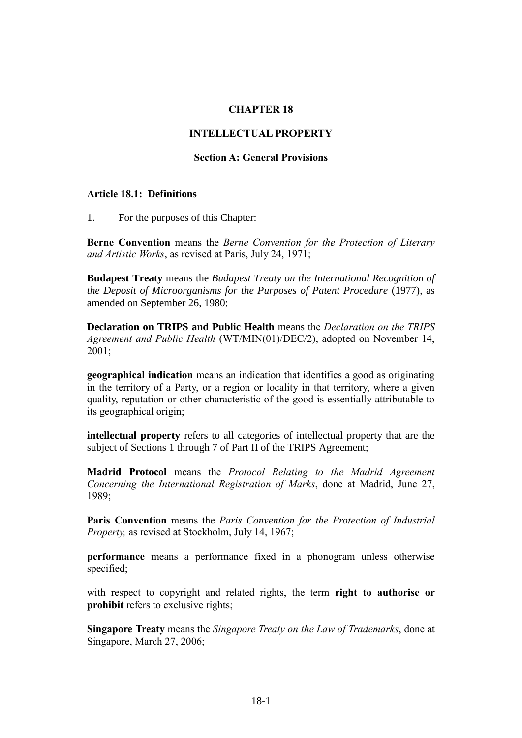# **CHAPTER 18**

# **INTELLECTUAL PROPERTY**

### **Section A: General Provisions**

### **Article 18.1: Definitions**

1. For the purposes of this Chapter:

**Berne Convention** means the *Berne Convention for the Protection of Literary and Artistic Works*, as revised at Paris, July 24, 1971;

**Budapest Treaty** means the *Budapest Treaty on the International Recognition of the Deposit of Microorganisms for the Purposes of Patent Procedure* (1977), as amended on September 26, 1980;

**Declaration on TRIPS and Public Health** means the *Declaration on the TRIPS Agreement and Public Health* (WT/MIN(01)/DEC/2), adopted on November 14, 2001;

**geographical indication** means an indication that identifies a good as originating in the territory of a Party, or a region or locality in that territory, where a given quality, reputation or other characteristic of the good is essentially attributable to its geographical origin;

**intellectual property** refers to all categories of intellectual property that are the subject of Sections 1 through 7 of Part II of the TRIPS Agreement:

**Madrid Protocol** means the *Protocol Relating to the Madrid Agreement Concerning the International Registration of Marks*, done at Madrid, June 27, 1989;

**Paris Convention** means the *Paris Convention for the Protection of Industrial Property,* as revised at Stockholm, July 14, 1967;

**performance** means a performance fixed in a phonogram unless otherwise specified;

with respect to copyright and related rights, the term **right to authorise or prohibit** refers to exclusive rights;

**Singapore Treaty** means the *Singapore Treaty on the Law of Trademarks*, done at Singapore, March 27, 2006;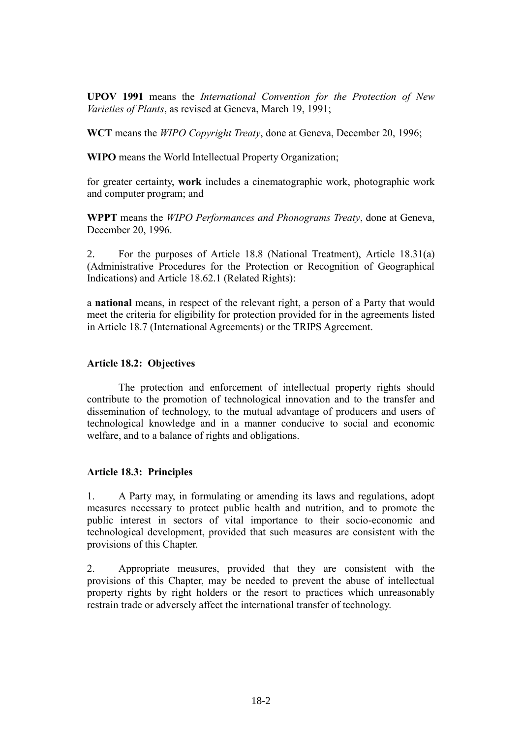**UPOV 1991** means the *International Convention for the Protection of New Varieties of Plants*, as revised at Geneva, March 19, 1991;

**WCT** means the *WIPO Copyright Treaty*, done at Geneva, December 20, 1996;

**WIPO** means the World Intellectual Property Organization;

for greater certainty, **work** includes a cinematographic work, photographic work and computer program; and

**WPPT** means the *WIPO Performances and Phonograms Treaty*, done at Geneva, December 20, 1996.

2. For the purposes of Article 18.8 (National Treatment), Article 18.31(a) (Administrative Procedures for the Protection or Recognition of Geographical Indications) and Article 18.62.1 (Related Rights):

a **national** means, in respect of the relevant right, a person of a Party that would meet the criteria for eligibility for protection provided for in the agreements listed in Article 18.7 (International Agreements) or the TRIPS Agreement.

# **Article 18.2: Objectives**

The protection and enforcement of intellectual property rights should contribute to the promotion of technological innovation and to the transfer and dissemination of technology, to the mutual advantage of producers and users of technological knowledge and in a manner conducive to social and economic welfare, and to a balance of rights and obligations.

# **Article 18.3: Principles**

1. A Party may, in formulating or amending its laws and regulations, adopt measures necessary to protect public health and nutrition, and to promote the public interest in sectors of vital importance to their socio-economic and technological development, provided that such measures are consistent with the provisions of this Chapter.

2. Appropriate measures, provided that they are consistent with the provisions of this Chapter, may be needed to prevent the abuse of intellectual property rights by right holders or the resort to practices which unreasonably restrain trade or adversely affect the international transfer of technology.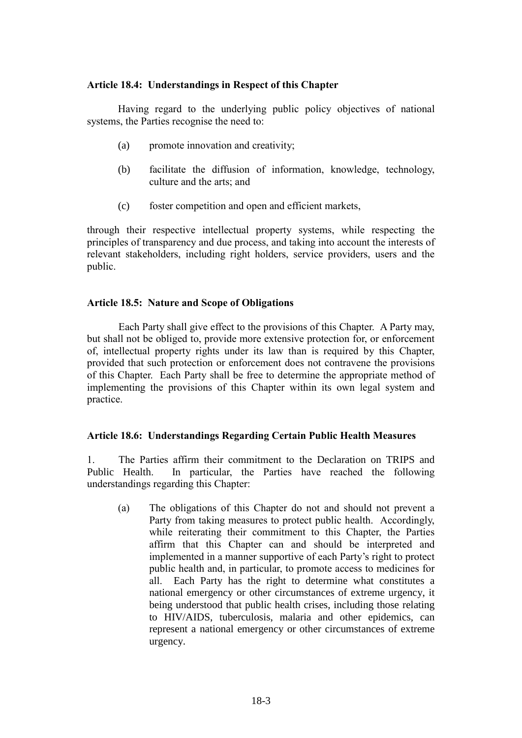# **Article 18.4: Understandings in Respect of this Chapter**

Having regard to the underlying public policy objectives of national systems, the Parties recognise the need to:

- (a) promote innovation and creativity;
- (b) facilitate the diffusion of information, knowledge, technology, culture and the arts; and
- (c) foster competition and open and efficient markets,

through their respective intellectual property systems, while respecting the principles of transparency and due process, and taking into account the interests of relevant stakeholders, including right holders, service providers, users and the public.

# **Article 18.5: Nature and Scope of Obligations**

Each Party shall give effect to the provisions of this Chapter. A Party may, but shall not be obliged to, provide more extensive protection for, or enforcement of, intellectual property rights under its law than is required by this Chapter, provided that such protection or enforcement does not contravene the provisions of this Chapter. Each Party shall be free to determine the appropriate method of implementing the provisions of this Chapter within its own legal system and practice.

# **Article 18.6: Understandings Regarding Certain Public Health Measures**

1. The Parties affirm their commitment to the Declaration on TRIPS and Public Health. In particular, the Parties have reached the following understandings regarding this Chapter:

(a) The obligations of this Chapter do not and should not prevent a Party from taking measures to protect public health. Accordingly, while reiterating their commitment to this Chapter, the Parties affirm that this Chapter can and should be interpreted and implemented in a manner supportive of each Party's right to protect public health and, in particular, to promote access to medicines for all. Each Party has the right to determine what constitutes a national emergency or other circumstances of extreme urgency, it being understood that public health crises, including those relating to HIV/AIDS, tuberculosis, malaria and other epidemics, can represent a national emergency or other circumstances of extreme urgency.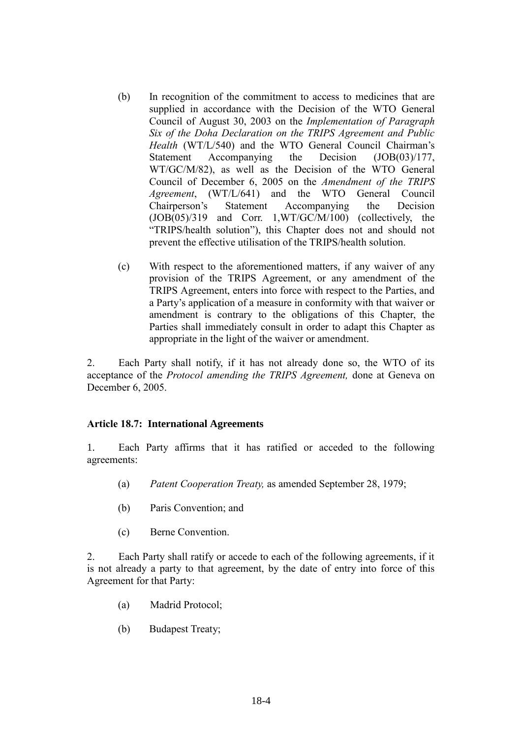- (b) In recognition of the commitment to access to medicines that are supplied in accordance with the Decision of the WTO General Council of August 30, 2003 on the *Implementation of Paragraph Six of the Doha Declaration on the TRIPS Agreement and Public Health* (WT/L/540) and the WTO General Council Chairman's Statement Accompanying the Decision (JOB(03)/177, WT/GC/M/82), as well as the Decision of the WTO General Council of December 6, 2005 on the *Amendment of the TRIPS Agreement*, (WT/L/641) and the WTO General Council Chairperson's Statement Accompanying the Decision (JOB(05)/319 and Corr. 1,WT/GC/M/100) (collectively, the "TRIPS/health solution"), this Chapter does not and should not prevent the effective utilisation of the TRIPS/health solution.
- (c) With respect to the aforementioned matters, if any waiver of any provision of the TRIPS Agreement, or any amendment of the TRIPS Agreement, enters into force with respect to the Parties, and a Party's application of a measure in conformity with that waiver or amendment is contrary to the obligations of this Chapter, the Parties shall immediately consult in order to adapt this Chapter as appropriate in the light of the waiver or amendment.

2. Each Party shall notify, if it has not already done so, the WTO of its acceptance of the *Protocol amending the TRIPS Agreement,* done at Geneva on December 6, 2005.

# **Article 18.7: International Agreements**

1. Each Party affirms that it has ratified or acceded to the following agreements:

- (a) *Patent Cooperation Treaty,* as amended September 28, 1979;
- (b) Paris Convention; and
- (c) Berne Convention.

2. Each Party shall ratify or accede to each of the following agreements, if it is not already a party to that agreement, by the date of entry into force of this Agreement for that Party:

- (a) Madrid Protocol;
- (b) Budapest Treaty;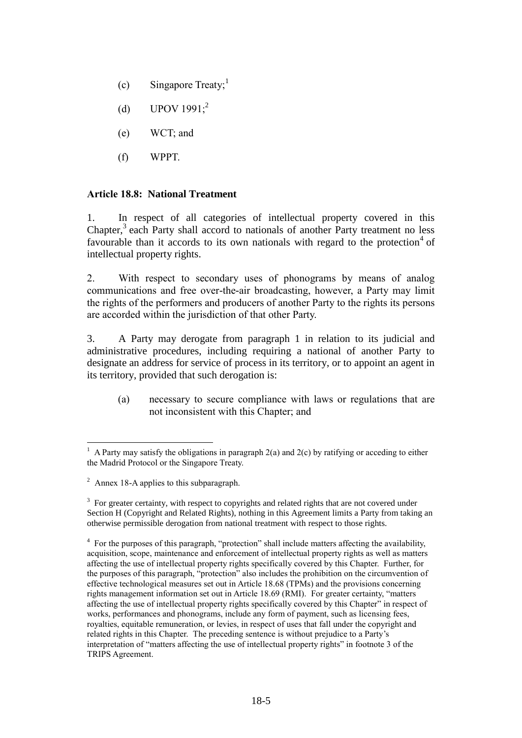- (c) Singapore Treaty; 1
- (d) UPOV  $1991$ ;<sup>2</sup>
- (e) WCT; and
- (f) WPPT.

# **Article 18.8: National Treatment**

1. In respect of all categories of intellectual property covered in this Chapter,<sup>3</sup> each Party shall accord to nationals of another Party treatment no less favourable than it accords to its own nationals with regard to the protection<sup>4</sup> of intellectual property rights.

2. With respect to secondary uses of phonograms by means of analog communications and free over-the-air broadcasting, however, a Party may limit the rights of the performers and producers of another Party to the rights its persons are accorded within the jurisdiction of that other Party.

3. A Party may derogate from paragraph 1 in relation to its judicial and administrative procedures, including requiring a national of another Party to designate an address for service of process in its territory, or to appoint an agent in its territory, provided that such derogation is:

(a) necessary to secure compliance with laws or regulations that are not inconsistent with this Chapter; and

 $\overline{a}$ <sup>1</sup> A Party may satisfy the obligations in paragraph 2(a) and 2(c) by ratifying or acceding to either the Madrid Protocol or the Singapore Treaty.

<sup>&</sup>lt;sup>2</sup> Annex 18-A applies to this subparagraph.

 $3$  For greater certainty, with respect to copyrights and related rights that are not covered under Section H (Copyright and Related Rights), nothing in this Agreement limits a Party from taking an otherwise permissible derogation from national treatment with respect to those rights.

<sup>&</sup>lt;sup>4</sup> For the purposes of this paragraph, "protection" shall include matters affecting the availability, acquisition, scope, maintenance and enforcement of intellectual property rights as well as matters affecting the use of intellectual property rights specifically covered by this Chapter. Further, for the purposes of this paragraph, "protection" also includes the prohibition on the circumvention of effective technological measures set out in Article 18.68 (TPMs) and the provisions concerning rights management information set out in Article 18.69 (RMI). For greater certainty, "matters affecting the use of intellectual property rights specifically covered by this Chapter" in respect of works, performances and phonograms, include any form of payment, such as licensing fees, royalties, equitable remuneration, or levies, in respect of uses that fall under the copyright and related rights in this Chapter. The preceding sentence is without prejudice to a Party's interpretation of "matters affecting the use of intellectual property rights" in footnote 3 of the TRIPS Agreement.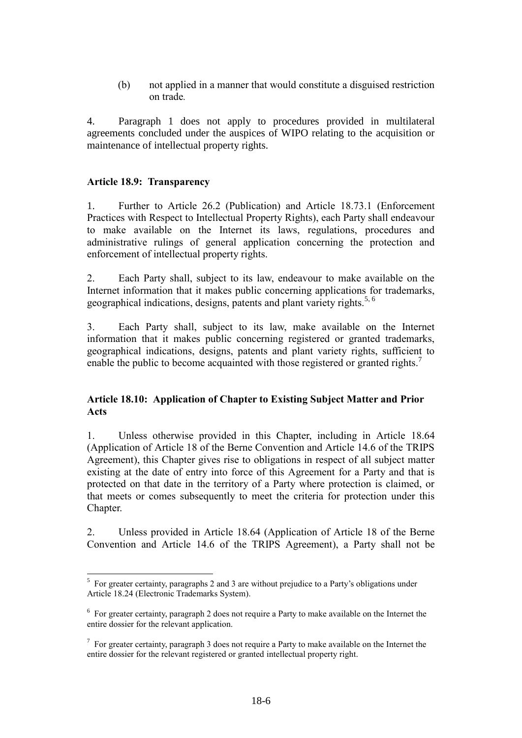(b) not applied in a manner that would constitute a disguised restriction on trade*.*

4. Paragraph 1 does not apply to procedures provided in multilateral agreements concluded under the auspices of WIPO relating to the acquisition or maintenance of intellectual property rights.

# **Article 18.9: Transparency**

1. Further to Article 26.2 (Publication) and Article 18.73.1 (Enforcement Practices with Respect to Intellectual Property Rights), each Party shall endeavour to make available on the Internet its laws, regulations, procedures and administrative rulings of general application concerning the protection and enforcement of intellectual property rights.

2. Each Party shall, subject to its law, endeavour to make available on the Internet information that it makes public concerning applications for trademarks, geographical indications, designs, patents and plant variety rights.5, <sup>6</sup>

3. Each Party shall, subject to its law, make available on the Internet information that it makes public concerning registered or granted trademarks, geographical indications, designs, patents and plant variety rights, sufficient to enable the public to become acquainted with those registered or granted rights.<sup>7</sup>

# **Article 18.10: Application of Chapter to Existing Subject Matter and Prior Acts**

1. Unless otherwise provided in this Chapter, including in Article 18.64 (Application of Article 18 of the Berne Convention and Article 14.6 of the TRIPS Agreement), this Chapter gives rise to obligations in respect of all subject matter existing at the date of entry into force of this Agreement for a Party and that is protected on that date in the territory of a Party where protection is claimed, or that meets or comes subsequently to meet the criteria for protection under this Chapter.

2. Unless provided in Article 18.64 (Application of Article 18 of the Berne Convention and Article 14.6 of the TRIPS Agreement), a Party shall not be

<sup>&</sup>lt;sup>5</sup> For greater certainty, paragraphs 2 and 3 are without prejudice to a Party's obligations under Article 18.24 (Electronic Trademarks System).

<sup>&</sup>lt;sup>6</sup> For greater certainty, paragraph 2 does not require a Party to make available on the Internet the entire dossier for the relevant application.

 $7$  For greater certainty, paragraph 3 does not require a Party to make available on the Internet the entire dossier for the relevant registered or granted intellectual property right.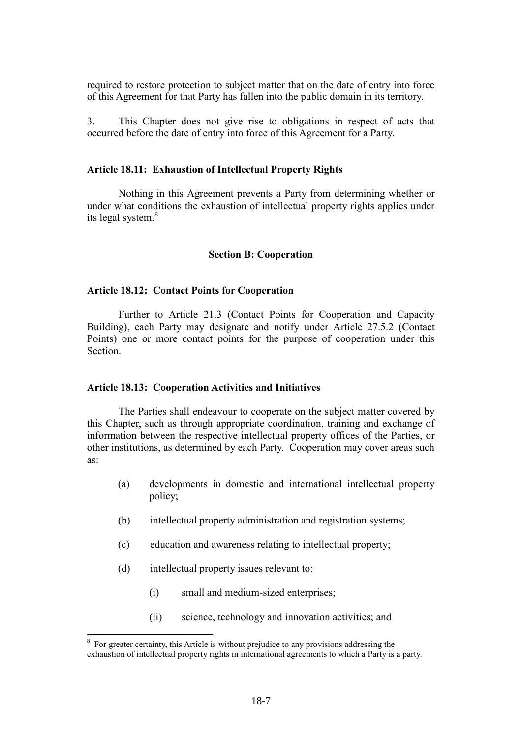required to restore protection to subject matter that on the date of entry into force of this Agreement for that Party has fallen into the public domain in its territory.

3. This Chapter does not give rise to obligations in respect of acts that occurred before the date of entry into force of this Agreement for a Party.

### **Article 18.11: Exhaustion of Intellectual Property Rights**

Nothing in this Agreement prevents a Party from determining whether or under what conditions the exhaustion of intellectual property rights applies under its legal system.<sup>8</sup>

### **Section B: Cooperation**

### **Article 18.12: Contact Points for Cooperation**

Further to Article 21.3 (Contact Points for Cooperation and Capacity Building), each Party may designate and notify under Article 27.5.2 (Contact Points) one or more contact points for the purpose of cooperation under this **Section** 

#### **Article 18.13: Cooperation Activities and Initiatives**

The Parties shall endeavour to cooperate on the subject matter covered by this Chapter, such as through appropriate coordination, training and exchange of information between the respective intellectual property offices of the Parties, or other institutions, as determined by each Party. Cooperation may cover areas such as:

- (a) developments in domestic and international intellectual property policy;
- (b) intellectual property administration and registration systems;
- (c) education and awareness relating to intellectual property;
- (d) intellectual property issues relevant to:

- (i) small and medium-sized enterprises;
- (ii) science, technology and innovation activities; and

<sup>8</sup> For greater certainty, this Article is without prejudice to any provisions addressing the exhaustion of intellectual property rights in international agreements to which a Party is a party.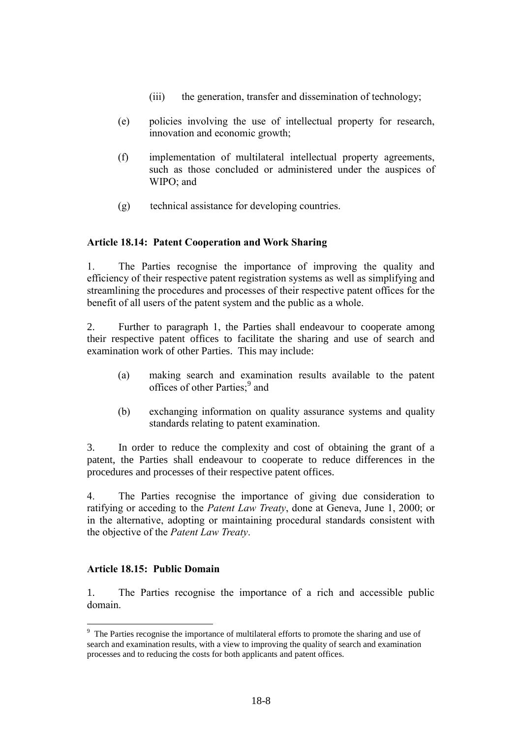- (iii) the generation, transfer and dissemination of technology;
- (e) policies involving the use of intellectual property for research, innovation and economic growth;
- (f) implementation of multilateral intellectual property agreements, such as those concluded or administered under the auspices of WIPO; and
- (g) technical assistance for developing countries.

# **Article 18.14: Patent Cooperation and Work Sharing**

1. The Parties recognise the importance of improving the quality and efficiency of their respective patent registration systems as well as simplifying and streamlining the procedures and processes of their respective patent offices for the benefit of all users of the patent system and the public as a whole.

2. Further to paragraph 1, the Parties shall endeavour to cooperate among their respective patent offices to facilitate the sharing and use of search and examination work of other Parties. This may include:

- (a) making search and examination results available to the patent offices of other Parties;<sup>9</sup> and
- (b) exchanging information on quality assurance systems and quality standards relating to patent examination.

3. In order to reduce the complexity and cost of obtaining the grant of a patent, the Parties shall endeavour to cooperate to reduce differences in the procedures and processes of their respective patent offices.

4. The Parties recognise the importance of giving due consideration to ratifying or acceding to the *Patent Law Treaty*, done at Geneva, June 1, 2000; or in the alternative, adopting or maintaining procedural standards consistent with the objective of the *Patent Law Treaty*.

# **Article 18.15: Public Domain**

l

1. The Parties recognise the importance of a rich and accessible public domain.

 $9<sup>9</sup>$  The Parties recognise the importance of multilateral efforts to promote the sharing and use of search and examination results, with a view to improving the quality of search and examination processes and to reducing the costs for both applicants and patent offices.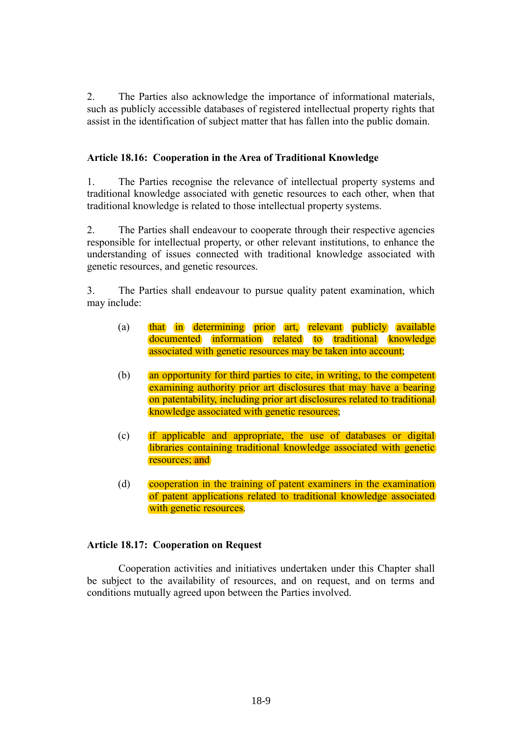2. The Parties also acknowledge the importance of informational materials, such as publicly accessible databases of registered intellectual property rights that assist in the identification of subject matter that has fallen into the public domain.

# **Article 18.16: Cooperation in the Area of Traditional Knowledge**

1. The Parties recognise the relevance of intellectual property systems and traditional knowledge associated with genetic resources to each other, when that traditional knowledge is related to those intellectual property systems.

2. The Parties shall endeavour to cooperate through their respective agencies responsible for intellectual property, or other relevant institutions, to enhance the understanding of issues connected with traditional knowledge associated with genetic resources, and genetic resources.

3. The Parties shall endeavour to pursue quality patent examination, which may include:

- (a) that in determining prior art, relevant publicly available documented information related to traditional knowledge associated with genetic resources may be taken into account;
- (b) an opportunity for third parties to cite, in writing, to the competent examining authority prior art disclosures that may have a bearing on patentability, including prior art disclosures related to traditional knowledge associated with genetic resources;
- (c) if applicable and appropriate, the use of databases or digital libraries containing traditional knowledge associated with genetic resources; and
- (d) cooperation in the training of patent examiners in the examination of patent applications related to traditional knowledge associated with genetic resources.

# **Article 18.17: Cooperation on Request**

Cooperation activities and initiatives undertaken under this Chapter shall be subject to the availability of resources, and on request, and on terms and conditions mutually agreed upon between the Parties involved.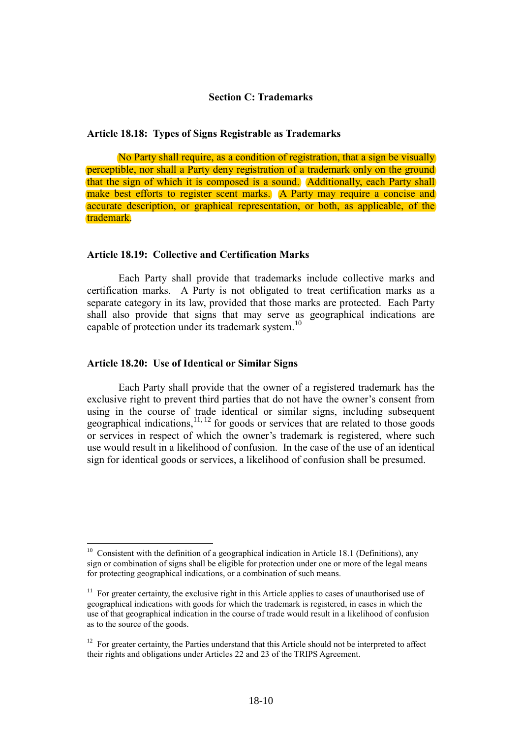#### **Section C: Trademarks**

#### **Article 18.18: Types of Signs Registrable as Trademarks**

No Party shall require, as a condition of registration, that a sign be visually perceptible, nor shall a Party deny registration of a trademark only on the ground that the sign of which it is composed is a sound. Additionally, each Party shall make best efforts to register scent marks. A Party may require a concise and accurate description, or graphical representation, or both, as applicable, of the trademark.

#### **Article 18.19: Collective and Certification Marks**

Each Party shall provide that trademarks include collective marks and certification marks. A Party is not obligated to treat certification marks as a separate category in its law, provided that those marks are protected. Each Party shall also provide that signs that may serve as geographical indications are capable of protection under its trademark system.<sup>10</sup>

#### **Article 18.20: Use of Identical or Similar Signs**

l

Each Party shall provide that the owner of a registered trademark has the exclusive right to prevent third parties that do not have the owner's consent from using in the course of trade identical or similar signs, including subsequent geographical indications,  $^{11, 12}$  for goods or services that are related to those goods or services in respect of which the owner's trademark is registered, where such use would result in a likelihood of confusion. In the case of the use of an identical sign for identical goods or services, a likelihood of confusion shall be presumed.

 $10$  Consistent with the definition of a geographical indication in Article 18.1 (Definitions), any sign or combination of signs shall be eligible for protection under one or more of the legal means for protecting geographical indications, or a combination of such means.

 $11$  For greater certainty, the exclusive right in this Article applies to cases of unauthorised use of geographical indications with goods for which the trademark is registered, in cases in which the use of that geographical indication in the course of trade would result in a likelihood of confusion as to the source of the goods.

<sup>&</sup>lt;sup>12</sup> For greater certainty, the Parties understand that this Article should not be interpreted to affect their rights and obligations under Articles 22 and 23 of the TRIPS Agreement.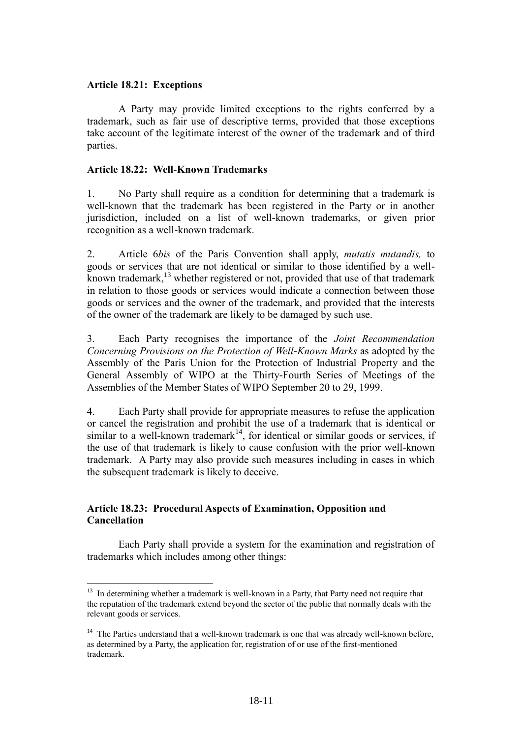# **Article 18.21: Exceptions**

l

A Party may provide limited exceptions to the rights conferred by a trademark, such as fair use of descriptive terms, provided that those exceptions take account of the legitimate interest of the owner of the trademark and of third parties.

# **Article 18.22: Well-Known Trademarks**

1. No Party shall require as a condition for determining that a trademark is well-known that the trademark has been registered in the Party or in another jurisdiction, included on a list of well-known trademarks, or given prior recognition as a well-known trademark.

2. Article 6*bis* of the Paris Convention shall apply, *mutatis mutandis,* to goods or services that are not identical or similar to those identified by a wellknown trademark, $13$  whether registered or not, provided that use of that trademark in relation to those goods or services would indicate a connection between those goods or services and the owner of the trademark, and provided that the interests of the owner of the trademark are likely to be damaged by such use.

3. Each Party recognises the importance of the *Joint Recommendation Concerning Provisions on the Protection of Well-Known Marks* as adopted by the Assembly of the Paris Union for the Protection of Industrial Property and the General Assembly of WIPO at the Thirty-Fourth Series of Meetings of the Assemblies of the Member States of WIPO September 20 to 29, 1999.

4. Each Party shall provide for appropriate measures to refuse the application or cancel the registration and prohibit the use of a trademark that is identical or similar to a well-known trademark<sup>14</sup>, for identical or similar goods or services, if the use of that trademark is likely to cause confusion with the prior well-known trademark. A Party may also provide such measures including in cases in which the subsequent trademark is likely to deceive.

# **Article 18.23: Procedural Aspects of Examination, Opposition and Cancellation**

Each Party shall provide a system for the examination and registration of trademarks which includes among other things:

 $13$  In determining whether a trademark is well-known in a Party, that Party need not require that the reputation of the trademark extend beyond the sector of the public that normally deals with the relevant goods or services.

<sup>&</sup>lt;sup>14</sup> The Parties understand that a well-known trademark is one that was already well-known before, as determined by a Party, the application for, registration of or use of the first-mentioned trademark.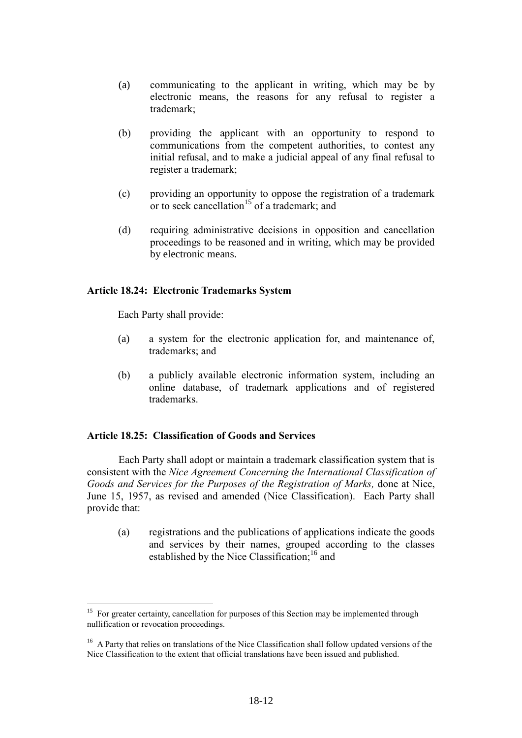- (a) communicating to the applicant in writing, which may be by electronic means, the reasons for any refusal to register a trademark;
- (b) providing the applicant with an opportunity to respond to communications from the competent authorities, to contest any initial refusal, and to make a judicial appeal of any final refusal to register a trademark;
- (c) providing an opportunity to oppose the registration of a trademark or to seek cancellation<sup>15</sup> of a trademark; and
- (d) requiring administrative decisions in opposition and cancellation proceedings to be reasoned and in writing, which may be provided by electronic means.

# **Article 18.24: Electronic Trademarks System**

Each Party shall provide:

l

- (a) a system for the electronic application for, and maintenance of, trademarks; and
- (b) a publicly available electronic information system, including an online database, of trademark applications and of registered trademarks.

# **Article 18.25: Classification of Goods and Services**

Each Party shall adopt or maintain a trademark classification system that is consistent with the *Nice Agreement Concerning the International Classification of Goods and Services for the Purposes of the Registration of Marks,* done at Nice, June 15, 1957, as revised and amended (Nice Classification). Each Party shall provide that:

(a) registrations and the publications of applications indicate the goods and services by their names, grouped according to the classes established by the Nice Classification;<sup>16</sup> and

<sup>15</sup> For greater certainty, cancellation for purposes of this Section may be implemented through nullification or revocation proceedings.

<sup>&</sup>lt;sup>16</sup> A Party that relies on translations of the Nice Classification shall follow updated versions of the Nice Classification to the extent that official translations have been issued and published.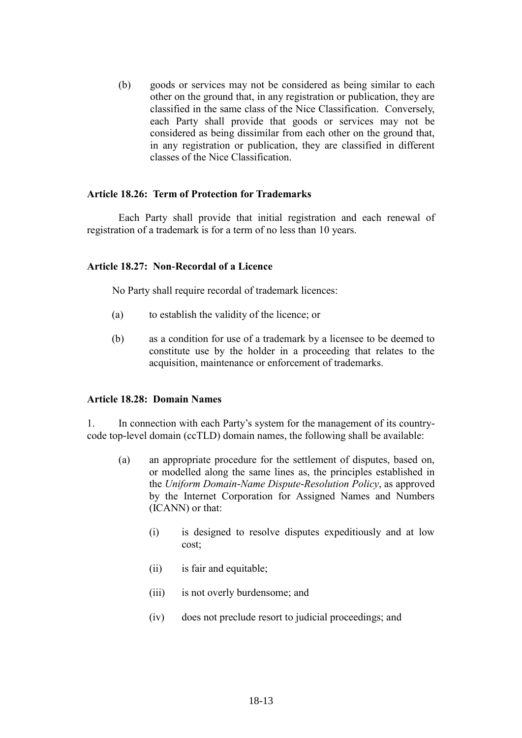(b) goods or services may not be considered as being similar to each other on the ground that, in any registration or publication, they are classified in the same class of the Nice Classification. Conversely, each Party shall provide that goods or services may not be considered as being dissimilar from each other on the ground that, in any registration or publication, they are classified in different classes of the Nice Classification.

### **Article 18.26: Term of Protection for Trademarks**

Each Party shall provide that initial registration and each renewal of registration of a trademark is for a term of no less than 10 years.

# **Article 18.27: Non-Recordal of a Licence**

No Party shall require recordal of trademark licences:

- (a) to establish the validity of the licence; or
- (b) as a condition for use of a trademark by a licensee to be deemed to constitute use by the holder in a proceeding that relates to the acquisition, maintenance or enforcement of trademarks.

#### **Article 18.28: Domain Names**

1. In connection with each Party's system for the management of its countrycode top-level domain (ccTLD) domain names, the following shall be available:

- (a) an appropriate procedure for the settlement of disputes, based on, or modelled along the same lines as, the principles established in the *Uniform Domain-Name Dispute-Resolution Policy*, as approved by the Internet Corporation for Assigned Names and Numbers (ICANN) or that:
	- (i) is designed to resolve disputes expeditiously and at low cost;
	- (ii) is fair and equitable;
	- (iii) is not overly burdensome; and
	- (iv) does not preclude resort to judicial proceedings; and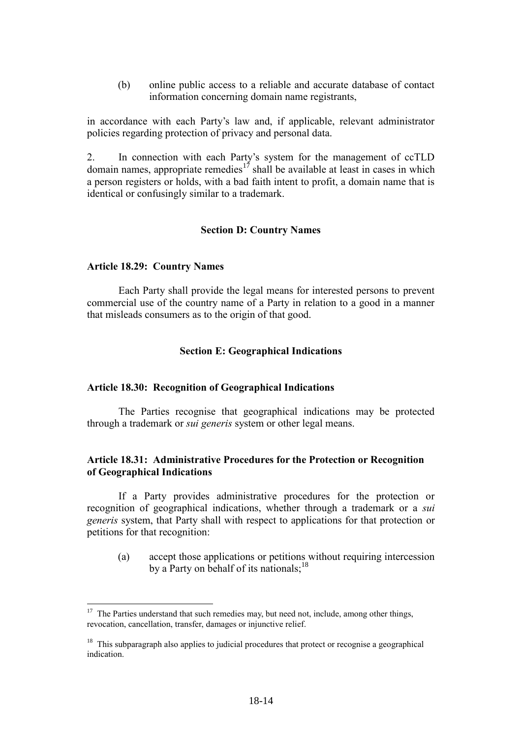(b) online public access to a reliable and accurate database of contact information concerning domain name registrants,

in accordance with each Party's law and, if applicable, relevant administrator policies regarding protection of privacy and personal data.

2. In connection with each Party's system for the management of ccTLD domain names, appropriate remedies<sup>17</sup> shall be available at least in cases in which a person registers or holds, with a bad faith intent to profit, a domain name that is identical or confusingly similar to a trademark.

#### **Section D: Country Names**

# **Article 18.29: Country Names**

l

Each Party shall provide the legal means for interested persons to prevent commercial use of the country name of a Party in relation to a good in a manner that misleads consumers as to the origin of that good.

#### **Section E: Geographical Indications**

#### **Article 18.30: Recognition of Geographical Indications**

The Parties recognise that geographical indications may be protected through a trademark or *sui generis* system or other legal means.

# **Article 18.31: Administrative Procedures for the Protection or Recognition of Geographical Indications**

If a Party provides administrative procedures for the protection or recognition of geographical indications, whether through a trademark or a *sui generis* system, that Party shall with respect to applications for that protection or petitions for that recognition:

(a) accept those applications or petitions without requiring intercession by a Party on behalf of its nationals;<sup>18</sup>

<sup>17</sup> The Parties understand that such remedies may, but need not, include, among other things, revocation, cancellation, transfer, damages or injunctive relief.

<sup>&</sup>lt;sup>18</sup> This subparagraph also applies to judicial procedures that protect or recognise a geographical indication.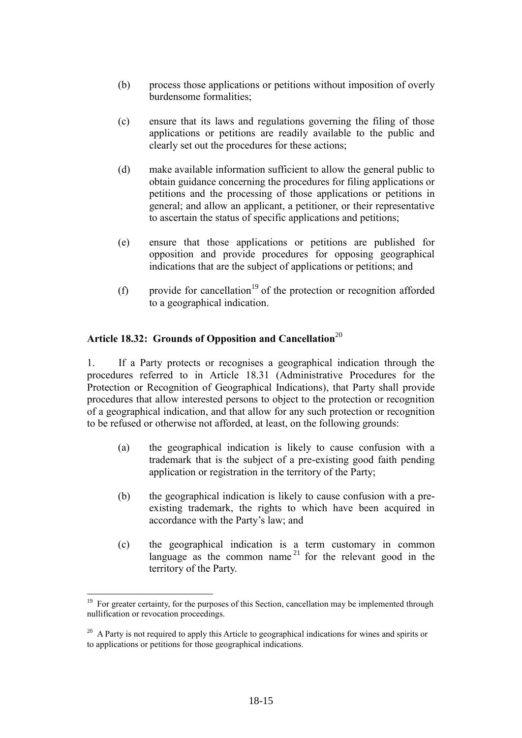- (b) process those applications or petitions without imposition of overly burdensome formalities;
- (c) ensure that its laws and regulations governing the filing of those applications or petitions are readily available to the public and clearly set out the procedures for these actions;
- (d) make available information sufficient to allow the general public to obtain guidance concerning the procedures for filing applications or petitions and the processing of those applications or petitions in general; and allow an applicant, a petitioner, or their representative to ascertain the status of specific applications and petitions;
- (e) ensure that those applications or petitions are published for opposition and provide procedures for opposing geographical indications that are the subject of applications or petitions; and
- (f) provide for cancellation<sup>19</sup> of the protection or recognition afforded to a geographical indication.

# Article 18.32: Grounds of Opposition and Cancellation<sup>20</sup>

1. If a Party protects or recognises a geographical indication through the procedures referred to in Article 18.31 (Administrative Procedures for the Protection or Recognition of Geographical Indications), that Party shall provide procedures that allow interested persons to object to the protection or recognition of a geographical indication, and that allow for any such protection or recognition to be refused or otherwise not afforded, at least, on the following grounds:

- (a) the geographical indication is likely to cause confusion with a trademark that is the subject of a pre-existing good faith pending application or registration in the territory of the Party;
- (b) the geographical indication is likely to cause confusion with a preexisting trademark, the rights to which have been acquired in accordance with the Party's law; and
- (c) the geographical indication is a term customary in common language as the common name  $2<sup>1</sup>$  for the relevant good in the territory of the Party.

l <sup>19</sup> For greater certainty, for the purposes of this Section, cancellation may be implemented through nullification or revocation proceedings.

<sup>&</sup>lt;sup>20</sup> A Party is not required to apply this Article to geographical indications for wines and spirits or to applications or petitions for those geographical indications.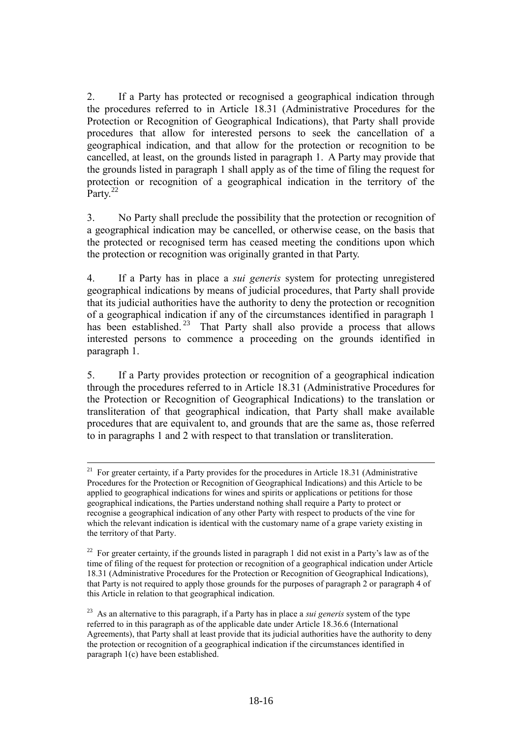2. If a Party has protected or recognised a geographical indication through the procedures referred to in Article 18.31 (Administrative Procedures for the Protection or Recognition of Geographical Indications), that Party shall provide procedures that allow for interested persons to seek the cancellation of a geographical indication, and that allow for the protection or recognition to be cancelled, at least, on the grounds listed in paragraph 1. A Party may provide that the grounds listed in paragraph 1 shall apply as of the time of filing the request for protection or recognition of a geographical indication in the territory of the Party. $^{22}$ 

3. No Party shall preclude the possibility that the protection or recognition of a geographical indication may be cancelled, or otherwise cease, on the basis that the protected or recognised term has ceased meeting the conditions upon which the protection or recognition was originally granted in that Party.

4. If a Party has in place a *sui generis* system for protecting unregistered geographical indications by means of judicial procedures, that Party shall provide that its judicial authorities have the authority to deny the protection or recognition of a geographical indication if any of the circumstances identified in paragraph 1 has been established.<sup>23</sup> That Party shall also provide a process that allows interested persons to commence a proceeding on the grounds identified in paragraph 1.

5. If a Party provides protection or recognition of a geographical indication through the procedures referred to in Article 18.31 (Administrative Procedures for the Protection or Recognition of Geographical Indications) to the translation or transliteration of that geographical indication, that Party shall make available procedures that are equivalent to, and grounds that are the same as, those referred to in paragraphs 1 and 2 with respect to that translation or transliteration.

1

<sup>&</sup>lt;sup>21</sup> For greater certainty, if a Party provides for the procedures in Article 18.31 (Administrative Procedures for the Protection or Recognition of Geographical Indications) and this Article to be applied to geographical indications for wines and spirits or applications or petitions for those geographical indications, the Parties understand nothing shall require a Party to protect or recognise a geographical indication of any other Party with respect to products of the vine for which the relevant indication is identical with the customary name of a grape variety existing in the territory of that Party.

<sup>&</sup>lt;sup>22</sup> For greater certainty, if the grounds listed in paragraph 1 did not exist in a Party's law as of the time of filing of the request for protection or recognition of a geographical indication under Article 18.31 (Administrative Procedures for the Protection or Recognition of Geographical Indications), that Party is not required to apply those grounds for the purposes of paragraph 2 or paragraph 4 of this Article in relation to that geographical indication.

<sup>23</sup> As an alternative to this paragraph, if a Party has in place a *sui generis* system of the type referred to in this paragraph as of the applicable date under Article 18.36.6 (International Agreements), that Party shall at least provide that its judicial authorities have the authority to deny the protection or recognition of a geographical indication if the circumstances identified in paragraph 1(c) have been established.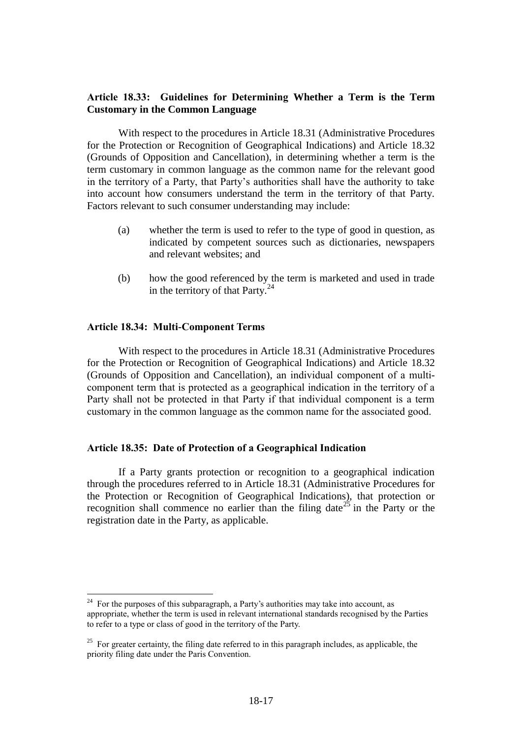# **Article 18.33: Guidelines for Determining Whether a Term is the Term Customary in the Common Language**

With respect to the procedures in Article 18.31 (Administrative Procedures for the Protection or Recognition of Geographical Indications) and Article 18.32 (Grounds of Opposition and Cancellation), in determining whether a term is the term customary in common language as the common name for the relevant good in the territory of a Party, that Party's authorities shall have the authority to take into account how consumers understand the term in the territory of that Party. Factors relevant to such consumer understanding may include:

- (a) whether the term is used to refer to the type of good in question, as indicated by competent sources such as dictionaries, newspapers and relevant websites; and
- (b) how the good referenced by the term is marketed and used in trade in the territory of that Party. $^{24}$

## **Article 18.34: Multi-Component Terms**

With respect to the procedures in Article 18.31 (Administrative Procedures for the Protection or Recognition of Geographical Indications) and Article 18.32 (Grounds of Opposition and Cancellation), an individual component of a multicomponent term that is protected as a geographical indication in the territory of a Party shall not be protected in that Party if that individual component is a term customary in the common language as the common name for the associated good.

#### **Article 18.35: Date of Protection of a Geographical Indication**

If a Party grants protection or recognition to a geographical indication through the procedures referred to in Article 18.31 (Administrative Procedures for the Protection or Recognition of Geographical Indications), that protection or recognition shall commence no earlier than the filing date<sup>25</sup> in the Party or the registration date in the Party, as applicable.

l  $24$  For the purposes of this subparagraph, a Party's authorities may take into account, as appropriate, whether the term is used in relevant international standards recognised by the Parties to refer to a type or class of good in the territory of the Party.

 $25$  For greater certainty, the filing date referred to in this paragraph includes, as applicable, the priority filing date under the Paris Convention.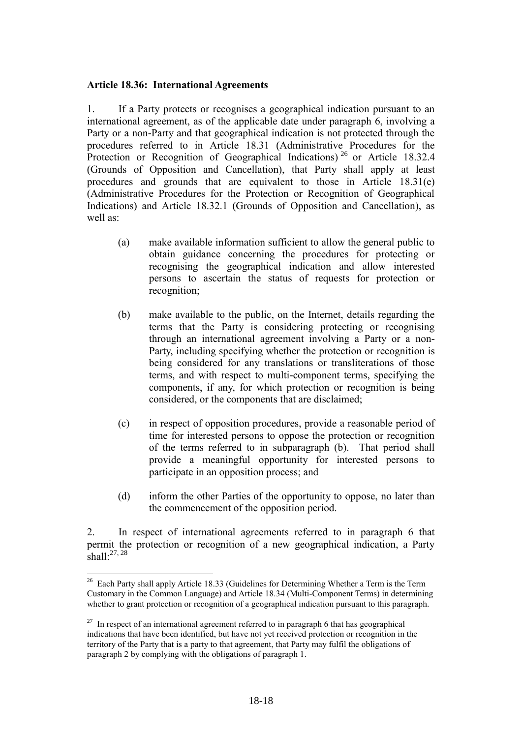## **Article 18.36: International Agreements**

1. If a Party protects or recognises a geographical indication pursuant to an international agreement, as of the applicable date under paragraph 6, involving a Party or a non-Party and that geographical indication is not protected through the procedures referred to in Article 18.31 (Administrative Procedures for the Protection or Recognition of Geographical Indications)<sup>26</sup> or Article 18.32.4 (Grounds of Opposition and Cancellation), that Party shall apply at least procedures and grounds that are equivalent to those in Article 18.31(e) (Administrative Procedures for the Protection or Recognition of Geographical Indications) and Article 18.32.1 (Grounds of Opposition and Cancellation), as well as:

- (a) make available information sufficient to allow the general public to obtain guidance concerning the procedures for protecting or recognising the geographical indication and allow interested persons to ascertain the status of requests for protection or recognition;
- (b) make available to the public, on the Internet, details regarding the terms that the Party is considering protecting or recognising through an international agreement involving a Party or a non-Party, including specifying whether the protection or recognition is being considered for any translations or transliterations of those terms, and with respect to multi-component terms, specifying the components, if any, for which protection or recognition is being considered, or the components that are disclaimed;
- (c) in respect of opposition procedures, provide a reasonable period of time for interested persons to oppose the protection or recognition of the terms referred to in subparagraph (b). That period shall provide a meaningful opportunity for interested persons to participate in an opposition process; and
- (d) inform the other Parties of the opportunity to oppose, no later than the commencement of the opposition period.

2. In respect of international agreements referred to in paragraph 6 that permit the protection or recognition of a new geographical indication, a Party  $shall.27, 28$ 

l  $26$  Each Party shall apply Article 18.33 (Guidelines for Determining Whether a Term is the Term Customary in the Common Language) and Article 18.34 (Multi-Component Terms) in determining whether to grant protection or recognition of a geographical indication pursuant to this paragraph.

 $27$  In respect of an international agreement referred to in paragraph 6 that has geographical indications that have been identified, but have not yet received protection or recognition in the territory of the Party that is a party to that agreement, that Party may fulfil the obligations of paragraph 2 by complying with the obligations of paragraph 1.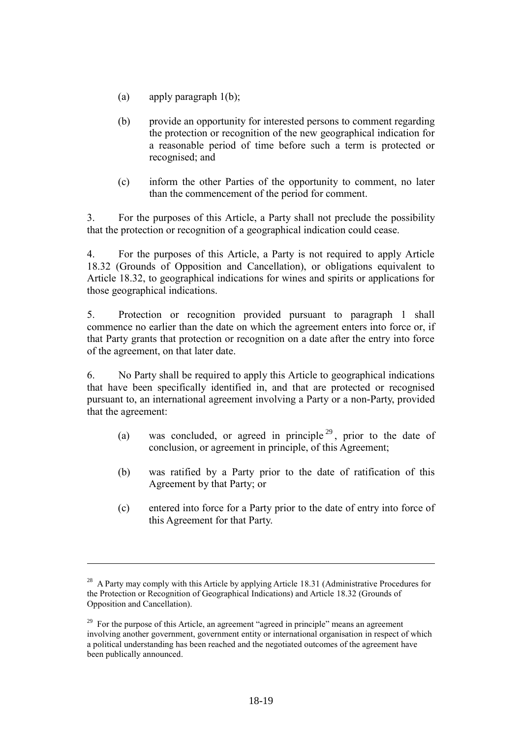- (a) apply paragraph 1(b);
- (b) provide an opportunity for interested persons to comment regarding the protection or recognition of the new geographical indication for a reasonable period of time before such a term is protected or recognised; and
- (c) inform the other Parties of the opportunity to comment, no later than the commencement of the period for comment.

3. For the purposes of this Article, a Party shall not preclude the possibility that the protection or recognition of a geographical indication could cease.

4. For the purposes of this Article, a Party is not required to apply Article 18.32 (Grounds of Opposition and Cancellation), or obligations equivalent to Article 18.32, to geographical indications for wines and spirits or applications for those geographical indications.

5. Protection or recognition provided pursuant to paragraph 1 shall commence no earlier than the date on which the agreement enters into force or, if that Party grants that protection or recognition on a date after the entry into force of the agreement, on that later date.

6. No Party shall be required to apply this Article to geographical indications that have been specifically identified in, and that are protected or recognised pursuant to, an international agreement involving a Party or a non-Party, provided that the agreement:

- (a) was concluded, or agreed in principle  $2^9$ , prior to the date of conclusion, or agreement in principle, of this Agreement;
- (b) was ratified by a Party prior to the date of ratification of this Agreement by that Party; or
- (c) entered into force for a Party prior to the date of entry into force of this Agreement for that Party.

1

 $28$  A Party may comply with this Article by applying Article 18.31 (Administrative Procedures for the Protection or Recognition of Geographical Indications) and Article 18.32 (Grounds of Opposition and Cancellation).

 $29$  For the purpose of this Article, an agreement "agreed in principle" means an agreement involving another government, government entity or international organisation in respect of which a political understanding has been reached and the negotiated outcomes of the agreement have been publically announced.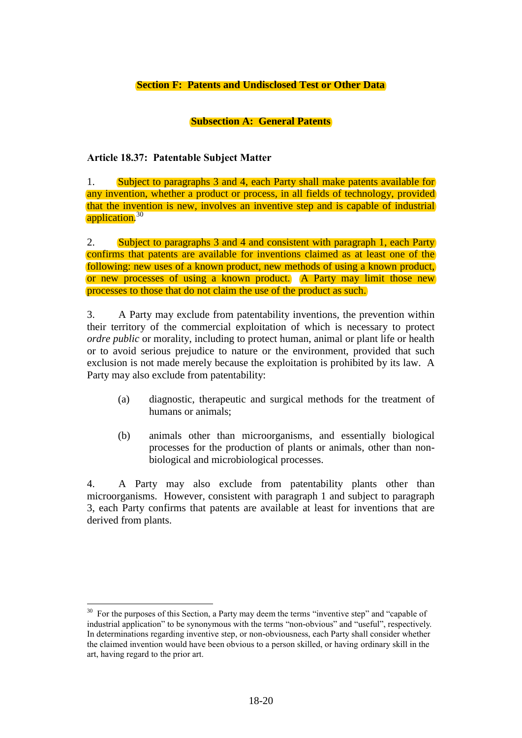# **Section F: Patents and Undisclosed Test or Other Data**

# **Subsection A: General Patents**

# **Article 18.37: Patentable Subject Matter**

1. Subject to paragraphs 3 and 4, each Party shall make patents available for any invention, whether a product or process, in all fields of technology, provided that the invention is new, involves an inventive step and is capable of industrial application.<sup>30</sup>

2. Subject to paragraphs 3 and 4 and consistent with paragraph 1, each Party confirms that patents are available for inventions claimed as at least one of the following: new uses of a known product, new methods of using a known product, or new processes of using a known product. A Party may limit those new processes to those that do not claim the use of the product as such.

3. A Party may exclude from patentability inventions, the prevention within their territory of the commercial exploitation of which is necessary to protect *ordre public* or morality, including to protect human, animal or plant life or health or to avoid serious prejudice to nature or the environment, provided that such exclusion is not made merely because the exploitation is prohibited by its law. A Party may also exclude from patentability:

- (a) diagnostic, therapeutic and surgical methods for the treatment of humans or animals;
- (b) animals other than microorganisms, and essentially biological processes for the production of plants or animals, other than nonbiological and microbiological processes.

4. A Party may also exclude from patentability plants other than microorganisms. However, consistent with paragraph 1 and subject to paragraph 3, each Party confirms that patents are available at least for inventions that are derived from plants.

 30 For the purposes of this Section, a Party may deem the terms "inventive step" and "capable of industrial application" to be synonymous with the terms "non-obvious" and "useful", respectively. In determinations regarding inventive step, or non-obviousness, each Party shall consider whether the claimed invention would have been obvious to a person skilled, or having ordinary skill in the art, having regard to the prior art.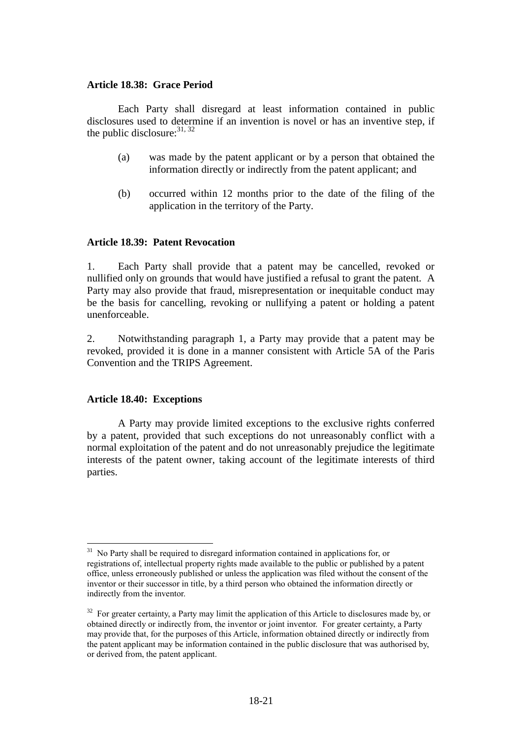### **Article 18.38: Grace Period**

Each Party shall disregard at least information contained in public disclosures used to determine if an invention is novel or has an inventive step, if the public disclosure:  $31, 32$ 

- (a) was made by the patent applicant or by a person that obtained the information directly or indirectly from the patent applicant; and
- (b) occurred within 12 months prior to the date of the filing of the application in the territory of the Party.

# **Article 18.39: Patent Revocation**

1. Each Party shall provide that a patent may be cancelled, revoked or nullified only on grounds that would have justified a refusal to grant the patent. A Party may also provide that fraud, misrepresentation or inequitable conduct may be the basis for cancelling, revoking or nullifying a patent or holding a patent unenforceable.

2. Notwithstanding paragraph 1, a Party may provide that a patent may be revoked, provided it is done in a manner consistent with Article 5A of the Paris Convention and the TRIPS Agreement.

# **Article 18.40: Exceptions**

l

A Party may provide limited exceptions to the exclusive rights conferred by a patent, provided that such exceptions do not unreasonably conflict with a normal exploitation of the patent and do not unreasonably prejudice the legitimate interests of the patent owner, taking account of the legitimate interests of third parties.

 $31$  No Party shall be required to disregard information contained in applications for, or registrations of, intellectual property rights made available to the public or published by a patent office, unless erroneously published or unless the application was filed without the consent of the inventor or their successor in title, by a third person who obtained the information directly or indirectly from the inventor.

<sup>&</sup>lt;sup>32</sup> For greater certainty, a Party may limit the application of this Article to disclosures made by, or obtained directly or indirectly from, the inventor or joint inventor. For greater certainty, a Party may provide that, for the purposes of this Article, information obtained directly or indirectly from the patent applicant may be information contained in the public disclosure that was authorised by, or derived from, the patent applicant.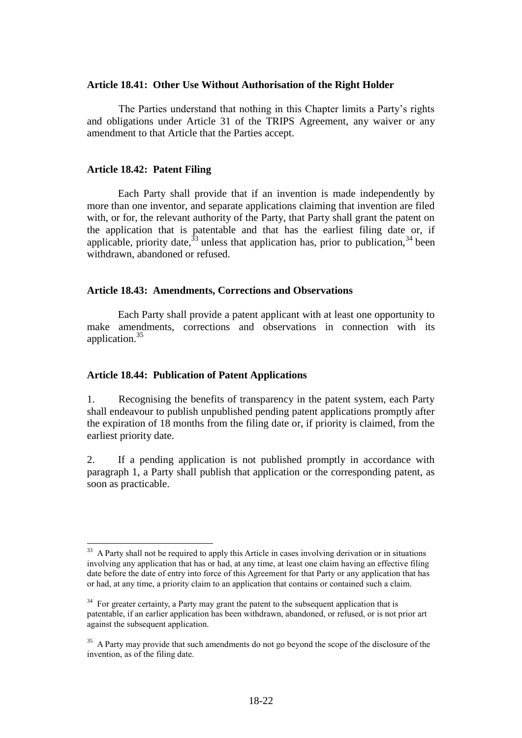#### **Article 18.41: Other Use Without Authorisation of the Right Holder**

The Parties understand that nothing in this Chapter limits a Party's rights and obligations under Article 31 of the TRIPS Agreement, any waiver or any amendment to that Article that the Parties accept.

#### **Article 18.42: Patent Filing**

l

Each Party shall provide that if an invention is made independently by more than one inventor, and separate applications claiming that invention are filed with, or for, the relevant authority of the Party, that Party shall grant the patent on the application that is patentable and that has the earliest filing date or, if applicable, priority date,  $33$  unless that application has, prior to publication,  $34$  been withdrawn, abandoned or refused.

#### **Article 18.43: Amendments, Corrections and Observations**

Each Party shall provide a patent applicant with at least one opportunity to make amendments, corrections and observations in connection with its application. 35

#### **Article 18.44: Publication of Patent Applications**

1. Recognising the benefits of transparency in the patent system, each Party shall endeavour to publish unpublished pending patent applications promptly after the expiration of 18 months from the filing date or, if priority is claimed, from the earliest priority date.

2. If a pending application is not published promptly in accordance with paragraph 1, a Party shall publish that application or the corresponding patent, as soon as practicable.

 $33$  A Party shall not be required to apply this Article in cases involving derivation or in situations involving any application that has or had, at any time, at least one claim having an effective filing date before the date of entry into force of this Agreement for that Party or any application that has or had, at any time, a priority claim to an application that contains or contained such a claim.

 $34$  For greater certainty, a Party may grant the patent to the subsequent application that is patentable, if an earlier application has been withdrawn, abandoned, or refused, or is not prior art against the subsequent application.

<sup>&</sup>lt;sup>35</sup> A Party may provide that such amendments do not go beyond the scope of the disclosure of the invention, as of the filing date.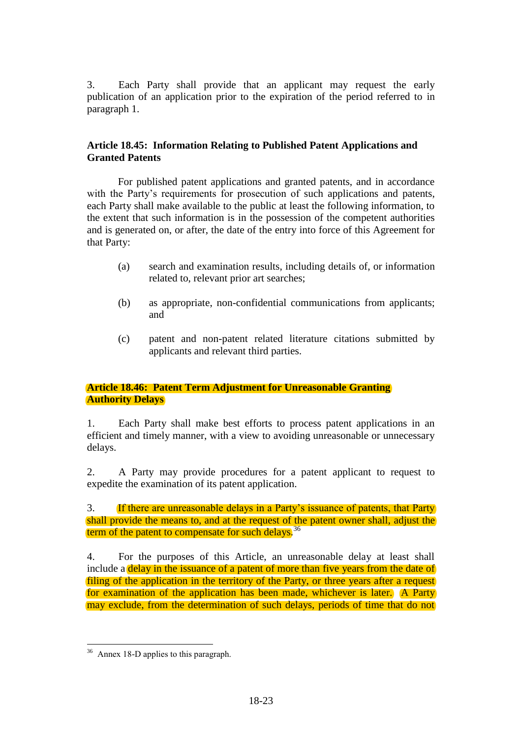3. Each Party shall provide that an applicant may request the early publication of an application prior to the expiration of the period referred to in paragraph 1.

# **Article 18.45: Information Relating to Published Patent Applications and Granted Patents**

For published patent applications and granted patents, and in accordance with the Party's requirements for prosecution of such applications and patents, each Party shall make available to the public at least the following information, to the extent that such information is in the possession of the competent authorities and is generated on, or after, the date of the entry into force of this Agreement for that Party:

- (a) search and examination results, including details of, or information related to, relevant prior art searches;
- (b) as appropriate, non-confidential communications from applicants; and
- (c) patent and non-patent related literature citations submitted by applicants and relevant third parties.

# **Article 18.46: Patent Term Adjustment for Unreasonable Granting Authority Delays**

1. Each Party shall make best efforts to process patent applications in an efficient and timely manner, with a view to avoiding unreasonable or unnecessary delays.

2. A Party may provide procedures for a patent applicant to request to expedite the examination of its patent application.

3. If there are unreasonable delays in a Party's issuance of patents, that Party shall provide the means to, and at the request of the patent owner shall, adjust the term of the patent to compensate for such delays.<sup>36</sup>

4. For the purposes of this Article, an unreasonable delay at least shall include a **delay in the issuance of a patent of more than five years from the date of** filing of the application in the territory of the Party, or three years after a request for examination of the application has been made, whichever is later. A Party may exclude, from the determination of such delays, periods of time that do not

l  $36$  Annex 18-D applies to this paragraph.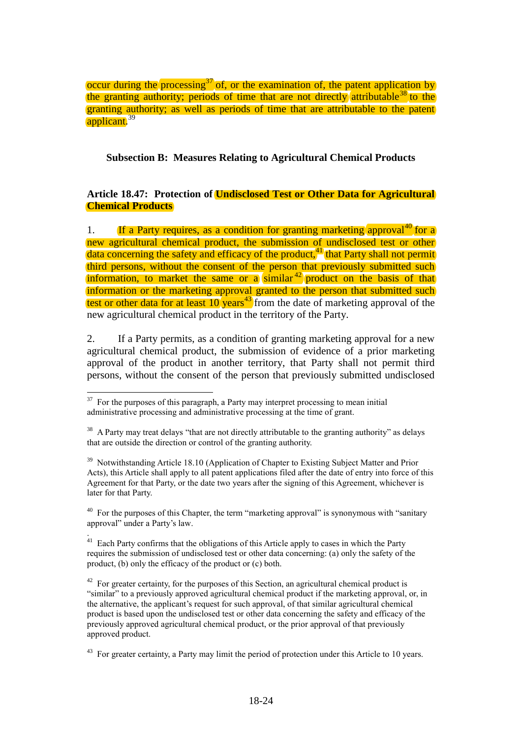occur during the processing<sup>37</sup> of, or the examination of, the patent application by the granting authority; periods of time that are not directly attributable<sup>38</sup> to the granting authority; as well as periods of time that are attributable to the patent applicant.<sup>39</sup>

**Subsection B: Measures Relating to Agricultural Chemical Products**

# **Article 18.47: Protection of Undisclosed Test or Other Data for Agricultural Chemical Products**

1. If a Party requires, as a condition for granting marketing approval<sup>40</sup> for a new agricultural chemical product, the submission of undisclosed test or other data concerning the safety and efficacy of the product,<sup>41</sup> that Party shall not permit third persons, without the consent of the person that previously submitted such information, to market the same or a similar  $42$  product on the basis of that information or the marketing approval granted to the person that submitted such test or other data for at least  $10$  years<sup>43</sup> from the date of marketing approval of the new agricultural chemical product in the territory of the Party.

2. If a Party permits, as a condition of granting marketing approval for a new agricultural chemical product, the submission of evidence of a prior marketing approval of the product in another territory, that Party shall not permit third persons, without the consent of the person that previously submitted undisclosed

 $40$  For the purposes of this Chapter, the term "marketing approval" is synonymous with "sanitary approval" under a Party's law.

l  $37$  For the purposes of this paragraph, a Party may interpret processing to mean initial administrative processing and administrative processing at the time of grant.

<sup>&</sup>lt;sup>38</sup> A Party may treat delays "that are not directly attributable to the granting authority" as delays that are outside the direction or control of the granting authority.

<sup>&</sup>lt;sup>39</sup> Notwithstanding Article 18.10 (Application of Chapter to Existing Subject Matter and Prior Acts), this Article shall apply to all patent applications filed after the date of entry into force of this Agreement for that Party, or the date two years after the signing of this Agreement, whichever is later for that Party.

<sup>.</sup>  $41$  Each Party confirms that the obligations of this Article apply to cases in which the Party requires the submission of undisclosed test or other data concerning: (a) only the safety of the product, (b) only the efficacy of the product or (c) both.

 $42$  For greater certainty, for the purposes of this Section, an agricultural chemical product is "similar" to a previously approved agricultural chemical product if the marketing approval, or, in the alternative, the applicant's request for such approval, of that similar agricultural chemical product is based upon the undisclosed test or other data concerning the safety and efficacy of the previously approved agricultural chemical product, or the prior approval of that previously approved product.

<sup>&</sup>lt;sup>43</sup> For greater certainty, a Party may limit the period of protection under this Article to 10 years.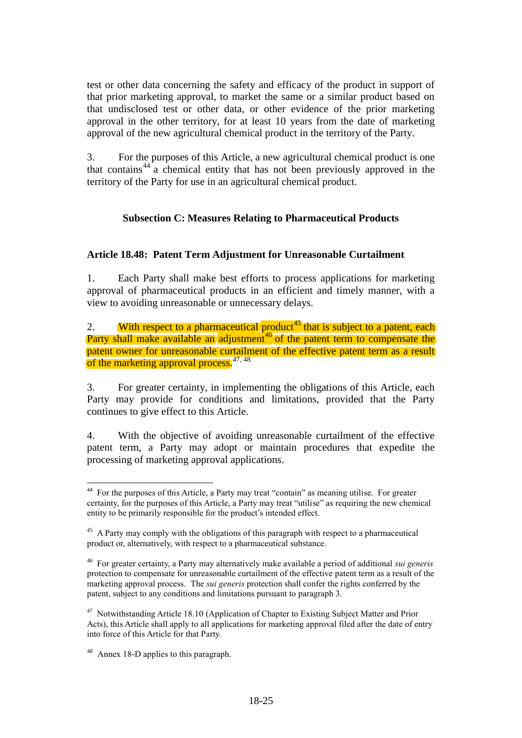test or other data concerning the safety and efficacy of the product in support of that prior marketing approval, to market the same or a similar product based on that undisclosed test or other data, or other evidence of the prior marketing approval in the other territory, for at least 10 years from the date of marketing approval of the new agricultural chemical product in the territory of the Party.

3. For the purposes of this Article, a new agricultural chemical product is one that contains<sup>44</sup> a chemical entity that has not been previously approved in the territory of the Party for use in an agricultural chemical product.

# **Subsection C: Measures Relating to Pharmaceutical Products**

# **Article 18.48: Patent Term Adjustment for Unreasonable Curtailment**

1. Each Party shall make best efforts to process applications for marketing approval of pharmaceutical products in an efficient and timely manner, with a view to avoiding unreasonable or unnecessary delays.

2. With respect to a pharmaceutical product<sup>45</sup> that is subject to a patent, each Party shall make available an adjustment<sup>46</sup> of the patent term to compensate the patent owner for unreasonable curtailment of the effective patent term as a result of the marketing approval process.<sup>47, 48</sup>

3. For greater certainty, in implementing the obligations of this Article, each Party may provide for conditions and limitations, provided that the Party continues to give effect to this Article.

4. With the objective of avoiding unreasonable curtailment of the effective patent term, a Party may adopt or maintain procedures that expedite the processing of marketing approval applications.

<sup>&</sup>lt;sup>44</sup> For the purposes of this Article, a Party may treat "contain" as meaning utilise. For greater certainty, for the purposes of this Article, a Party may treat "utilise" as requiring the new chemical entity to be primarily responsible for the product's intended effect.

 $45$  A Party may comply with the obligations of this paragraph with respect to a pharmaceutical product or, alternatively, with respect to a pharmaceutical substance.

<sup>46</sup> For greater certainty, a Party may alternatively make available a period of additional *sui generis* protection to compensate for unreasonable curtailment of the effective patent term as a result of the marketing approval process. The *sui generis* protection shall confer the rights conferred by the patent, subject to any conditions and limitations pursuant to paragraph 3.

<sup>47</sup> Notwithstanding Article 18.10 (Application of Chapter to Existing Subject Matter and Prior Acts), this Article shall apply to all applications for marketing approval filed after the date of entry into force of this Article for that Party.

<sup>48</sup> Annex 18-D applies to this paragraph.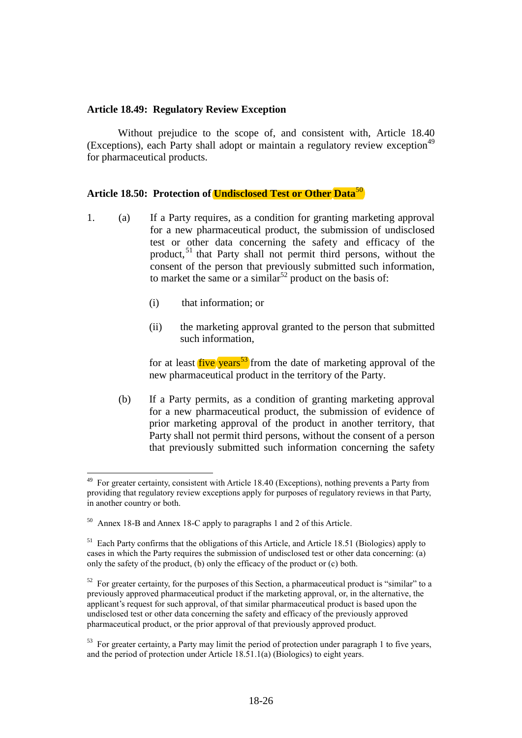### **Article 18.49: Regulatory Review Exception**

Without prejudice to the scope of, and consistent with, Article 18.40 (Exceptions), each Party shall adopt or maintain a regulatory review exception<sup>49</sup> for pharmaceutical products.

### **Article 18.50: Protection of Undisclosed Test or Other Data**<sup>50</sup>

- 1. (a) If a Party requires, as a condition for granting marketing approval for a new pharmaceutical product, the submission of undisclosed test or other data concerning the safety and efficacy of the product,<sup>51</sup> that Party shall not permit third persons, without the consent of the person that previously submitted such information, to market the same or a similar<sup>52</sup> product on the basis of:
	- (i) that information; or
	- (ii) the marketing approval granted to the person that submitted such information,

for at least five years<sup>53</sup> from the date of marketing approval of the new pharmaceutical product in the territory of the Party.

(b) If a Party permits, as a condition of granting marketing approval for a new pharmaceutical product, the submission of evidence of prior marketing approval of the product in another territory, that Party shall not permit third persons, without the consent of a person that previously submitted such information concerning the safety

<sup>&</sup>lt;sup>49</sup> For greater certainty, consistent with Article 18.40 (Exceptions), nothing prevents a Party from providing that regulatory review exceptions apply for purposes of regulatory reviews in that Party, in another country or both.

<sup>50</sup> Annex 18-B and Annex 18-C apply to paragraphs 1 and 2 of this Article.

<sup>&</sup>lt;sup>51</sup> Each Party confirms that the obligations of this Article, and Article 18.51 (Biologics) apply to cases in which the Party requires the submission of undisclosed test or other data concerning: (a) only the safety of the product, (b) only the efficacy of the product or (c) both.

 $52$  For greater certainty, for the purposes of this Section, a pharmaceutical product is "similar" to a previously approved pharmaceutical product if the marketing approval, or, in the alternative, the applicant's request for such approval, of that similar pharmaceutical product is based upon the undisclosed test or other data concerning the safety and efficacy of the previously approved pharmaceutical product, or the prior approval of that previously approved product.

<sup>&</sup>lt;sup>53</sup> For greater certainty, a Party may limit the period of protection under paragraph 1 to five years, and the period of protection under Article 18.51.1(a) (Biologics) to eight years.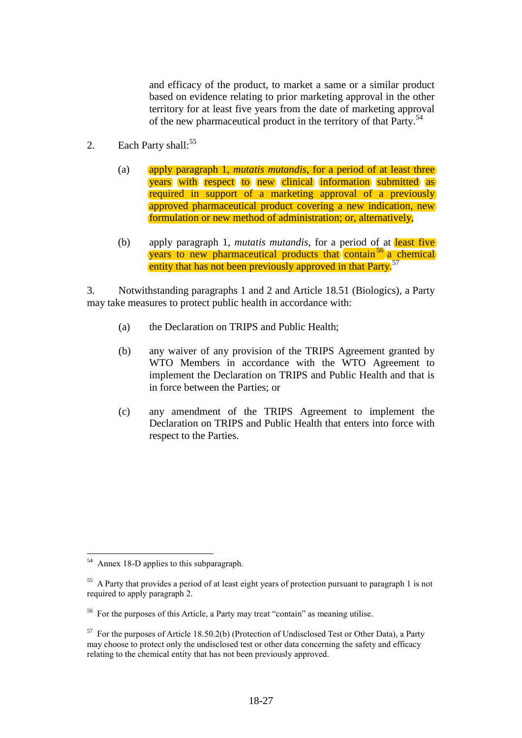and efficacy of the product, to market a same or a similar product based on evidence relating to prior marketing approval in the other territory for at least five years from the date of marketing approval of the new pharmaceutical product in the territory of that Party.<sup>54</sup>

- 2. Each Party shall:<sup>55</sup>
	- (a) apply paragraph 1, *mutatis mutandis*, for a period of at least three years with respect to new clinical information submitted as required in support of a marketing approval of a previously approved pharmaceutical product covering a new indication, new formulation or new method of administration; or, alternatively,
	- (b) apply paragraph 1, *mutatis mutandis*, for a period of at least five years to new pharmaceutical products that contain<sup>56</sup> a chemical entity that has not been previously approved in that Party.<sup>57</sup>

3. Notwithstanding paragraphs 1 and 2 and Article 18.51 (Biologics), a Party may take measures to protect public health in accordance with:

- (a) the Declaration on TRIPS and Public Health;
- (b) any waiver of any provision of the TRIPS Agreement granted by WTO Members in accordance with the WTO Agreement to implement the Declaration on TRIPS and Public Health and that is in force between the Parties; or
- (c) any amendment of the TRIPS Agreement to implement the Declaration on TRIPS and Public Health that enters into force with respect to the Parties.

Annex 18-D applies to this subparagraph.

 $55$  A Party that provides a period of at least eight years of protection pursuant to paragraph 1 is not required to apply paragraph 2.

<sup>&</sup>lt;sup>56</sup> For the purposes of this Article, a Party may treat "contain" as meaning utilise.

 $57$  For the purposes of Article 18.50.2(b) (Protection of Undisclosed Test or Other Data), a Party may choose to protect only the undisclosed test or other data concerning the safety and efficacy relating to the chemical entity that has not been previously approved.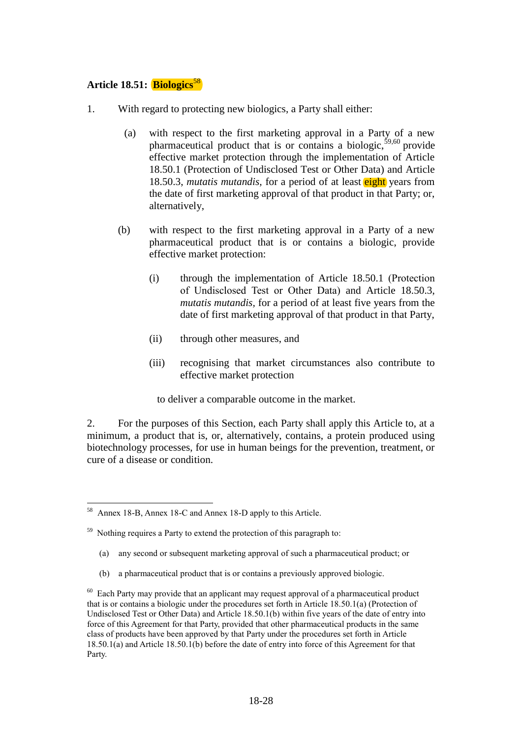# **Article 18.51: Biologics**<sup>58</sup>

- 1. With regard to protecting new biologics, a Party shall either:
	- (a) with respect to the first marketing approval in a Party of a new pharmaceutical product that is or contains a biologic,  $59,60$  provide effective market protection through the implementation of Article 18.50.1 (Protection of Undisclosed Test or Other Data) and Article 18.50.3, *mutatis mutandis*, for a period of at least **eight** years from the date of first marketing approval of that product in that Party; or, alternatively,
	- (b) with respect to the first marketing approval in a Party of a new pharmaceutical product that is or contains a biologic, provide effective market protection:
		- (i) through the implementation of Article 18.50.1 (Protection of Undisclosed Test or Other Data) and Article 18.50.3, *mutatis mutandis,* for a period of at least five years from the date of first marketing approval of that product in that Party,
		- (ii) through other measures, and
		- (iii) recognising that market circumstances also contribute to effective market protection

to deliver a comparable outcome in the market.

2. For the purposes of this Section, each Party shall apply this Article to, at a minimum, a product that is, or, alternatively, contains, a protein produced using biotechnology processes, for use in human beings for the prevention, treatment, or cure of a disease or condition.

- (a) any second or subsequent marketing approval of such a pharmaceutical product; or
- (b) a pharmaceutical product that is or contains a previously approved biologic.

l Annex 18-B, Annex 18-C and Annex 18-D apply to this Article.

<sup>&</sup>lt;sup>59</sup> Nothing requires a Party to extend the protection of this paragraph to:

 $60$  Each Party may provide that an applicant may request approval of a pharmaceutical product that is or contains a biologic under the procedures set forth in Article 18.50.1(a) (Protection of Undisclosed Test or Other Data) and Article 18.50.1(b) within five years of the date of entry into force of this Agreement for that Party, provided that other pharmaceutical products in the same class of products have been approved by that Party under the procedures set forth in Article 18.50.1(a) and Article 18.50.1(b) before the date of entry into force of this Agreement for that Party.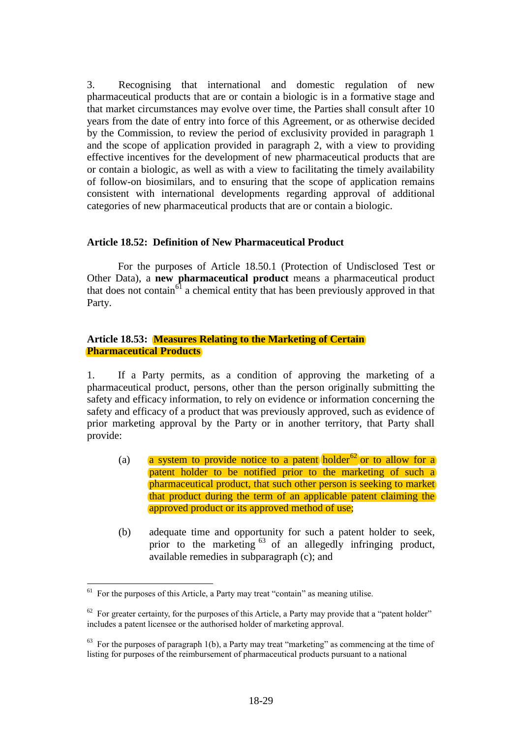3. Recognising that international and domestic regulation of new pharmaceutical products that are or contain a biologic is in a formative stage and that market circumstances may evolve over time, the Parties shall consult after 10 years from the date of entry into force of this Agreement, or as otherwise decided by the Commission, to review the period of exclusivity provided in paragraph 1 and the scope of application provided in paragraph 2, with a view to providing effective incentives for the development of new pharmaceutical products that are or contain a biologic, as well as with a view to facilitating the timely availability of follow-on biosimilars, and to ensuring that the scope of application remains consistent with international developments regarding approval of additional categories of new pharmaceutical products that are or contain a biologic.

### **Article 18.52: Definition of New Pharmaceutical Product**

For the purposes of Article 18.50.1 (Protection of Undisclosed Test or Other Data), a **new pharmaceutical product** means a pharmaceutical product that does not contain<sup>61</sup> a chemical entity that has been previously approved in that Party.

### **Article 18.53: Measures Relating to the Marketing of Certain Pharmaceutical Products**

1. If a Party permits, as a condition of approving the marketing of a pharmaceutical product, persons, other than the person originally submitting the safety and efficacy information, to rely on evidence or information concerning the safety and efficacy of a product that was previously approved, such as evidence of prior marketing approval by the Party or in another territory, that Party shall provide:

- (a) **a** system to provide notice to a patent holder<sup>62</sup> or to allow for a patent holder to be notified prior to the marketing of such a pharmaceutical product, that such other person is seeking to market that product during the term of an applicable patent claiming the approved product or its approved method of use;
- (b) adequate time and opportunity for such a patent holder to seek, prior to the marketing <sup>63</sup> of an allegedly infringing product, available remedies in subparagraph (c); and

 $61\,$ <sup>61</sup> For the purposes of this Article, a Party may treat "contain" as meaning utilise.

 $62$  For greater certainty, for the purposes of this Article, a Party may provide that a "patent holder" includes a patent licensee or the authorised holder of marketing approval.

 $63$  For the purposes of paragraph 1(b), a Party may treat "marketing" as commencing at the time of listing for purposes of the reimbursement of pharmaceutical products pursuant to a national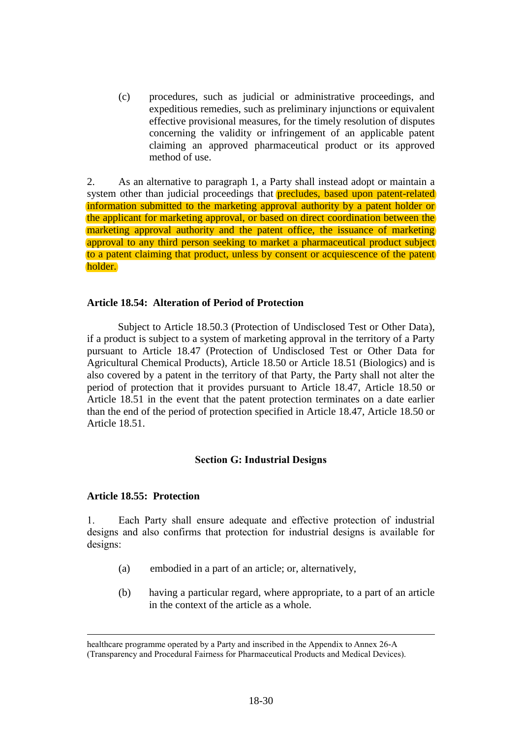(c) procedures, such as judicial or administrative proceedings, and expeditious remedies, such as preliminary injunctions or equivalent effective provisional measures, for the timely resolution of disputes concerning the validity or infringement of an applicable patent claiming an approved pharmaceutical product or its approved method of use.

2. As an alternative to paragraph 1, a Party shall instead adopt or maintain a system other than judicial proceedings that **precludes**, based upon patent-related information submitted to the marketing approval authority by a patent holder or the applicant for marketing approval, or based on direct coordination between the marketing approval authority and the patent office, the issuance of marketing approval to any third person seeking to market a pharmaceutical product subject to a patent claiming that product, unless by consent or acquiescence of the patent holder.

### **Article 18.54: Alteration of Period of Protection**

Subject to Article 18.50.3 (Protection of Undisclosed Test or Other Data), if a product is subject to a system of marketing approval in the territory of a Party pursuant to Article 18.47 (Protection of Undisclosed Test or Other Data for Agricultural Chemical Products), Article 18.50 or Article 18.51 (Biologics) and is also covered by a patent in the territory of that Party, the Party shall not alter the period of protection that it provides pursuant to Article 18.47, Article 18.50 or Article 18.51 in the event that the patent protection terminates on a date earlier than the end of the period of protection specified in Article 18.47, Article 18.50 or Article 18.51.

# **Section G: Industrial Designs**

#### **Article 18.55: Protection**

1

1. Each Party shall ensure adequate and effective protection of industrial designs and also confirms that protection for industrial designs is available for designs:

- (a) embodied in a part of an article; or, alternatively,
- (b) having a particular regard, where appropriate, to a part of an article in the context of the article as a whole.

healthcare programme operated by a Party and inscribed in the Appendix to Annex 26-A (Transparency and Procedural Fairness for Pharmaceutical Products and Medical Devices).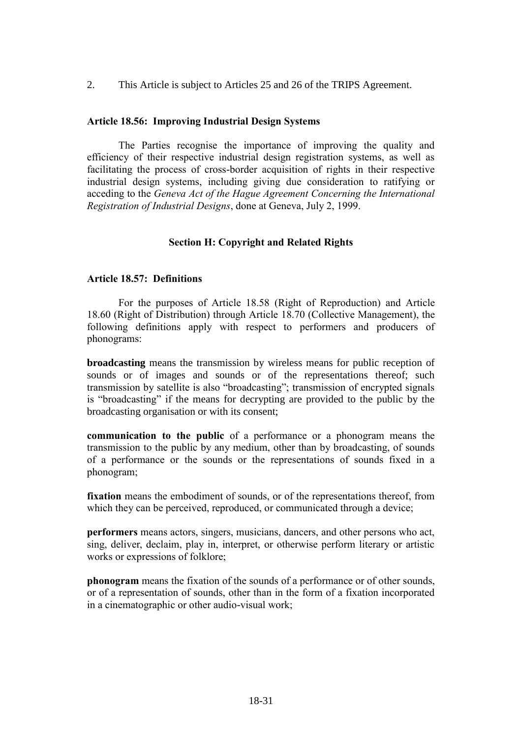2. This Article is subject to Articles 25 and 26 of the TRIPS Agreement.

# **Article 18.56: Improving Industrial Design Systems**

The Parties recognise the importance of improving the quality and efficiency of their respective industrial design registration systems, as well as facilitating the process of cross-border acquisition of rights in their respective industrial design systems, including giving due consideration to ratifying or acceding to the *Geneva Act of the Hague Agreement Concerning the International Registration of Industrial Designs*, done at Geneva, July 2, 1999.

# **Section H: Copyright and Related Rights**

### **Article 18.57: Definitions**

For the purposes of Article 18.58 (Right of Reproduction) and Article 18.60 (Right of Distribution) through Article 18.70 (Collective Management), the following definitions apply with respect to performers and producers of phonograms:

**broadcasting** means the transmission by wireless means for public reception of sounds or of images and sounds or of the representations thereof; such transmission by satellite is also "broadcasting"; transmission of encrypted signals is "broadcasting" if the means for decrypting are provided to the public by the broadcasting organisation or with its consent;

**communication to the public** of a performance or a phonogram means the transmission to the public by any medium, other than by broadcasting, of sounds of a performance or the sounds or the representations of sounds fixed in a phonogram;

**fixation** means the embodiment of sounds, or of the representations thereof, from which they can be perceived, reproduced, or communicated through a device;

**performers** means actors, singers, musicians, dancers, and other persons who act, sing, deliver, declaim, play in, interpret, or otherwise perform literary or artistic works or expressions of folklore;

**phonogram** means the fixation of the sounds of a performance or of other sounds, or of a representation of sounds, other than in the form of a fixation incorporated in a cinematographic or other audio-visual work;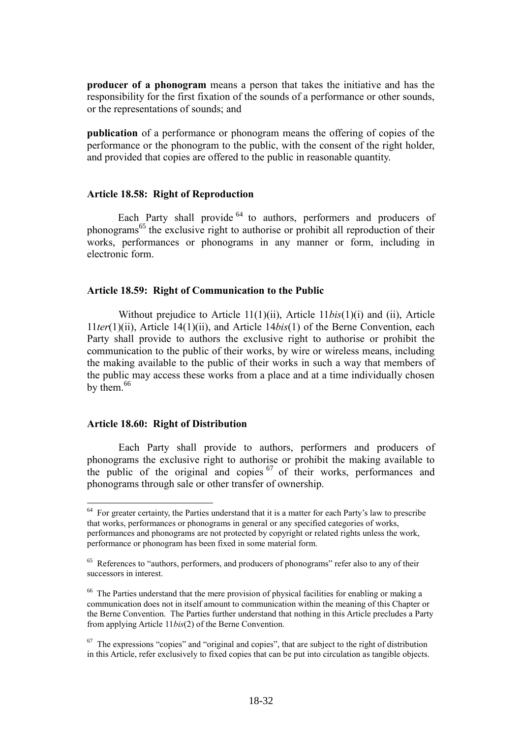**producer of a phonogram** means a person that takes the initiative and has the responsibility for the first fixation of the sounds of a performance or other sounds, or the representations of sounds; and

**publication** of a performance or phonogram means the offering of copies of the performance or the phonogram to the public, with the consent of the right holder, and provided that copies are offered to the public in reasonable quantity.

#### **Article 18.58: Right of Reproduction**

Each Party shall provide<sup>64</sup> to authors, performers and producers of phonograms<sup>65</sup> the exclusive right to authorise or prohibit all reproduction of their works, performances or phonograms in any manner or form, including in electronic form.

### **Article 18.59: Right of Communication to the Public**

Without prejudice to Article 11(1)(ii), Article 11*bis*(1)(i) and (ii), Article 11*ter*(1)(ii), Article 14(1)(ii), and Article 14*bis*(1) of the Berne Convention, each Party shall provide to authors the exclusive right to authorise or prohibit the communication to the public of their works, by wire or wireless means, including the making available to the public of their works in such a way that members of the public may access these works from a place and at a time individually chosen by them. $66$ 

#### **Article 18.60: Right of Distribution**

l

Each Party shall provide to authors, performers and producers of phonograms the exclusive right to authorise or prohibit the making available to the public of the original and copies  $67$  of their works, performances and phonograms through sale or other transfer of ownership.

<sup>&</sup>lt;sup>64</sup> For greater certainty, the Parties understand that it is a matter for each Party's law to prescribe that works, performances or phonograms in general or any specified categories of works, performances and phonograms are not protected by copyright or related rights unless the work, performance or phonogram has been fixed in some material form.

<sup>65</sup> References to "authors, performers, and producers of phonograms" refer also to any of their successors in interest.

<sup>&</sup>lt;sup>66</sup> The Parties understand that the mere provision of physical facilities for enabling or making a communication does not in itself amount to communication within the meaning of this Chapter or the Berne Convention. The Parties further understand that nothing in this Article precludes a Party from applying Article 11*bis*(2) of the Berne Convention.

 $67$  The expressions "copies" and "original and copies", that are subject to the right of distribution in this Article, refer exclusively to fixed copies that can be put into circulation as tangible objects.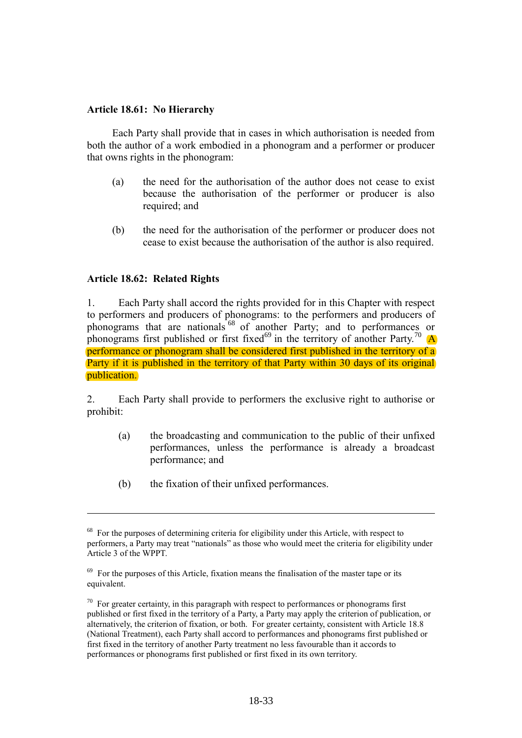# **Article 18.61: No Hierarchy**

Each Party shall provide that in cases in which authorisation is needed from both the author of a work embodied in a phonogram and a performer or producer that owns rights in the phonogram:

- (a) the need for the authorisation of the author does not cease to exist because the authorisation of the performer or producer is also required; and
- (b) the need for the authorisation of the performer or producer does not cease to exist because the authorisation of the author is also required.

### **Article 18.62: Related Rights**

1

1. Each Party shall accord the rights provided for in this Chapter with respect to performers and producers of phonograms: to the performers and producers of phonograms that are nationals <sup>68</sup> of another Party; and to performances or phonograms first published or first fixed<sup>69</sup> in the territory of another Party.<sup>70</sup> A performance or phonogram shall be considered first published in the territory of a Party if it is published in the territory of that Party within 30 days of its original publication.

2. Each Party shall provide to performers the exclusive right to authorise or prohibit:

- (a) the broadcasting and communication to the public of their unfixed performances, unless the performance is already a broadcast performance; and
- (b) the fixation of their unfixed performances.

<sup>&</sup>lt;sup>68</sup> For the purposes of determining criteria for eligibility under this Article, with respect to performers, a Party may treat "nationals" as those who would meet the criteria for eligibility under Article 3 of the WPPT.

 $69$  For the purposes of this Article, fixation means the finalisation of the master tape or its equivalent.

 $70$  For greater certainty, in this paragraph with respect to performances or phonograms first published or first fixed in the territory of a Party, a Party may apply the criterion of publication, or alternatively, the criterion of fixation, or both. For greater certainty, consistent with Article 18.8 (National Treatment), each Party shall accord to performances and phonograms first published or first fixed in the territory of another Party treatment no less favourable than it accords to performances or phonograms first published or first fixed in its own territory.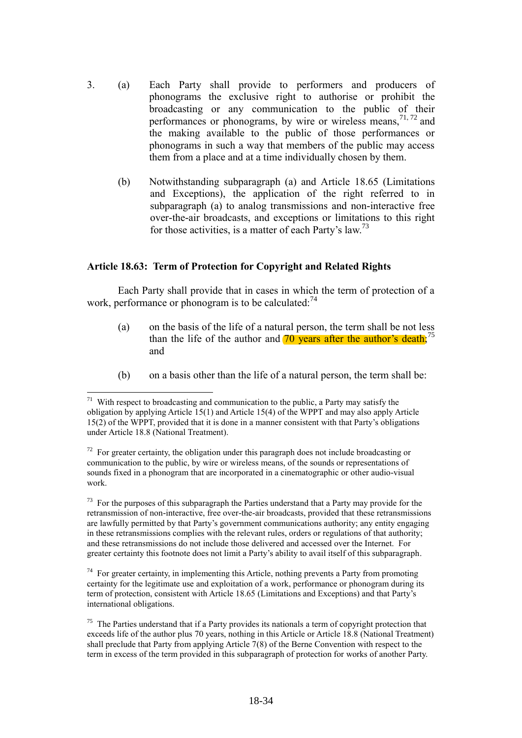- 3. (a) Each Party shall provide to performers and producers of phonograms the exclusive right to authorise or prohibit the broadcasting or any communication to the public of their performances or phonograms, by wire or wireless means,  $71, 72$  and the making available to the public of those performances or phonograms in such a way that members of the public may access them from a place and at a time individually chosen by them.
	- (b) Notwithstanding subparagraph (a) and Article 18.65 (Limitations and Exceptions), the application of the right referred to in subparagraph (a) to analog transmissions and non-interactive free over-the-air broadcasts, and exceptions or limitations to this right for those activities, is a matter of each Party's law.<sup>73</sup>

# **Article 18.63: Term of Protection for Copyright and Related Rights**

Each Party shall provide that in cases in which the term of protection of a work, performance or phonogram is to be calculated: $74$ 

- (a) on the basis of the life of a natural person, the term shall be not less than the life of the author and  $\frac{70}{20}$  years after the author's death;<sup>75</sup> and
- (b) on a basis other than the life of a natural person, the term shall be:

 $73$  For the purposes of this subparagraph the Parties understand that a Party may provide for the retransmission of non-interactive, free over-the-air broadcasts, provided that these retransmissions are lawfully permitted by that Party's government communications authority; any entity engaging in these retransmissions complies with the relevant rules, orders or regulations of that authority; and these retransmissions do not include those delivered and accessed over the Internet. For greater certainty this footnote does not limit a Party's ability to avail itself of this subparagraph.

 $74$  For greater certainty, in implementing this Article, nothing prevents a Party from promoting certainty for the legitimate use and exploitation of a work, performance or phonogram during its term of protection, consistent with Article 18.65 (Limitations and Exceptions) and that Party's international obligations.

 $71$ With respect to broadcasting and communication to the public, a Party may satisfy the obligation by applying Article 15(1) and Article 15(4) of the WPPT and may also apply Article 15(2) of the WPPT, provided that it is done in a manner consistent with that Party's obligations under Article 18.8 (National Treatment).

 $72$  For greater certainty, the obligation under this paragraph does not include broadcasting or communication to the public, by wire or wireless means, of the sounds or representations of sounds fixed in a phonogram that are incorporated in a cinematographic or other audio-visual work.

<sup>&</sup>lt;sup>75</sup> The Parties understand that if a Party provides its nationals a term of copyright protection that exceeds life of the author plus 70 years, nothing in this Article or Article 18.8 (National Treatment) shall preclude that Party from applying Article 7(8) of the Berne Convention with respect to the term in excess of the term provided in this subparagraph of protection for works of another Party.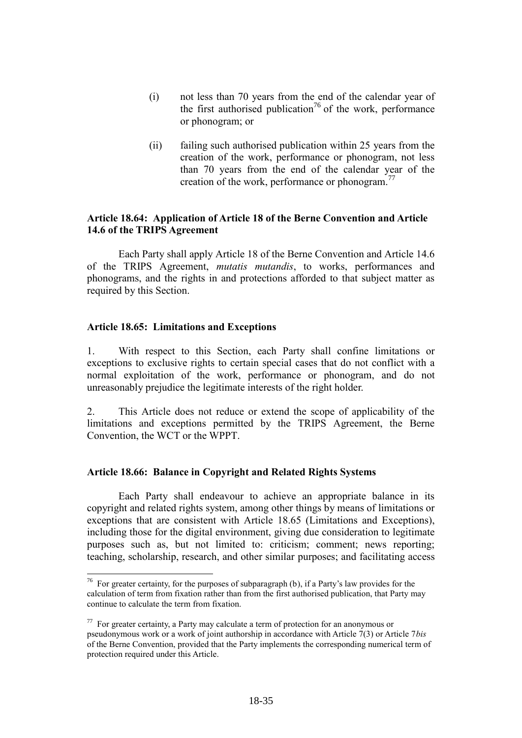- (i) not less than 70 years from the end of the calendar year of the first authorised publication<sup>76</sup> of the work, performance or phonogram; or
- (ii) failing such authorised publication within 25 years from the creation of the work, performance or phonogram, not less than 70 years from the end of the calendar year of the creation of the work, performance or phonogram.<sup>77</sup>

# **Article 18.64: Application of Article 18 of the Berne Convention and Article 14.6 of the TRIPS Agreement**

Each Party shall apply Article 18 of the Berne Convention and Article 14.6 of the TRIPS Agreement, *mutatis mutandis*, to works, performances and phonograms, and the rights in and protections afforded to that subject matter as required by this Section.

### **Article 18.65: Limitations and Exceptions**

l

1. With respect to this Section, each Party shall confine limitations or exceptions to exclusive rights to certain special cases that do not conflict with a normal exploitation of the work, performance or phonogram, and do not unreasonably prejudice the legitimate interests of the right holder.

2. This Article does not reduce or extend the scope of applicability of the limitations and exceptions permitted by the TRIPS Agreement, the Berne Convention, the WCT or the WPPT.

# **Article 18.66: Balance in Copyright and Related Rights Systems**

Each Party shall endeavour to achieve an appropriate balance in its copyright and related rights system, among other things by means of limitations or exceptions that are consistent with Article 18.65 (Limitations and Exceptions), including those for the digital environment, giving due consideration to legitimate purposes such as, but not limited to: criticism; comment; news reporting; teaching, scholarship, research, and other similar purposes; and facilitating access

<sup>&</sup>lt;sup>76</sup> For greater certainty, for the purposes of subparagraph (b), if a Party's law provides for the calculation of term from fixation rather than from the first authorised publication, that Party may continue to calculate the term from fixation.

 $77$  For greater certainty, a Party may calculate a term of protection for an anonymous or pseudonymous work or a work of joint authorship in accordance with Article 7(3) or Article 7*bis* of the Berne Convention, provided that the Party implements the corresponding numerical term of protection required under this Article.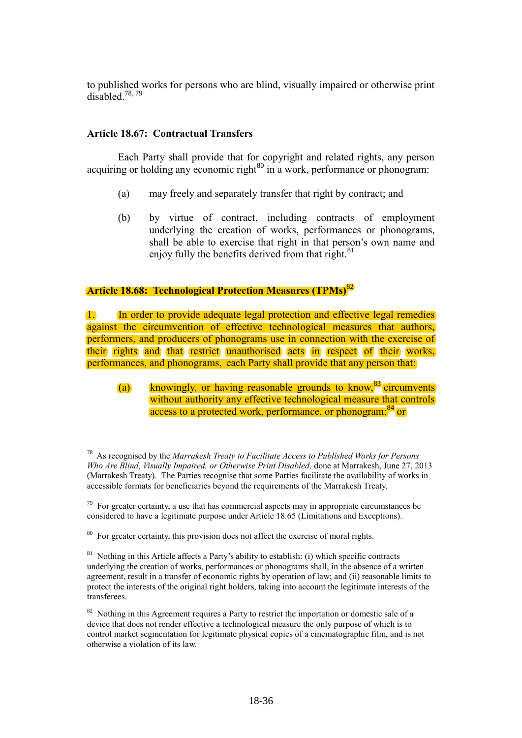to published works for persons who are blind, visually impaired or otherwise print disabled<sup>78, 79</sup>

# **Article 18.67: Contractual Transfers**

l

Each Party shall provide that for copyright and related rights, any person acquiring or holding any economic right $80$  in a work, performance or phonogram:

- (a) may freely and separately transfer that right by contract; and
- (b) by virtue of contract, including contracts of employment underlying the creation of works, performances or phonograms, shall be able to exercise that right in that person's own name and enjoy fully the benefits derived from that right. $81$

# **Article 18.68: Technological Protection Measures (TPMs)**<sup>82</sup>

1. In order to provide adequate legal protection and effective legal remedies against the circumvention of effective technological measures that authors, performers, and producers of phonograms use in connection with the exercise of their rights and that restrict unauthorised acts in respect of their works, performances, and phonograms, each Party shall provide that any person that:

(a) knowingly, or having reasonable grounds to know,  $^{83}$  circumvents without authority any effective technological measure that controls access to a protected work, performance, or phonogram;<sup>84</sup> or

<sup>78</sup> As recognised by the *Marrakesh Treaty to Facilitate Access to Published Works for Persons Who Are Blind, Visually Impaired, or Otherwise Print Disabled,* done at Marrakesh, June 27, 2013 (Marrakesh Treaty). The Parties recognise that some Parties facilitate the availability of works in accessible formats for beneficiaries beyond the requirements of the Marrakesh Treaty.

 $79$  For greater certainty, a use that has commercial aspects may in appropriate circumstances be considered to have a legitimate purpose under Article 18.65 (Limitations and Exceptions).

<sup>&</sup>lt;sup>80</sup> For greater certainty, this provision does not affect the exercise of moral rights.

 $81$  Nothing in this Article affects a Party's ability to establish: (i) which specific contracts underlying the creation of works, performances or phonograms shall, in the absence of a written agreement, result in a transfer of economic rights by operation of law; and (ii) reasonable limits to protect the interests of the original right holders, taking into account the legitimate interests of the transferees.

<sup>&</sup>lt;sup>82</sup> Nothing in this Agreement requires a Party to restrict the importation or domestic sale of a device that does not render effective a technological measure the only purpose of which is to control market segmentation for legitimate physical copies of a cinematographic film, and is not otherwise a violation of its law.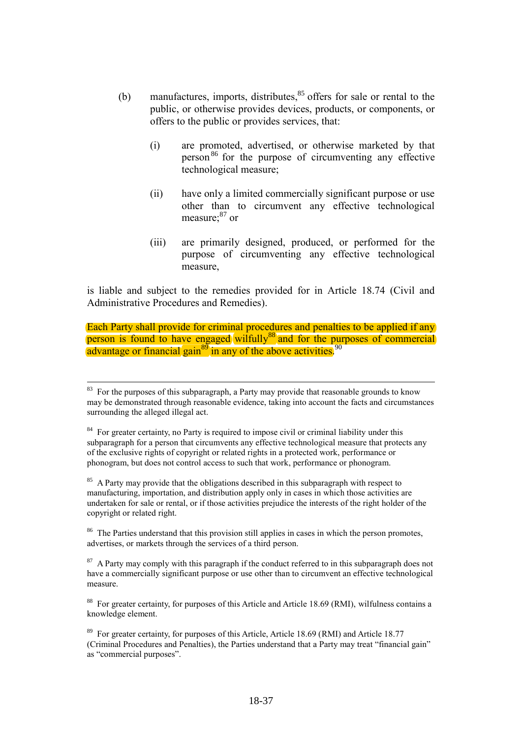- (b) manufactures, imports, distributes, <sup>85</sup> offers for sale or rental to the public, or otherwise provides devices, products, or components, or offers to the public or provides services, that:
	- (i) are promoted, advertised, or otherwise marketed by that person <sup>86</sup> for the purpose of circumventing any effective technological measure;
	- (ii) have only a limited commercially significant purpose or use other than to circumvent any effective technological measure;<sup>87</sup> or
	- (iii) are primarily designed, produced, or performed for the purpose of circumventing any effective technological measure,

is liable and subject to the remedies provided for in Article 18.74 (Civil and Administrative Procedures and Remedies).

Each Party shall provide for criminal procedures and penalties to be applied if any person is found to have engaged wilfully<sup>88</sup> and for the purposes of commercial advantage or financial gain  $89 \text{ in}$  any of the above activities.  $90 \text{ out}$ 

1

<sup>86</sup> The Parties understand that this provision still applies in cases in which the person promotes, advertises, or markets through the services of a third person.

 $87$  A Party may comply with this paragraph if the conduct referred to in this subparagraph does not have a commercially significant purpose or use other than to circumvent an effective technological measure.

<sup>88</sup> For greater certainty, for purposes of this Article and Article 18.69 (RMI), wilfulness contains a knowledge element.

 $89$  For greater certainty, for purposes of this Article, Article 18.69 (RMI) and Article 18.77 (Criminal Procedures and Penalties), the Parties understand that a Party may treat "financial gain" as "commercial purposes".

 $83$  For the purposes of this subparagraph, a Party may provide that reasonable grounds to know may be demonstrated through reasonable evidence, taking into account the facts and circumstances surrounding the alleged illegal act.

<sup>&</sup>lt;sup>84</sup> For greater certainty, no Party is required to impose civil or criminal liability under this subparagraph for a person that circumvents any effective technological measure that protects any of the exclusive rights of copyright or related rights in a protected work, performance or phonogram, but does not control access to such that work, performance or phonogram.

<sup>&</sup>lt;sup>85</sup> A Party may provide that the obligations described in this subparagraph with respect to manufacturing, importation, and distribution apply only in cases in which those activities are undertaken for sale or rental, or if those activities prejudice the interests of the right holder of the copyright or related right.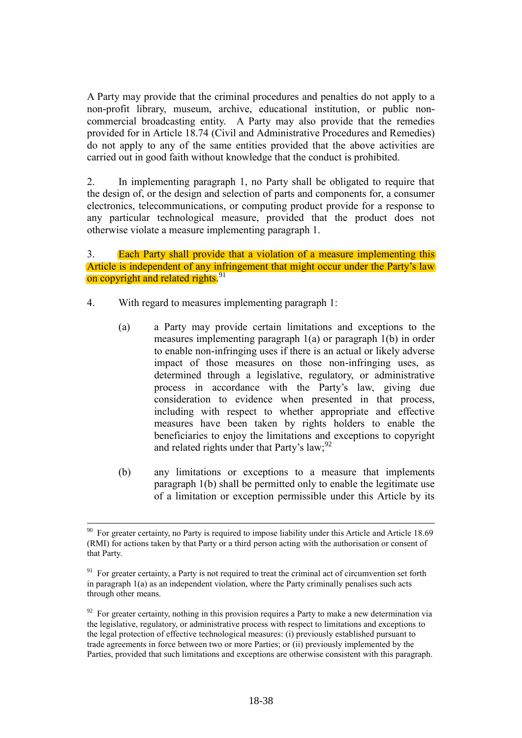A Party may provide that the criminal procedures and penalties do not apply to a non-profit library, museum, archive, educational institution, or public noncommercial broadcasting entity. A Party may also provide that the remedies provided for in Article 18.74 (Civil and Administrative Procedures and Remedies) do not apply to any of the same entities provided that the above activities are carried out in good faith without knowledge that the conduct is prohibited.

2. In implementing paragraph 1, no Party shall be obligated to require that the design of, or the design and selection of parts and components for, a consumer electronics, telecommunications, or computing product provide for a response to any particular technological measure, provided that the product does not otherwise violate a measure implementing paragraph 1.

3. Each Party shall provide that a violation of a measure implementing this Article is independent of any infringement that might occur under the Party's law on copyright and related rights<sup>91</sup>

4. With regard to measures implementing paragraph 1:

1

- (a) a Party may provide certain limitations and exceptions to the measures implementing paragraph 1(a) or paragraph 1(b) in order to enable non-infringing uses if there is an actual or likely adverse impact of those measures on those non-infringing uses, as determined through a legislative, regulatory, or administrative process in accordance with the Party's law, giving due consideration to evidence when presented in that process, including with respect to whether appropriate and effective measures have been taken by rights holders to enable the beneficiaries to enjoy the limitations and exceptions to copyright and related rights under that Party's law; $^{92}$
- (b) any limitations or exceptions to a measure that implements paragraph 1(b) shall be permitted only to enable the legitimate use of a limitation or exception permissible under this Article by its

<sup>90</sup> For greater certainty, no Party is required to impose liability under this Article and Article 18.69 (RMI) for actions taken by that Party or a third person acting with the authorisation or consent of that Party.

 $91$  For greater certainty, a Party is not required to treat the criminal act of circumvention set forth in paragraph  $1(a)$  as an independent violation, where the Party criminally penalises such acts through other means.

 $92$  For greater certainty, nothing in this provision requires a Party to make a new determination via the legislative, regulatory, or administrative process with respect to limitations and exceptions to the legal protection of effective technological measures: (i) previously established pursuant to trade agreements in force between two or more Parties; or (ii) previously implemented by the Parties, provided that such limitations and exceptions are otherwise consistent with this paragraph.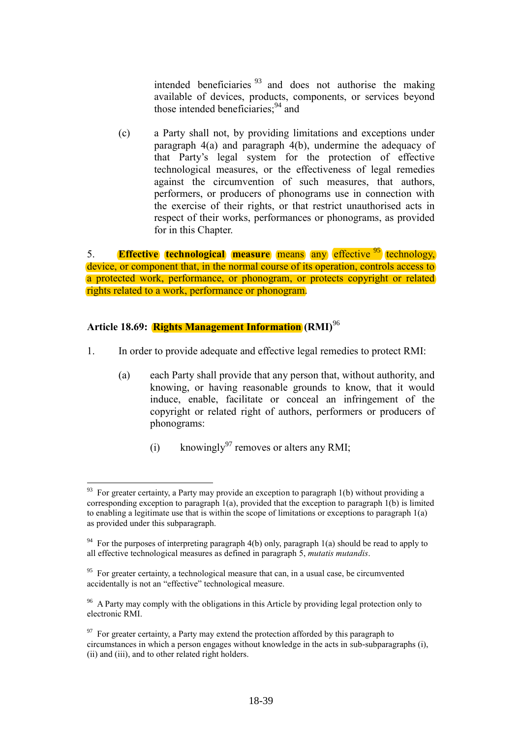intended beneficiaries  $93$  and does not authorise the making available of devices, products, components, or services beyond those intended beneficiaries; $^{94}$  and

(c) a Party shall not, by providing limitations and exceptions under paragraph 4(a) and paragraph 4(b), undermine the adequacy of that Party's legal system for the protection of effective technological measures, or the effectiveness of legal remedies against the circumvention of such measures, that authors, performers, or producers of phonograms use in connection with the exercise of their rights, or that restrict unauthorised acts in respect of their works, performances or phonograms, as provided for in this Chapter.

5. **Effective technological measure** means any effective <sup>95</sup> technology, device, or component that, in the normal course of its operation, controls access to a protected work, performance, or phonogram, or protects copyright or related rights related to a work, performance or phonogram.

# **Article 18.69: Rights Management Information (RMI)**<sup>96</sup>

l

- 1. In order to provide adequate and effective legal remedies to protect RMI:
	- (a) each Party shall provide that any person that, without authority, and knowing, or having reasonable grounds to know, that it would induce, enable, facilitate or conceal an infringement of the copyright or related right of authors, performers or producers of phonograms:
		- (i) knowingly<sup>97</sup> removes or alters any RMI;

<sup>93</sup> For greater certainty, a Party may provide an exception to paragraph 1(b) without providing a corresponding exception to paragraph 1(a), provided that the exception to paragraph 1(b) is limited to enabling a legitimate use that is within the scope of limitations or exceptions to paragraph 1(a) as provided under this subparagraph.

<sup>&</sup>lt;sup>94</sup> For the purposes of interpreting paragraph 4(b) only, paragraph 1(a) should be read to apply to all effective technological measures as defined in paragraph 5, *mutatis mutandis*.

 $95$  For greater certainty, a technological measure that can, in a usual case, be circumvented accidentally is not an "effective" technological measure.

<sup>&</sup>lt;sup>96</sup> A Party may comply with the obligations in this Article by providing legal protection only to electronic RMI.

 $97$  For greater certainty, a Party may extend the protection afforded by this paragraph to circumstances in which a person engages without knowledge in the acts in sub-subparagraphs (i), (ii) and (iii), and to other related right holders.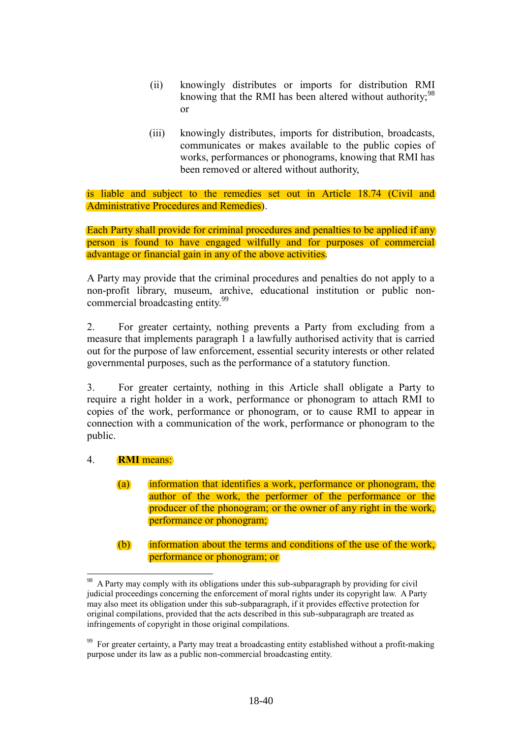- (ii) knowingly distributes or imports for distribution RMI knowing that the RMI has been altered without authority;<sup>98</sup> or
- (iii) knowingly distributes, imports for distribution, broadcasts, communicates or makes available to the public copies of works, performances or phonograms, knowing that RMI has been removed or altered without authority,

is liable and subject to the remedies set out in Article 18.74 (Civil and Administrative Procedures and Remedies).

Each Party shall provide for criminal procedures and penalties to be applied if any person is found to have engaged wilfully and for purposes of commercial advantage or financial gain in any of the above activities.

A Party may provide that the criminal procedures and penalties do not apply to a non-profit library, museum, archive, educational institution or public noncommercial broadcasting entity.<sup>99</sup>

2. For greater certainty, nothing prevents a Party from excluding from a measure that implements paragraph 1 a lawfully authorised activity that is carried out for the purpose of law enforcement, essential security interests or other related governmental purposes, such as the performance of a statutory function.

3. For greater certainty, nothing in this Article shall obligate a Party to require a right holder in a work, performance or phonogram to attach RMI to copies of the work, performance or phonogram, or to cause RMI to appear in connection with a communication of the work, performance or phonogram to the public.

- 4. **RMI** means:
	- (a) information that identifies a work, performance or phonogram, the author of the work, the performer of the performance or the producer of the phonogram; or the owner of any right in the work, performance or phonogram;
	- (b) information about the terms and conditions of the use of the work, performance or phonogram; or

l <sup>98</sup> A Party may comply with its obligations under this sub-subparagraph by providing for civil judicial proceedings concerning the enforcement of moral rights under its copyright law. A Party may also meet its obligation under this sub-subparagraph, if it provides effective protection for original compilations, provided that the acts described in this sub-subparagraph are treated as infringements of copyright in those original compilations.

<sup>&</sup>lt;sup>99</sup> For greater certainty, a Party may treat a broadcasting entity established without a profit-making purpose under its law as a public non-commercial broadcasting entity.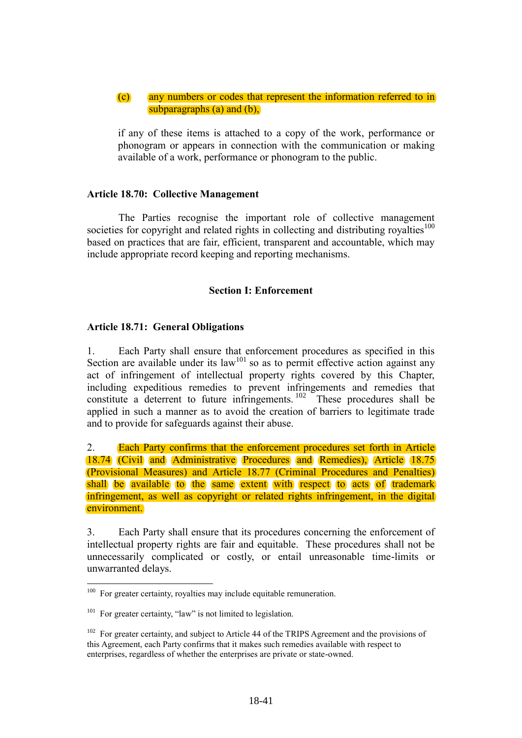### (c) any numbers or codes that represent the information referred to in subparagraphs (a) and (b),

if any of these items is attached to a copy of the work, performance or phonogram or appears in connection with the communication or making available of a work, performance or phonogram to the public.

#### **Article 18.70: Collective Management**

The Parties recognise the important role of collective management societies for copyright and related rights in collecting and distributing royalties<sup>100</sup> based on practices that are fair, efficient, transparent and accountable, which may include appropriate record keeping and reporting mechanisms.

#### **Section I: Enforcement**

#### **Article 18.71: General Obligations**

1. Each Party shall ensure that enforcement procedures as specified in this Section are available under its law<sup>101</sup> so as to permit effective action against any act of infringement of intellectual property rights covered by this Chapter, including expeditious remedies to prevent infringements and remedies that constitute a deterrent to future infringements.  $102$  These procedures shall be applied in such a manner as to avoid the creation of barriers to legitimate trade and to provide for safeguards against their abuse.

2. Each Party confirms that the enforcement procedures set forth in Article 18.74 (Civil and Administrative Procedures and Remedies), Article 18.75 (Provisional Measures) and Article 18.77 (Criminal Procedures and Penalties) shall be available to the same extent with respect to acts of trademark infringement, as well as copyright or related rights infringement, in the digital environment.

3. Each Party shall ensure that its procedures concerning the enforcement of intellectual property rights are fair and equitable. These procedures shall not be unnecessarily complicated or costly, or entail unreasonable time-limits or unwarranted delays.

l

 $100$  For greater certainty, royalties may include equitable remuneration.

 $101$  For greater certainty, "law" is not limited to legislation.

<sup>&</sup>lt;sup>102</sup> For greater certainty, and subject to Article 44 of the TRIPS Agreement and the provisions of this Agreement, each Party confirms that it makes such remedies available with respect to enterprises, regardless of whether the enterprises are private or state-owned.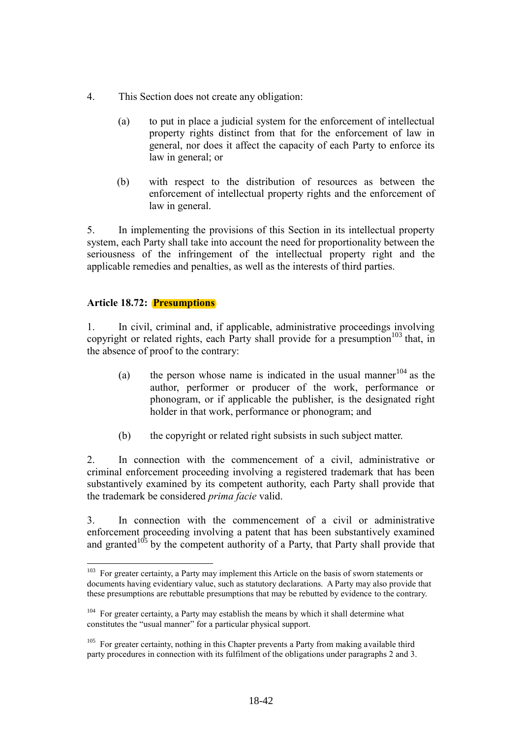- 4. This Section does not create any obligation:
	- (a) to put in place a judicial system for the enforcement of intellectual property rights distinct from that for the enforcement of law in general, nor does it affect the capacity of each Party to enforce its law in general; or
	- (b) with respect to the distribution of resources as between the enforcement of intellectual property rights and the enforcement of law in general.

5. In implementing the provisions of this Section in its intellectual property system, each Party shall take into account the need for proportionality between the seriousness of the infringement of the intellectual property right and the applicable remedies and penalties, as well as the interests of third parties.

## **Article 18.72: Presumptions**

l

1. In civil, criminal and, if applicable, administrative proceedings involving copyright or related rights, each Party shall provide for a presumption<sup>103</sup> that, in the absence of proof to the contrary:

- (a) the person whose name is indicated in the usual manner  $104$  as the author, performer or producer of the work, performance or phonogram, or if applicable the publisher, is the designated right holder in that work, performance or phonogram; and
- (b) the copyright or related right subsists in such subject matter.

2. In connection with the commencement of a civil, administrative or criminal enforcement proceeding involving a registered trademark that has been substantively examined by its competent authority, each Party shall provide that the trademark be considered *prima facie* valid.

3. In connection with the commencement of a civil or administrative enforcement proceeding involving a patent that has been substantively examined and granted<sup> $105$ </sup> by the competent authority of a Party, that Party shall provide that

<sup>&</sup>lt;sup>103</sup> For greater certainty, a Party may implement this Article on the basis of sworn statements or documents having evidentiary value, such as statutory declarations. A Party may also provide that these presumptions are rebuttable presumptions that may be rebutted by evidence to the contrary.

 $104$  For greater certainty, a Party may establish the means by which it shall determine what constitutes the "usual manner" for a particular physical support.

 $105$  For greater certainty, nothing in this Chapter prevents a Party from making available third party procedures in connection with its fulfilment of the obligations under paragraphs 2 and 3.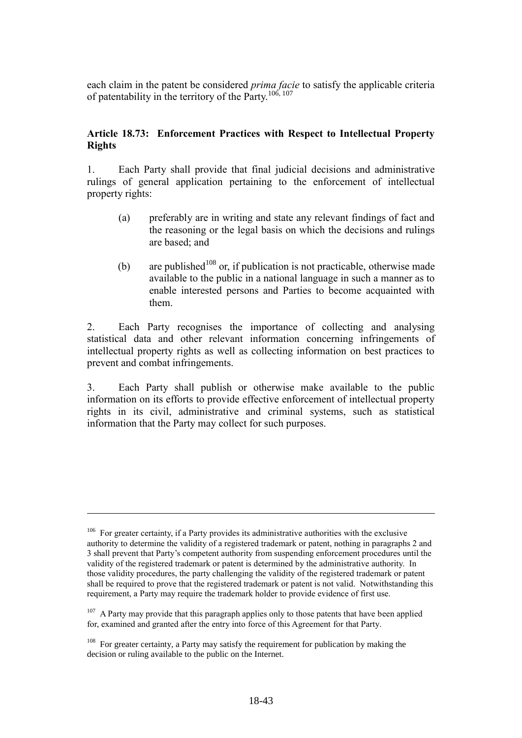each claim in the patent be considered *prima facie* to satisfy the applicable criteria of patentability in the territory of the Party.<sup>106, 107</sup>

# **Article 18.73: Enforcement Practices with Respect to Intellectual Property Rights**

1. Each Party shall provide that final judicial decisions and administrative rulings of general application pertaining to the enforcement of intellectual property rights:

- (a) preferably are in writing and state any relevant findings of fact and the reasoning or the legal basis on which the decisions and rulings are based; and
- (b) are published<sup>108</sup> or, if publication is not practicable, otherwise made available to the public in a national language in such a manner as to enable interested persons and Parties to become acquainted with them.

2. Each Party recognises the importance of collecting and analysing statistical data and other relevant information concerning infringements of intellectual property rights as well as collecting information on best practices to prevent and combat infringements.

3. Each Party shall publish or otherwise make available to the public information on its efforts to provide effective enforcement of intellectual property rights in its civil, administrative and criminal systems, such as statistical information that the Party may collect for such purposes.

1

 $106$  For greater certainty, if a Party provides its administrative authorities with the exclusive authority to determine the validity of a registered trademark or patent, nothing in paragraphs 2 and 3 shall prevent that Party's competent authority from suspending enforcement procedures until the validity of the registered trademark or patent is determined by the administrative authority. In those validity procedures, the party challenging the validity of the registered trademark or patent shall be required to prove that the registered trademark or patent is not valid. Notwithstanding this requirement, a Party may require the trademark holder to provide evidence of first use.

<sup>&</sup>lt;sup>107</sup> A Party may provide that this paragraph applies only to those patents that have been applied for, examined and granted after the entry into force of this Agreement for that Party.

 $108$  For greater certainty, a Party may satisfy the requirement for publication by making the decision or ruling available to the public on the Internet.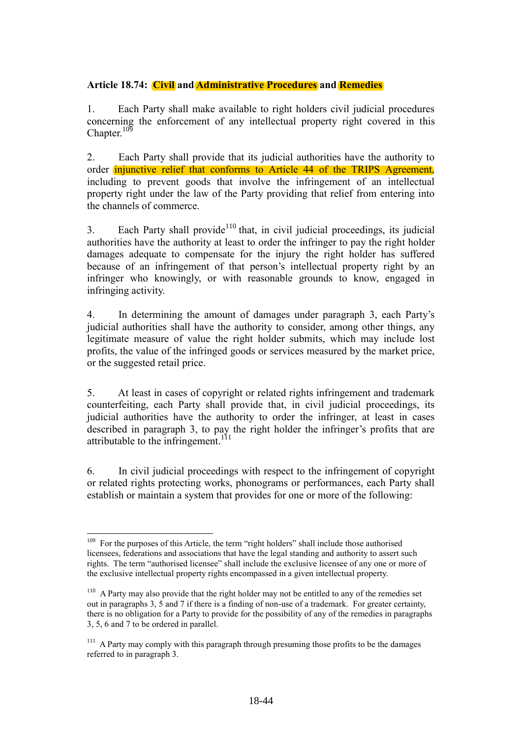## **Article 18.74: Civil and Administrative Procedures and Remedies**

1. Each Party shall make available to right holders civil judicial procedures concerning the enforcement of any intellectual property right covered in this Chapter. $10\overline{9}$ 

2. Each Party shall provide that its judicial authorities have the authority to order *injunctive relief that conforms to Article 44 of the TRIPS Agreement*, including to prevent goods that involve the infringement of an intellectual property right under the law of the Party providing that relief from entering into the channels of commerce.

3. Each Party shall provide<sup>110</sup> that, in civil judicial proceedings, its judicial authorities have the authority at least to order the infringer to pay the right holder damages adequate to compensate for the injury the right holder has suffered because of an infringement of that person's intellectual property right by an infringer who knowingly, or with reasonable grounds to know, engaged in infringing activity.

4. In determining the amount of damages under paragraph 3, each Party's judicial authorities shall have the authority to consider, among other things, any legitimate measure of value the right holder submits, which may include lost profits, the value of the infringed goods or services measured by the market price, or the suggested retail price.

5. At least in cases of copyright or related rights infringement and trademark counterfeiting, each Party shall provide that, in civil judicial proceedings, its judicial authorities have the authority to order the infringer, at least in cases described in paragraph 3, to pay the right holder the infringer's profits that are attributable to the infringement.<sup>111</sup>

6. In civil judicial proceedings with respect to the infringement of copyright or related rights protecting works, phonograms or performances, each Party shall establish or maintain a system that provides for one or more of the following:

l <sup>109</sup> For the purposes of this Article, the term "right holders" shall include those authorised licensees, federations and associations that have the legal standing and authority to assert such rights. The term "authorised licensee" shall include the exclusive licensee of any one or more of the exclusive intellectual property rights encompassed in a given intellectual property.

 $110$  A Party may also provide that the right holder may not be entitled to any of the remedies set out in paragraphs 3, 5 and 7 if there is a finding of non-use of a trademark. For greater certainty, there is no obligation for a Party to provide for the possibility of any of the remedies in paragraphs 3, 5, 6 and 7 to be ordered in parallel.

<sup>&</sup>lt;sup>111</sup> A Party may comply with this paragraph through presuming those profits to be the damages referred to in paragraph 3.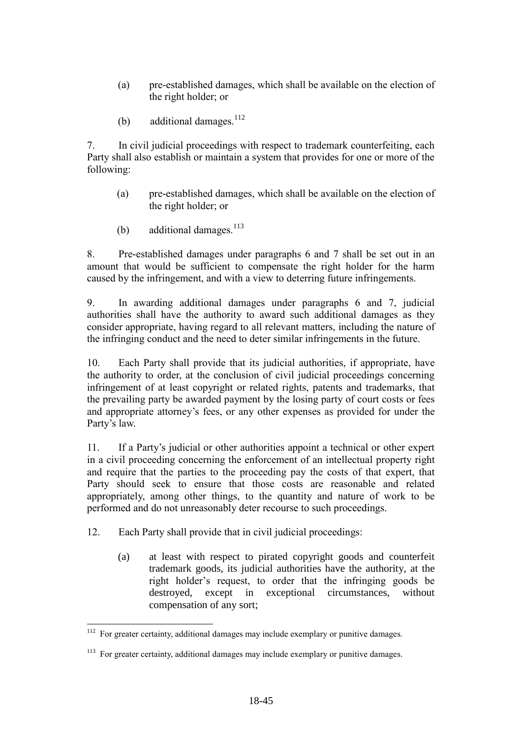- (a) pre-established damages, which shall be available on the election of the right holder; or
- (b) additional damages. $112$

7. In civil judicial proceedings with respect to trademark counterfeiting, each Party shall also establish or maintain a system that provides for one or more of the following:

- (a) pre-established damages, which shall be available on the election of the right holder; or
- (b) additional damages. $^{113}$

8. Pre-established damages under paragraphs 6 and 7 shall be set out in an amount that would be sufficient to compensate the right holder for the harm caused by the infringement, and with a view to deterring future infringements.

9. In awarding additional damages under paragraphs 6 and 7, judicial authorities shall have the authority to award such additional damages as they consider appropriate, having regard to all relevant matters, including the nature of the infringing conduct and the need to deter similar infringements in the future.

10. Each Party shall provide that its judicial authorities, if appropriate, have the authority to order, at the conclusion of civil judicial proceedings concerning infringement of at least copyright or related rights, patents and trademarks, that the prevailing party be awarded payment by the losing party of court costs or fees and appropriate attorney's fees, or any other expenses as provided for under the Party's law.

11. If a Party's judicial or other authorities appoint a technical or other expert in a civil proceeding concerning the enforcement of an intellectual property right and require that the parties to the proceeding pay the costs of that expert, that Party should seek to ensure that those costs are reasonable and related appropriately, among other things, to the quantity and nature of work to be performed and do not unreasonably deter recourse to such proceedings.

- 12. Each Party shall provide that in civil judicial proceedings:
	- (a) at least with respect to pirated copyright goods and counterfeit trademark goods, its judicial authorities have the authority, at the right holder's request, to order that the infringing goods be destroyed, except in exceptional circumstances, without compensation of any sort;

l  $112$  For greater certainty, additional damages may include exemplary or punitive damages.

<sup>&</sup>lt;sup>113</sup> For greater certainty, additional damages may include exemplary or punitive damages.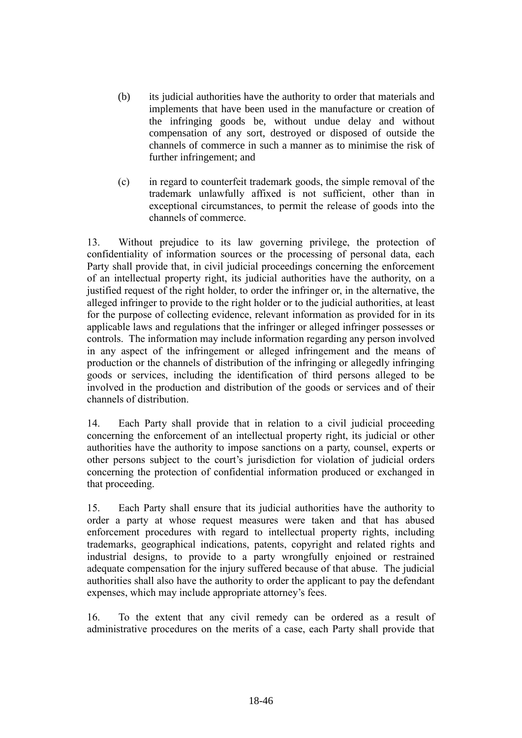- (b) its judicial authorities have the authority to order that materials and implements that have been used in the manufacture or creation of the infringing goods be, without undue delay and without compensation of any sort, destroyed or disposed of outside the channels of commerce in such a manner as to minimise the risk of further infringement; and
- (c) in regard to counterfeit trademark goods, the simple removal of the trademark unlawfully affixed is not sufficient, other than in exceptional circumstances, to permit the release of goods into the channels of commerce.

13. Without prejudice to its law governing privilege, the protection of confidentiality of information sources or the processing of personal data, each Party shall provide that, in civil judicial proceedings concerning the enforcement of an intellectual property right, its judicial authorities have the authority, on a justified request of the right holder, to order the infringer or, in the alternative, the alleged infringer to provide to the right holder or to the judicial authorities, at least for the purpose of collecting evidence, relevant information as provided for in its applicable laws and regulations that the infringer or alleged infringer possesses or controls. The information may include information regarding any person involved in any aspect of the infringement or alleged infringement and the means of production or the channels of distribution of the infringing or allegedly infringing goods or services, including the identification of third persons alleged to be involved in the production and distribution of the goods or services and of their channels of distribution.

14. Each Party shall provide that in relation to a civil judicial proceeding concerning the enforcement of an intellectual property right, its judicial or other authorities have the authority to impose sanctions on a party, counsel, experts or other persons subject to the court's jurisdiction for violation of judicial orders concerning the protection of confidential information produced or exchanged in that proceeding.

15. Each Party shall ensure that its judicial authorities have the authority to order a party at whose request measures were taken and that has abused enforcement procedures with regard to intellectual property rights, including trademarks, geographical indications, patents, copyright and related rights and industrial designs, to provide to a party wrongfully enjoined or restrained adequate compensation for the injury suffered because of that abuse. The judicial authorities shall also have the authority to order the applicant to pay the defendant expenses, which may include appropriate attorney's fees.

16. To the extent that any civil remedy can be ordered as a result of administrative procedures on the merits of a case, each Party shall provide that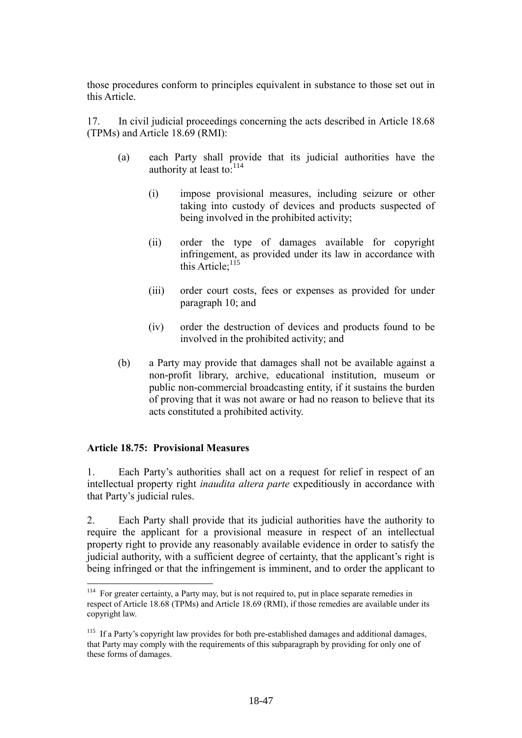those procedures conform to principles equivalent in substance to those set out in this Article.

17. In civil judicial proceedings concerning the acts described in Article 18.68 (TPMs) and Article 18.69 (RMI):

- (a) each Party shall provide that its judicial authorities have the authority at least to:<sup>114</sup>
	- (i) impose provisional measures, including seizure or other taking into custody of devices and products suspected of being involved in the prohibited activity;
	- (ii) order the type of damages available for copyright infringement, as provided under its law in accordance with this Article: $115$
	- (iii) order court costs, fees or expenses as provided for under paragraph 10; and
	- (iv) order the destruction of devices and products found to be involved in the prohibited activity; and
- (b) a Party may provide that damages shall not be available against a non-profit library, archive, educational institution, museum or public non-commercial broadcasting entity, if it sustains the burden of proving that it was not aware or had no reason to believe that its acts constituted a prohibited activity.

### **Article 18.75: Provisional Measures**

l

1. Each Party's authorities shall act on a request for relief in respect of an intellectual property right *inaudita altera parte* expeditiously in accordance with that Party's judicial rules.

2. Each Party shall provide that its judicial authorities have the authority to require the applicant for a provisional measure in respect of an intellectual property right to provide any reasonably available evidence in order to satisfy the judicial authority, with a sufficient degree of certainty, that the applicant's right is being infringed or that the infringement is imminent, and to order the applicant to

 $114$  For greater certainty, a Party may, but is not required to, put in place separate remedies in respect of Article 18.68 (TPMs) and Article 18.69 (RMI), if those remedies are available under its copyright law.

<sup>&</sup>lt;sup>115</sup> If a Party's copyright law provides for both pre-established damages and additional damages, that Party may comply with the requirements of this subparagraph by providing for only one of these forms of damages.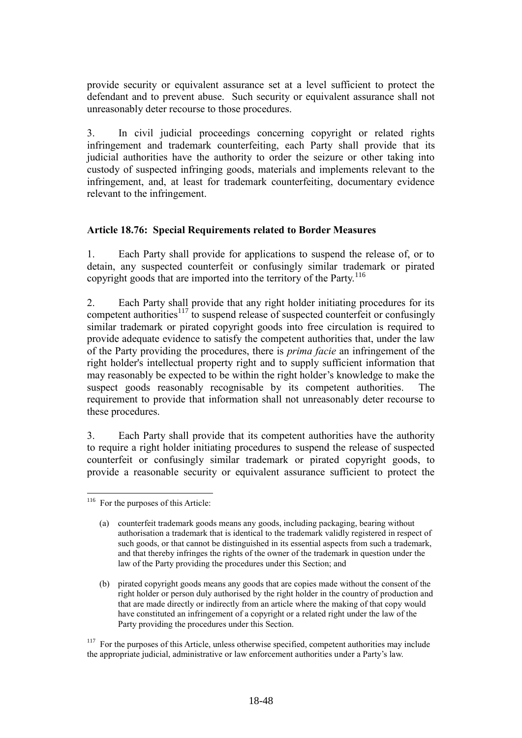provide security or equivalent assurance set at a level sufficient to protect the defendant and to prevent abuse. Such security or equivalent assurance shall not unreasonably deter recourse to those procedures.

3. In civil judicial proceedings concerning copyright or related rights infringement and trademark counterfeiting, each Party shall provide that its judicial authorities have the authority to order the seizure or other taking into custody of suspected infringing goods, materials and implements relevant to the infringement, and, at least for trademark counterfeiting, documentary evidence relevant to the infringement.

## **Article 18.76: Special Requirements related to Border Measures**

1. Each Party shall provide for applications to suspend the release of, or to detain, any suspected counterfeit or confusingly similar trademark or pirated copyright goods that are imported into the territory of the Party.<sup>116</sup>

2. Each Party shall provide that any right holder initiating procedures for its competent authorities $117$  to suspend release of suspected counterfeit or confusingly similar trademark or pirated copyright goods into free circulation is required to provide adequate evidence to satisfy the competent authorities that, under the law of the Party providing the procedures, there is *prima facie* an infringement of the right holder's intellectual property right and to supply sufficient information that may reasonably be expected to be within the right holder's knowledge to make the suspect goods reasonably recognisable by its competent authorities. The requirement to provide that information shall not unreasonably deter recourse to these procedures.

3. Each Party shall provide that its competent authorities have the authority to require a right holder initiating procedures to suspend the release of suspected counterfeit or confusingly similar trademark or pirated copyright goods, to provide a reasonable security or equivalent assurance sufficient to protect the

l

<sup>&</sup>lt;sup>116</sup> For the purposes of this Article:

<sup>(</sup>a) counterfeit trademark goods means any goods, including packaging, bearing without authorisation a trademark that is identical to the trademark validly registered in respect of such goods, or that cannot be distinguished in its essential aspects from such a trademark, and that thereby infringes the rights of the owner of the trademark in question under the law of the Party providing the procedures under this Section; and

<sup>(</sup>b) pirated copyright goods means any goods that are copies made without the consent of the right holder or person duly authorised by the right holder in the country of production and that are made directly or indirectly from an article where the making of that copy would have constituted an infringement of a copyright or a related right under the law of the Party providing the procedures under this Section.

<sup>&</sup>lt;sup>117</sup> For the purposes of this Article, unless otherwise specified, competent authorities may include the appropriate judicial, administrative or law enforcement authorities under a Party's law.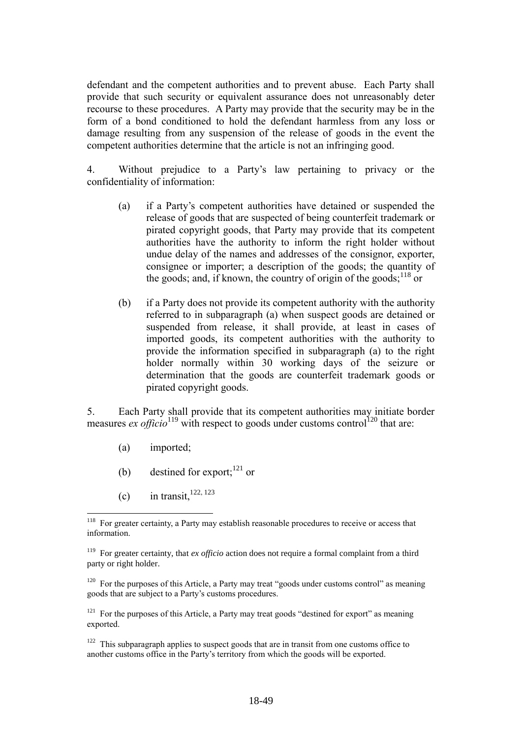defendant and the competent authorities and to prevent abuse. Each Party shall provide that such security or equivalent assurance does not unreasonably deter recourse to these procedures. A Party may provide that the security may be in the form of a bond conditioned to hold the defendant harmless from any loss or damage resulting from any suspension of the release of goods in the event the competent authorities determine that the article is not an infringing good.

4. Without prejudice to a Party's law pertaining to privacy or the confidentiality of information:

- (a) if a Party's competent authorities have detained or suspended the release of goods that are suspected of being counterfeit trademark or pirated copyright goods, that Party may provide that its competent authorities have the authority to inform the right holder without undue delay of the names and addresses of the consignor, exporter, consignee or importer; a description of the goods; the quantity of the goods; and, if known, the country of origin of the goods;  $^{118}$  or
- (b) if a Party does not provide its competent authority with the authority referred to in subparagraph (a) when suspect goods are detained or suspended from release, it shall provide, at least in cases of imported goods, its competent authorities with the authority to provide the information specified in subparagraph (a) to the right holder normally within 30 working days of the seizure or determination that the goods are counterfeit trademark goods or pirated copyright goods.

5. Each Party shall provide that its competent authorities may initiate border measures *ex officio*<sup>119</sup> with respect to goods under customs control<sup>120</sup> that are:

- (a) imported;
- (b) destined for export:  $^{121}$  or
- (c) in transit,  $^{122, 123}$

 $118\,$ <sup>118</sup> For greater certainty, a Party may establish reasonable procedures to receive or access that information.

<sup>119</sup> For greater certainty, that *ex officio* action does not require a formal complaint from a third party or right holder.

 $120$  For the purposes of this Article, a Party may treat "goods under customs control" as meaning goods that are subject to a Party's customs procedures.

 $121$  For the purposes of this Article, a Party may treat goods "destined for export" as meaning exported.

 $122$  This subparagraph applies to suspect goods that are in transit from one customs office to another customs office in the Party's territory from which the goods will be exported.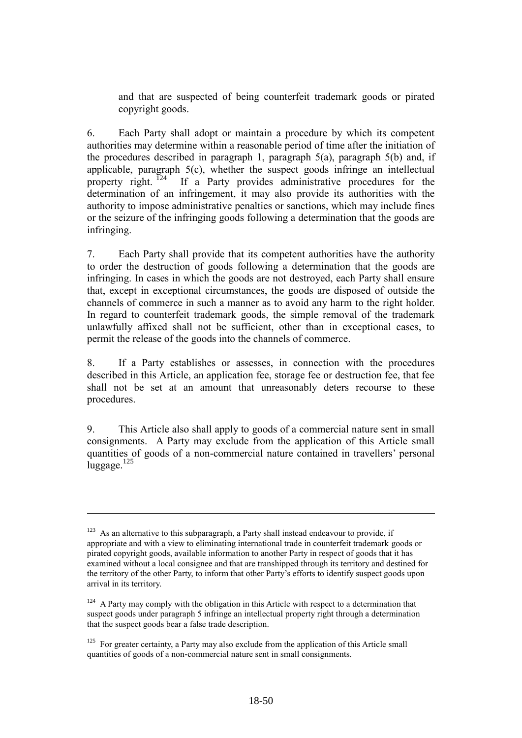and that are suspected of being counterfeit trademark goods or pirated copyright goods.

6. Each Party shall adopt or maintain a procedure by which its competent authorities may determine within a reasonable period of time after the initiation of the procedures described in paragraph 1, paragraph  $5(a)$ , paragraph  $5(b)$  and, if applicable, paragraph 5(c), whether the suspect goods infringe an intellectual property right.  $I<sup>24</sup>$  If a Party provides administrative procedures for the determination of an infringement, it may also provide its authorities with the authority to impose administrative penalties or sanctions, which may include fines or the seizure of the infringing goods following a determination that the goods are infringing.

7. Each Party shall provide that its competent authorities have the authority to order the destruction of goods following a determination that the goods are infringing. In cases in which the goods are not destroyed, each Party shall ensure that, except in exceptional circumstances, the goods are disposed of outside the channels of commerce in such a manner as to avoid any harm to the right holder. In regard to counterfeit trademark goods, the simple removal of the trademark unlawfully affixed shall not be sufficient, other than in exceptional cases, to permit the release of the goods into the channels of commerce.

8. If a Party establishes or assesses, in connection with the procedures described in this Article, an application fee, storage fee or destruction fee, that fee shall not be set at an amount that unreasonably deters recourse to these procedures.

9. This Article also shall apply to goods of a commercial nature sent in small consignments. A Party may exclude from the application of this Article small quantities of goods of a non-commercial nature contained in travellers' personal  $l$ uggage. $125$ 

1

 $123$  As an alternative to this subparagraph, a Party shall instead endeavour to provide, if appropriate and with a view to eliminating international trade in counterfeit trademark goods or pirated copyright goods, available information to another Party in respect of goods that it has examined without a local consignee and that are transhipped through its territory and destined for the territory of the other Party, to inform that other Party's efforts to identify suspect goods upon arrival in its territory.

<sup>&</sup>lt;sup>124</sup> A Party may comply with the obligation in this Article with respect to a determination that suspect goods under paragraph 5 infringe an intellectual property right through a determination that the suspect goods bear a false trade description.

 $125$  For greater certainty, a Party may also exclude from the application of this Article small quantities of goods of a non-commercial nature sent in small consignments.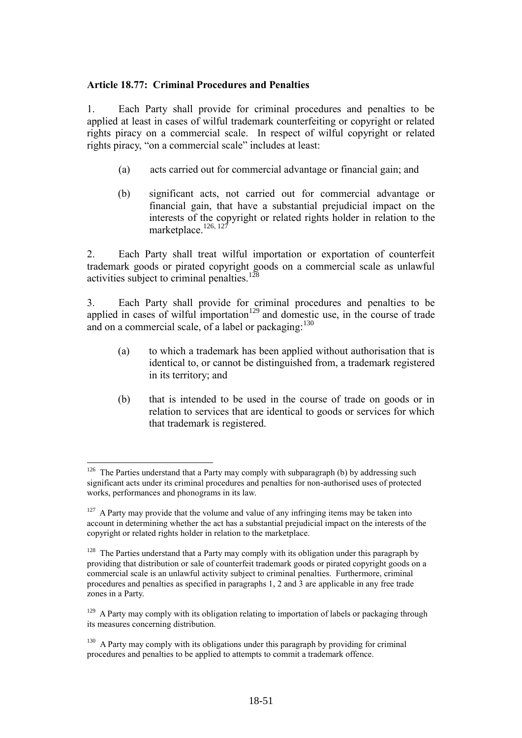### **Article 18.77: Criminal Procedures and Penalties**

1. Each Party shall provide for criminal procedures and penalties to be applied at least in cases of wilful trademark counterfeiting or copyright or related rights piracy on a commercial scale. In respect of wilful copyright or related rights piracy, "on a commercial scale" includes at least:

- (a) acts carried out for commercial advantage or financial gain; and
- (b) significant acts, not carried out for commercial advantage or financial gain, that have a substantial prejudicial impact on the interests of the copyright or related rights holder in relation to the marketplace.<sup>126, 127</sup>

2. Each Party shall treat wilful importation or exportation of counterfeit trademark goods or pirated copyright goods on a commercial scale as unlawful activities subject to criminal penalties.<sup>128</sup>

3. Each Party shall provide for criminal procedures and penalties to be applied in cases of wilful importation<sup>129</sup> and domestic use, in the course of trade and on a commercial scale, of a label or packaging: $130$ 

- (a) to which a trademark has been applied without authorisation that is identical to, or cannot be distinguished from, a trademark registered in its territory; and
- (b) that is intended to be used in the course of trade on goods or in relation to services that are identical to goods or services for which that trademark is registered.

l

 $126$  The Parties understand that a Party may comply with subparagraph (b) by addressing such significant acts under its criminal procedures and penalties for non-authorised uses of protected works, performances and phonograms in its law.

 $127$  A Party may provide that the volume and value of any infringing items may be taken into account in determining whether the act has a substantial prejudicial impact on the interests of the copyright or related rights holder in relation to the marketplace.

 $128$  The Parties understand that a Party may comply with its obligation under this paragraph by providing that distribution or sale of counterfeit trademark goods or pirated copyright goods on a commercial scale is an unlawful activity subject to criminal penalties. Furthermore, criminal procedures and penalties as specified in paragraphs 1, 2 and 3 are applicable in any free trade zones in a Party.

<sup>&</sup>lt;sup>129</sup> A Party may comply with its obligation relating to importation of labels or packaging through its measures concerning distribution.

 $130$  A Party may comply with its obligations under this paragraph by providing for criminal procedures and penalties to be applied to attempts to commit a trademark offence.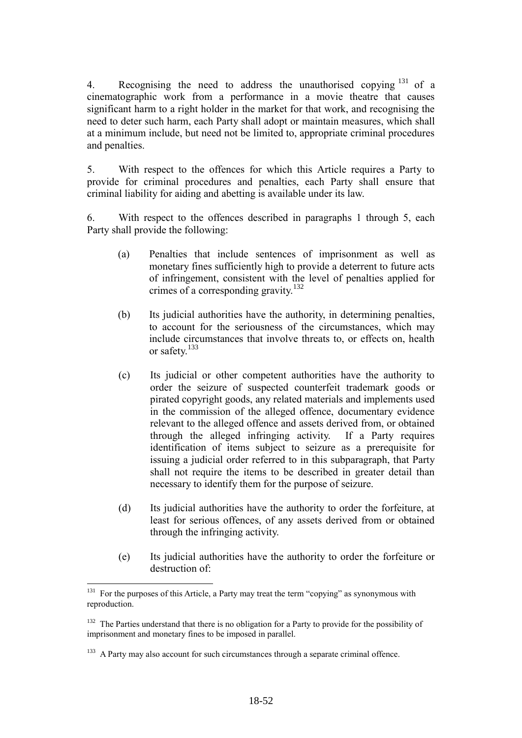4. Recognising the need to address the unauthorised copying  $131$  of a cinematographic work from a performance in a movie theatre that causes significant harm to a right holder in the market for that work, and recognising the need to deter such harm, each Party shall adopt or maintain measures, which shall at a minimum include, but need not be limited to, appropriate criminal procedures and penalties.

5. With respect to the offences for which this Article requires a Party to provide for criminal procedures and penalties, each Party shall ensure that criminal liability for aiding and abetting is available under its law.

6. With respect to the offences described in paragraphs 1 through 5, each Party shall provide the following:

- (a) Penalties that include sentences of imprisonment as well as monetary fines sufficiently high to provide a deterrent to future acts of infringement, consistent with the level of penalties applied for crimes of a corresponding gravity.<sup>132</sup>
- (b) Its judicial authorities have the authority, in determining penalties, to account for the seriousness of the circumstances, which may include circumstances that involve threats to, or effects on, health or safety.<sup>133</sup>
- (c) Its judicial or other competent authorities have the authority to order the seizure of suspected counterfeit trademark goods or pirated copyright goods, any related materials and implements used in the commission of the alleged offence, documentary evidence relevant to the alleged offence and assets derived from, or obtained through the alleged infringing activity. If a Party requires identification of items subject to seizure as a prerequisite for issuing a judicial order referred to in this subparagraph, that Party shall not require the items to be described in greater detail than necessary to identify them for the purpose of seizure.
- (d) Its judicial authorities have the authority to order the forfeiture, at least for serious offences, of any assets derived from or obtained through the infringing activity.
- (e) Its judicial authorities have the authority to order the forfeiture or destruction of:

l

<sup>131</sup> For the purposes of this Article, a Party may treat the term "copying" as synonymous with reproduction.

<sup>&</sup>lt;sup>132</sup> The Parties understand that there is no obligation for a Party to provide for the possibility of imprisonment and monetary fines to be imposed in parallel.

<sup>&</sup>lt;sup>133</sup> A Party may also account for such circumstances through a separate criminal offence.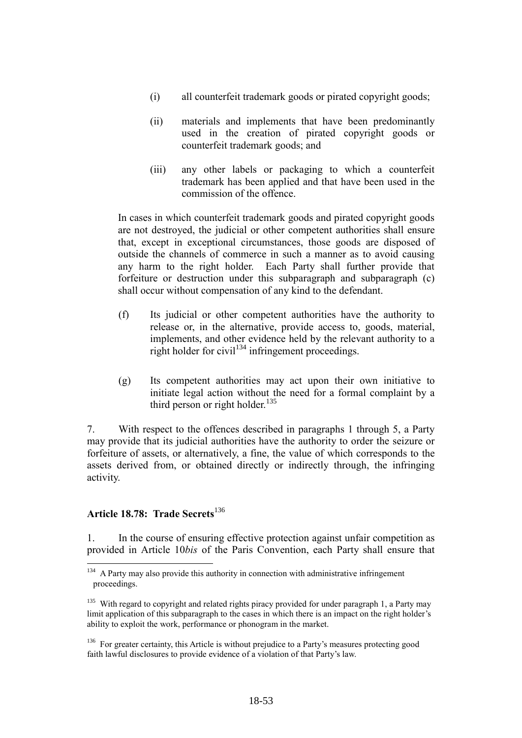- (i) all counterfeit trademark goods or pirated copyright goods;
- (ii) materials and implements that have been predominantly used in the creation of pirated copyright goods or counterfeit trademark goods; and
- (iii) any other labels or packaging to which a counterfeit trademark has been applied and that have been used in the commission of the offence.

In cases in which counterfeit trademark goods and pirated copyright goods are not destroyed, the judicial or other competent authorities shall ensure that, except in exceptional circumstances, those goods are disposed of outside the channels of commerce in such a manner as to avoid causing any harm to the right holder. Each Party shall further provide that forfeiture or destruction under this subparagraph and subparagraph (c) shall occur without compensation of any kind to the defendant.

- (f) Its judicial or other competent authorities have the authority to release or, in the alternative, provide access to, goods, material, implements, and other evidence held by the relevant authority to a right holder for civil<sup>134</sup> infringement proceedings.
- (g) Its competent authorities may act upon their own initiative to initiate legal action without the need for a formal complaint by a third person or right holder. $135$

7. With respect to the offences described in paragraphs 1 through 5, a Party may provide that its judicial authorities have the authority to order the seizure or forfeiture of assets, or alternatively, a fine, the value of which corresponds to the assets derived from, or obtained directly or indirectly through, the infringing activity.

### **Article 18.78: Trade Secrets**<sup>136</sup>

l

1. In the course of ensuring effective protection against unfair competition as provided in Article 10*bis* of the Paris Convention, each Party shall ensure that

 $134$  A Party may also provide this authority in connection with administrative infringement proceedings.

<sup>&</sup>lt;sup>135</sup> With regard to copyright and related rights piracy provided for under paragraph 1, a Party may limit application of this subparagraph to the cases in which there is an impact on the right holder's ability to exploit the work, performance or phonogram in the market.

<sup>&</sup>lt;sup>136</sup> For greater certainty, this Article is without prejudice to a Party's measures protecting good faith lawful disclosures to provide evidence of a violation of that Party's law.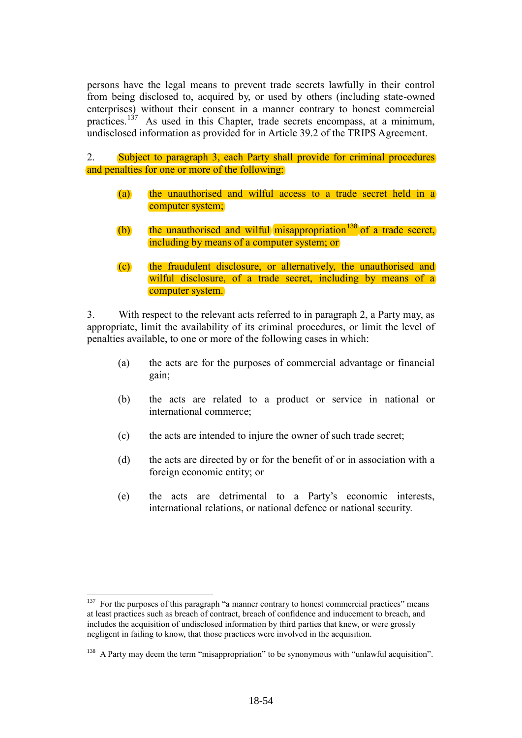persons have the legal means to prevent trade secrets lawfully in their control from being disclosed to, acquired by, or used by others (including state-owned enterprises) without their consent in a manner contrary to honest commercial practices.<sup>137</sup> As used in this Chapter, trade secrets encompass, at a minimum, undisclosed information as provided for in Article 39.2 of the TRIPS Agreement.

2. Subject to paragraph 3, each Party shall provide for criminal procedures and penalties for one or more of the following:

- (a) the unauthorised and wilful access to a trade secret held in a computer system;
- (b) the unauthorised and wilful misappropriation<sup>138</sup> of a trade secret, including by means of a computer system; or
- (c) the fraudulent disclosure, or alternatively, the unauthorised and wilful disclosure, of a trade secret, including by means of a computer system.

3. With respect to the relevant acts referred to in paragraph 2, a Party may, as appropriate, limit the availability of its criminal procedures, or limit the level of penalties available, to one or more of the following cases in which:

- (a) the acts are for the purposes of commercial advantage or financial gain;
- (b) the acts are related to a product or service in national or international commerce;
- (c) the acts are intended to injure the owner of such trade secret;
- (d) the acts are directed by or for the benefit of or in association with a foreign economic entity; or
- (e) the acts are detrimental to a Party's economic interests, international relations, or national defence or national security.

l  $137$  For the purposes of this paragraph "a manner contrary to honest commercial practices" means at least practices such as breach of contract, breach of confidence and inducement to breach, and includes the acquisition of undisclosed information by third parties that knew, or were grossly negligent in failing to know, that those practices were involved in the acquisition.

<sup>&</sup>lt;sup>138</sup> A Party may deem the term "misappropriation" to be synonymous with "unlawful acquisition".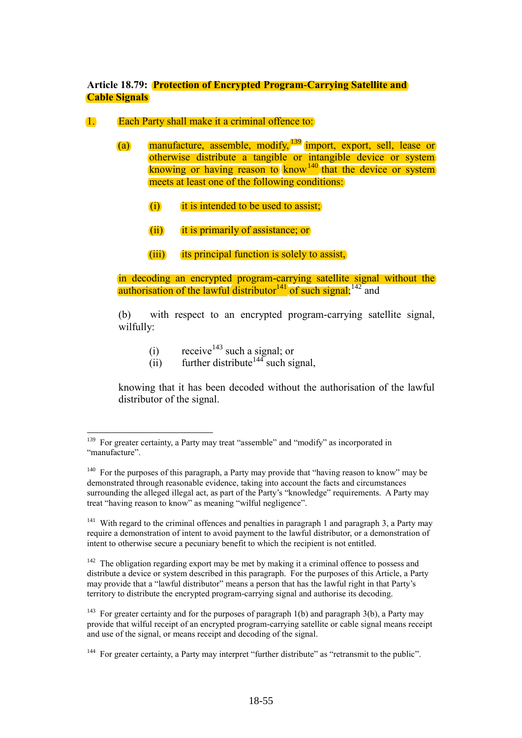## **Article 18.79: Protection of Encrypted Program-Carrying Satellite and Cable Signals**

- 1. Each Party shall make it a criminal offence to:
	- (a) manufacture, assemble, modify, <sup>139</sup> import, export, sell, lease or otherwise distribute a tangible or intangible device or system knowing or having reason to know  $140$  that the device or system meets at least one of the following conditions:
		- $(i)$  it is intended to be used to assist;
		- (ii) it is primarily of assistance; or
		- (iii) its principal function is solely to assist,

in decoding an encrypted program-carrying satellite signal without the authorisation of the lawful distributor<sup>141</sup> of such signal;<sup>142</sup> and

(b) with respect to an encrypted program-carrying satellite signal, wilfully:

(i) receive<sup>143</sup> such a signal; or

l

(ii) further distribute<sup>144</sup> such signal,

knowing that it has been decoded without the authorisation of the lawful distributor of the signal.

 $139$  For greater certainty, a Party may treat "assemble" and "modify" as incorporated in "manufacture".

<sup>&</sup>lt;sup>140</sup> For the purposes of this paragraph, a Party may provide that "having reason to know" may be demonstrated through reasonable evidence, taking into account the facts and circumstances surrounding the alleged illegal act, as part of the Party's "knowledge" requirements. A Party may treat "having reason to know" as meaning "wilful negligence".

<sup>&</sup>lt;sup>141</sup> With regard to the criminal offences and penalties in paragraph 1 and paragraph 3, a Party may require a demonstration of intent to avoid payment to the lawful distributor, or a demonstration of intent to otherwise secure a pecuniary benefit to which the recipient is not entitled.

 $142$  The obligation regarding export may be met by making it a criminal offence to possess and distribute a device or system described in this paragraph. For the purposes of this Article, a Party may provide that a "lawful distributor" means a person that has the lawful right in that Party's territory to distribute the encrypted program-carrying signal and authorise its decoding.

<sup>&</sup>lt;sup>143</sup> For greater certainty and for the purposes of paragraph 1(b) and paragraph 3(b), a Party may provide that wilful receipt of an encrypted program-carrying satellite or cable signal means receipt and use of the signal, or means receipt and decoding of the signal.

<sup>&</sup>lt;sup>144</sup> For greater certainty, a Party may interpret "further distribute" as "retransmit to the public".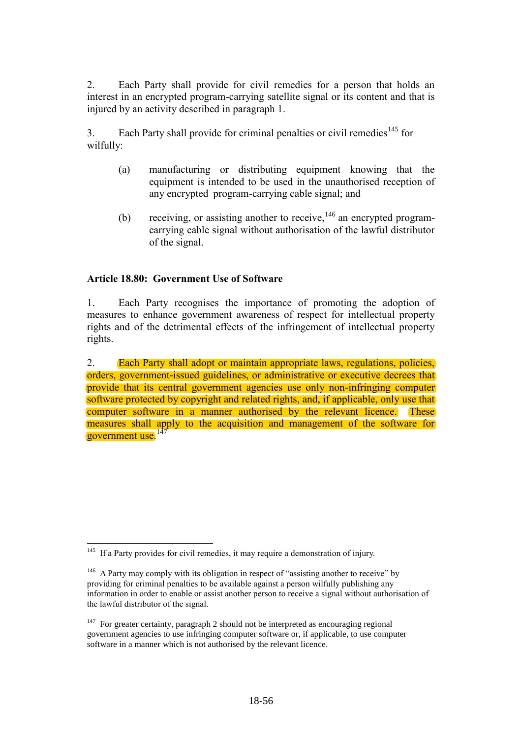2. Each Party shall provide for civil remedies for a person that holds an interest in an encrypted program-carrying satellite signal or its content and that is injured by an activity described in paragraph 1.

3. Each Party shall provide for criminal penalties or civil remedies<sup>145</sup> for wilfully:

- (a) manufacturing or distributing equipment knowing that the equipment is intended to be used in the unauthorised reception of any encrypted program-carrying cable signal; and
- (b) receiving, or assisting another to receive,  $146$  an encrypted programcarrying cable signal without authorisation of the lawful distributor of the signal.

# **Article 18.80: Government Use of Software**

1. Each Party recognises the importance of promoting the adoption of measures to enhance government awareness of respect for intellectual property rights and of the detrimental effects of the infringement of intellectual property rights.

2. Each Party shall adopt or maintain appropriate laws, regulations, policies, orders, government-issued guidelines, or administrative or executive decrees that provide that its central government agencies use only non-infringing computer software protected by copyright and related rights, and, if applicable, only use that computer software in a manner authorised by the relevant licence. These measures shall apply to the acquisition and management of the software for government use. $14$ <sup>14</sup>

l  $145$  If a Party provides for civil remedies, it may require a demonstration of injury.

 $146$  A Party may comply with its obligation in respect of "assisting another to receive" by providing for criminal penalties to be available against a person wilfully publishing any information in order to enable or assist another person to receive a signal without authorisation of the lawful distributor of the signal.

 $147$  For greater certainty, paragraph 2 should not be interpreted as encouraging regional government agencies to use infringing computer software or, if applicable, to use computer software in a manner which is not authorised by the relevant licence.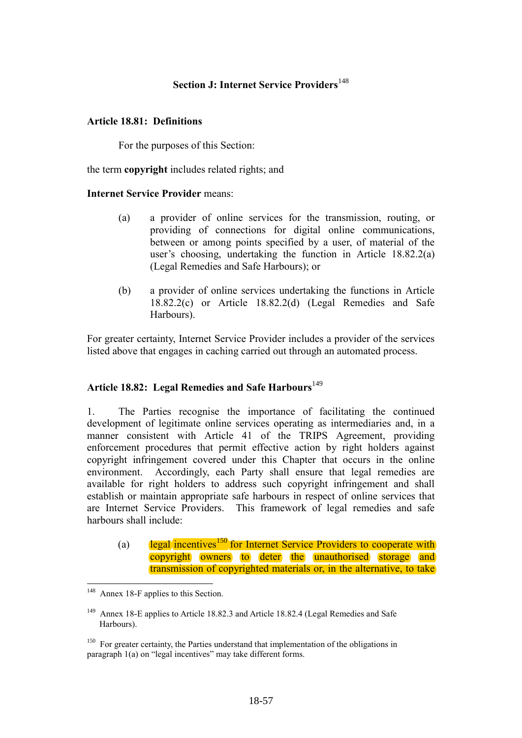# **Section J: Internet Service Providers**<sup>148</sup>

### **Article 18.81: Definitions**

For the purposes of this Section:

the term **copyright** includes related rights; and

### **Internet Service Provider** means:

- (a) a provider of online services for the transmission, routing, or providing of connections for digital online communications, between or among points specified by a user, of material of the user's choosing, undertaking the function in Article 18.82.2(a) (Legal Remedies and Safe Harbours); or
- (b) a provider of online services undertaking the functions in Article 18.82.2(c) or Article 18.82.2(d) (Legal Remedies and Safe Harbours).

For greater certainty, Internet Service Provider includes a provider of the services listed above that engages in caching carried out through an automated process.

# Article 18.82: Legal Remedies and Safe Harbours<sup>149</sup>

1. The Parties recognise the importance of facilitating the continued development of legitimate online services operating as intermediaries and, in a manner consistent with Article 41 of the TRIPS Agreement, providing enforcement procedures that permit effective action by right holders against copyright infringement covered under this Chapter that occurs in the online environment. Accordingly, each Party shall ensure that legal remedies are available for right holders to address such copyright infringement and shall establish or maintain appropriate safe harbours in respect of online services that are Internet Service Providers. This framework of legal remedies and safe harbours shall include:

(a) legal incentives<sup>150</sup> for Internet Service Providers to cooperate with copyright owners to deter the unauthorised storage and transmission of copyrighted materials or, in the alternative, to take

l

<sup>&</sup>lt;sup>148</sup> Annex 18-F applies to this Section.

<sup>&</sup>lt;sup>149</sup> Annex 18-E applies to Article 18.82.3 and Article 18.82.4 (Legal Remedies and Safe Harbours).

<sup>&</sup>lt;sup>150</sup> For greater certainty, the Parties understand that implementation of the obligations in paragraph 1(a) on "legal incentives" may take different forms.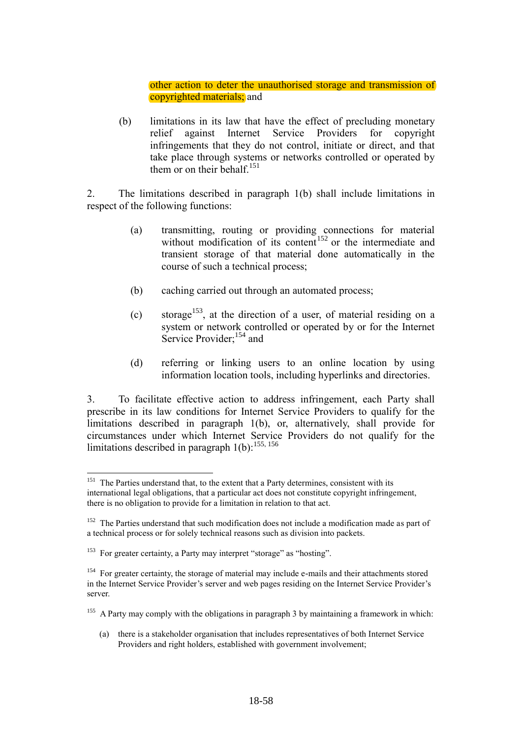other action to deter the unauthorised storage and transmission of copyrighted materials; and

(b) limitations in its law that have the effect of precluding monetary relief against Internet Service Providers for copyright infringements that they do not control, initiate or direct, and that take place through systems or networks controlled or operated by them or on their behalf<sup>151</sup>

2. The limitations described in paragraph 1(b) shall include limitations in respect of the following functions:

- (a) transmitting, routing or providing connections for material without modification of its content<sup>152</sup> or the intermediate and transient storage of that material done automatically in the course of such a technical process;
- (b) caching carried out through an automated process;
- (c) storage<sup>153</sup>, at the direction of a user, of material residing on a system or network controlled or operated by or for the Internet Service Provider;<sup>154</sup> and
- (d) referring or linking users to an online location by using information location tools, including hyperlinks and directories.

3. To facilitate effective action to address infringement, each Party shall prescribe in its law conditions for Internet Service Providers to qualify for the limitations described in paragraph 1(b), or, alternatively, shall provide for circumstances under which Internet Service Providers do not qualify for the limitations described in paragraph  $1(b)$ : <sup>155, 156</sup>

l <sup>151</sup> The Parties understand that, to the extent that a Party determines, consistent with its international legal obligations, that a particular act does not constitute copyright infringement, there is no obligation to provide for a limitation in relation to that act.

<sup>&</sup>lt;sup>152</sup> The Parties understand that such modification does not include a modification made as part of a technical process or for solely technical reasons such as division into packets.

<sup>&</sup>lt;sup>153</sup> For greater certainty, a Party may interpret "storage" as "hosting".

<sup>&</sup>lt;sup>154</sup> For greater certainty, the storage of material may include e-mails and their attachments stored in the Internet Service Provider's server and web pages residing on the Internet Service Provider's server.

<sup>&</sup>lt;sup>155</sup> A Party may comply with the obligations in paragraph 3 by maintaining a framework in which:

<sup>(</sup>a) there is a stakeholder organisation that includes representatives of both Internet Service Providers and right holders, established with government involvement;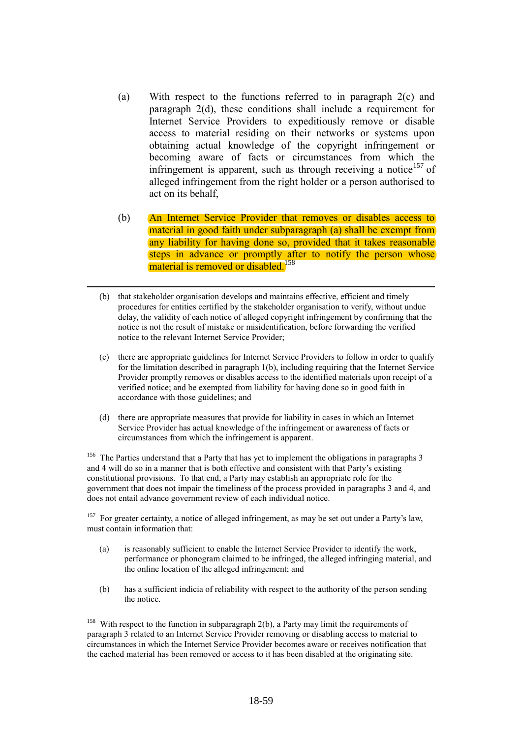- (a) With respect to the functions referred to in paragraph 2(c) and paragraph 2(d), these conditions shall include a requirement for Internet Service Providers to expeditiously remove or disable access to material residing on their networks or systems upon obtaining actual knowledge of the copyright infringement or becoming aware of facts or circumstances from which the infringement is apparent, such as through receiving a notice<sup>157</sup> of alleged infringement from the right holder or a person authorised to act on its behalf,
- (b) An Internet Service Provider that removes or disables access to material in good faith under subparagraph (a) shall be exempt from any liability for having done so, provided that it takes reasonable steps in advance or promptly after to notify the person whose material is removed or disabled<sup>158</sup>
- (b) that stakeholder organisation develops and maintains effective, efficient and timely procedures for entities certified by the stakeholder organisation to verify, without undue delay, the validity of each notice of alleged copyright infringement by confirming that the notice is not the result of mistake or misidentification, before forwarding the verified notice to the relevant Internet Service Provider;

1

- (c) there are appropriate guidelines for Internet Service Providers to follow in order to qualify for the limitation described in paragraph 1(b), including requiring that the Internet Service Provider promptly removes or disables access to the identified materials upon receipt of a verified notice; and be exempted from liability for having done so in good faith in accordance with those guidelines; and
- (d) there are appropriate measures that provide for liability in cases in which an Internet Service Provider has actual knowledge of the infringement or awareness of facts or circumstances from which the infringement is apparent.

<sup>156</sup> The Parties understand that a Party that has yet to implement the obligations in paragraphs 3 and 4 will do so in a manner that is both effective and consistent with that Party's existing constitutional provisions. To that end, a Party may establish an appropriate role for the government that does not impair the timeliness of the process provided in paragraphs 3 and 4, and does not entail advance government review of each individual notice.

<sup>157</sup> For greater certainty, a notice of alleged infringement, as may be set out under a Party's law, must contain information that:

- (a) is reasonably sufficient to enable the Internet Service Provider to identify the work, performance or phonogram claimed to be infringed, the alleged infringing material, and the online location of the alleged infringement; and
- (b) has a sufficient indicia of reliability with respect to the authority of the person sending the notice.

<sup>158</sup> With respect to the function in subparagraph  $2(b)$ , a Party may limit the requirements of paragraph 3 related to an Internet Service Provider removing or disabling access to material to circumstances in which the Internet Service Provider becomes aware or receives notification that the cached material has been removed or access to it has been disabled at the originating site.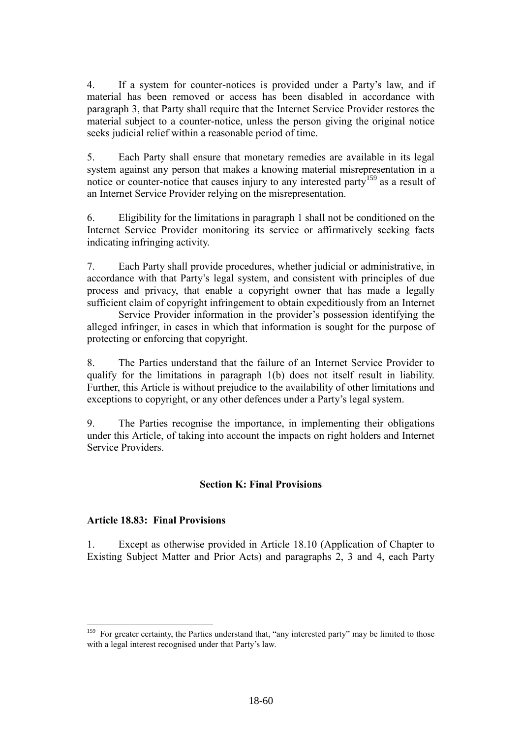4. If a system for counter-notices is provided under a Party's law, and if material has been removed or access has been disabled in accordance with paragraph 3, that Party shall require that the Internet Service Provider restores the material subject to a counter-notice, unless the person giving the original notice seeks judicial relief within a reasonable period of time.

5. Each Party shall ensure that monetary remedies are available in its legal system against any person that makes a knowing material misrepresentation in a notice or counter-notice that causes injury to any interested party<sup>159</sup> as a result of an Internet Service Provider relying on the misrepresentation.

6. Eligibility for the limitations in paragraph 1 shall not be conditioned on the Internet Service Provider monitoring its service or affirmatively seeking facts indicating infringing activity.

7. Each Party shall provide procedures, whether judicial or administrative, in accordance with that Party's legal system, and consistent with principles of due process and privacy, that enable a copyright owner that has made a legally sufficient claim of copyright infringement to obtain expeditiously from an Internet

Service Provider information in the provider's possession identifying the alleged infringer, in cases in which that information is sought for the purpose of protecting or enforcing that copyright.

8. The Parties understand that the failure of an Internet Service Provider to qualify for the limitations in paragraph 1(b) does not itself result in liability. Further, this Article is without prejudice to the availability of other limitations and exceptions to copyright, or any other defences under a Party's legal system.

9. The Parties recognise the importance, in implementing their obligations under this Article, of taking into account the impacts on right holders and Internet Service Providers.

# **Section K: Final Provisions**

# **Article 18.83: Final Provisions**

l

1. Except as otherwise provided in Article 18.10 (Application of Chapter to Existing Subject Matter and Prior Acts) and paragraphs 2, 3 and 4, each Party

<sup>&</sup>lt;sup>159</sup> For greater certainty, the Parties understand that, "any interested party" may be limited to those with a legal interest recognised under that Party's law.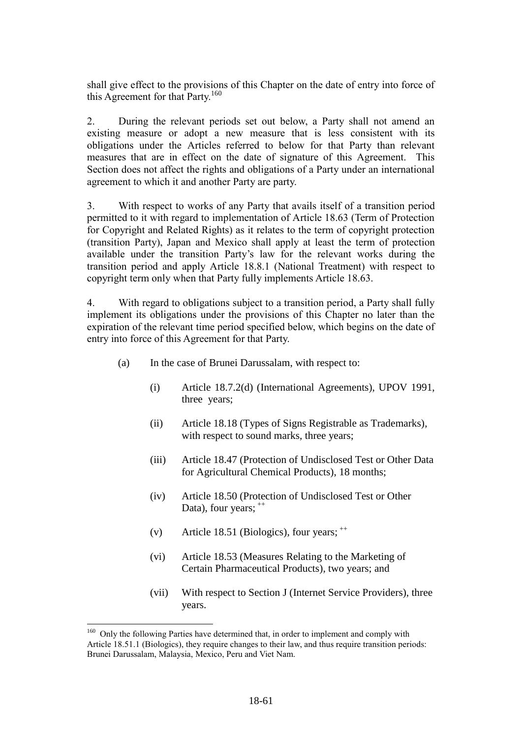shall give effect to the provisions of this Chapter on the date of entry into force of this Agreement for that Party.<sup>160</sup>

2. During the relevant periods set out below, a Party shall not amend an existing measure or adopt a new measure that is less consistent with its obligations under the Articles referred to below for that Party than relevant measures that are in effect on the date of signature of this Agreement. This Section does not affect the rights and obligations of a Party under an international agreement to which it and another Party are party.

3. With respect to works of any Party that avails itself of a transition period permitted to it with regard to implementation of Article 18.63 (Term of Protection for Copyright and Related Rights) as it relates to the term of copyright protection (transition Party), Japan and Mexico shall apply at least the term of protection available under the transition Party's law for the relevant works during the transition period and apply Article 18.8.1 (National Treatment) with respect to copyright term only when that Party fully implements Article 18.63.

4. With regard to obligations subject to a transition period, a Party shall fully implement its obligations under the provisions of this Chapter no later than the expiration of the relevant time period specified below, which begins on the date of entry into force of this Agreement for that Party.

- (a) In the case of Brunei Darussalam, with respect to:
	- (i) Article 18.7.2(d) (International Agreements), UPOV 1991, three years;
	- (ii) Article 18.18 (Types of Signs Registrable as Trademarks), with respect to sound marks, three years;
	- (iii) Article 18.47 (Protection of Undisclosed Test or Other Data for Agricultural Chemical Products), 18 months;
	- (iv) Article 18.50 (Protection of Undisclosed Test or Other Data), four years; <sup>++</sup>
	- (v) Article 18.51 (Biologics), four years;  $^{++}$
	- (vi) Article 18.53 (Measures Relating to the Marketing of Certain Pharmaceutical Products), two years; and
	- (vii) With respect to Section J (Internet Service Providers), three years.

l <sup>160</sup> Only the following Parties have determined that, in order to implement and comply with Article 18.51.1 (Biologics), they require changes to their law, and thus require transition periods: Brunei Darussalam, Malaysia, Mexico, Peru and Viet Nam.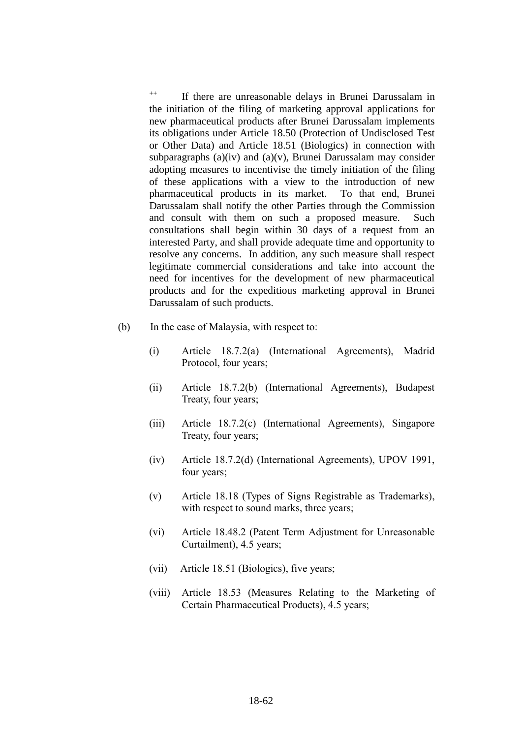<sup>++</sup> If there are unreasonable delays in Brunei Darussalam in the initiation of the filing of marketing approval applications for new pharmaceutical products after Brunei Darussalam implements its obligations under Article 18.50 (Protection of Undisclosed Test or Other Data) and Article 18.51 (Biologics) in connection with subparagraphs  $(a)(iv)$  and  $(a)(v)$ , Brunei Darussalam may consider adopting measures to incentivise the timely initiation of the filing of these applications with a view to the introduction of new pharmaceutical products in its market. To that end, Brunei Darussalam shall notify the other Parties through the Commission and consult with them on such a proposed measure. Such consultations shall begin within 30 days of a request from an interested Party, and shall provide adequate time and opportunity to resolve any concerns. In addition, any such measure shall respect legitimate commercial considerations and take into account the need for incentives for the development of new pharmaceutical products and for the expeditious marketing approval in Brunei Darussalam of such products.

- (b) In the case of Malaysia, with respect to:
	- (i) Article 18.7.2(a) (International Agreements), Madrid Protocol, four years;
	- (ii) Article 18.7.2(b) (International Agreements), Budapest Treaty, four years;
	- (iii) Article 18.7.2(c) (International Agreements), Singapore Treaty, four years;
	- (iv) Article 18.7.2(d) (International Agreements), UPOV 1991, four years;
	- (v) Article 18.18 (Types of Signs Registrable as Trademarks), with respect to sound marks, three years;
	- (vi) Article 18.48.2 (Patent Term Adjustment for Unreasonable Curtailment), 4.5 years;
	- (vii) Article 18.51 (Biologics), five years;
	- (viii) Article 18.53 (Measures Relating to the Marketing of Certain Pharmaceutical Products), 4.5 years;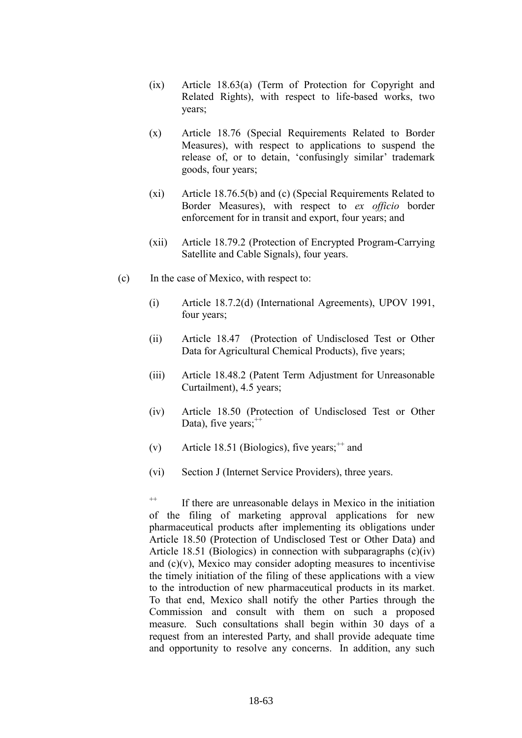- (ix) Article 18.63(a) (Term of Protection for Copyright and Related Rights), with respect to life-based works, two years;
- (x) Article 18.76 (Special Requirements Related to Border Measures), with respect to applications to suspend the release of, or to detain, 'confusingly similar' trademark goods, four years;
- (xi) Article 18.76.5(b) and (c) (Special Requirements Related to Border Measures), with respect to *ex officio* border enforcement for in transit and export, four years; and
- (xii) Article 18.79.2 (Protection of Encrypted Program-Carrying Satellite and Cable Signals), four years.
- (c) In the case of Mexico, with respect to:
	- (i) Article 18.7.2(d) (International Agreements), UPOV 1991, four years;
	- (ii) Article 18.47 (Protection of Undisclosed Test or Other Data for Agricultural Chemical Products), five years;
	- (iii) Article 18.48.2 (Patent Term Adjustment for Unreasonable Curtailment), 4.5 years;
	- (iv) Article 18.50 (Protection of Undisclosed Test or Other Data), five years;  $+$
	- (v) Article 18.51 (Biologics), five years;  $A<sup>+</sup>$  and
	- (vi) Section J (Internet Service Providers), three years.

<sup>++</sup> If there are unreasonable delays in Mexico in the initiation of the filing of marketing approval applications for new pharmaceutical products after implementing its obligations under Article 18.50 (Protection of Undisclosed Test or Other Data) and Article 18.51 (Biologics) in connection with subparagraphs (c)(iv) and  $(c)(v)$ , Mexico may consider adopting measures to incentivise the timely initiation of the filing of these applications with a view to the introduction of new pharmaceutical products in its market. To that end, Mexico shall notify the other Parties through the Commission and consult with them on such a proposed measure. Such consultations shall begin within 30 days of a request from an interested Party, and shall provide adequate time and opportunity to resolve any concerns. In addition, any such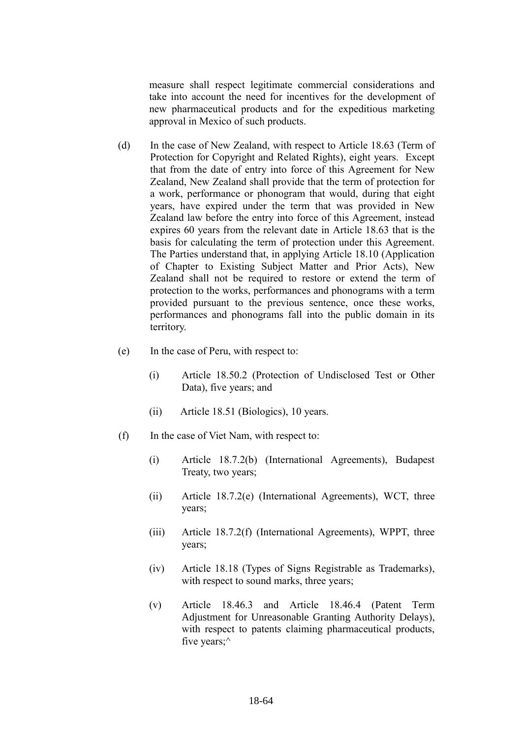measure shall respect legitimate commercial considerations and take into account the need for incentives for the development of new pharmaceutical products and for the expeditious marketing approval in Mexico of such products.

- (d) In the case of New Zealand, with respect to Article 18.63 (Term of Protection for Copyright and Related Rights), eight years. Except that from the date of entry into force of this Agreement for New Zealand, New Zealand shall provide that the term of protection for a work, performance or phonogram that would, during that eight years, have expired under the term that was provided in New Zealand law before the entry into force of this Agreement, instead expires 60 years from the relevant date in Article 18.63 that is the basis for calculating the term of protection under this Agreement. The Parties understand that, in applying Article 18.10 (Application of Chapter to Existing Subject Matter and Prior Acts), New Zealand shall not be required to restore or extend the term of protection to the works, performances and phonograms with a term provided pursuant to the previous sentence, once these works, performances and phonograms fall into the public domain in its territory.
- (e) In the case of Peru, with respect to:
	- (i) Article 18.50.2 (Protection of Undisclosed Test or Other Data), five years; and
	- (ii) Article 18.51 (Biologics), 10 years.
- (f) In the case of Viet Nam, with respect to:
	- (i) Article 18.7.2(b) (International Agreements), Budapest Treaty, two years;
	- (ii) Article 18.7.2(e) (International Agreements), WCT, three years;
	- (iii) Article 18.7.2(f) (International Agreements), WPPT, three years;
	- (iv) Article 18.18 (Types of Signs Registrable as Trademarks), with respect to sound marks, three years;
	- (v) Article 18.46.3 and Article 18.46.4 (Patent Term Adjustment for Unreasonable Granting Authority Delays), with respect to patents claiming pharmaceutical products, five years;<sup> $\wedge$ </sup>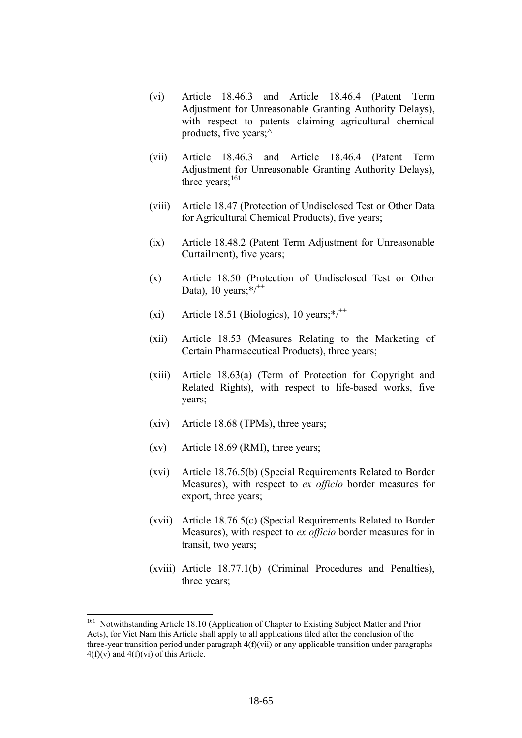- (vi) Article 18.46.3 and Article 18.46.4 (Patent Term Adjustment for Unreasonable Granting Authority Delays), with respect to patents claiming agricultural chemical products, five years;^
- (vii) Article 18.46.3 and Article 18.46.4 (Patent Term Adjustment for Unreasonable Granting Authority Delays), three years;<sup>161</sup>
- (viii) Article 18.47 (Protection of Undisclosed Test or Other Data for Agricultural Chemical Products), five years;
- (ix) Article 18.48.2 (Patent Term Adjustment for Unreasonable Curtailment), five years;
- (x) Article 18.50 (Protection of Undisclosed Test or Other Data), 10 years; $*/+$
- (xi) Article 18.51 (Biologics), 10 years;  $*/^{++}$
- (xii) Article 18.53 (Measures Relating to the Marketing of Certain Pharmaceutical Products), three years;
- (xiii) Article 18.63(a) (Term of Protection for Copyright and Related Rights), with respect to life-based works, five years;
- (xiv) Article 18.68 (TPMs), three years;
- (xv) Article 18.69 (RMI), three years;
- (xvi) Article 18.76.5(b) (Special Requirements Related to Border Measures), with respect to *ex officio* border measures for export, three years;
- (xvii) Article 18.76.5(c) (Special Requirements Related to Border Measures), with respect to *ex officio* border measures for in transit, two years;
- (xviii) Article 18.77.1(b) (Criminal Procedures and Penalties), three years;

l

<sup>&</sup>lt;sup>161</sup> Notwithstanding Article 18.10 (Application of Chapter to Existing Subject Matter and Prior Acts), for Viet Nam this Article shall apply to all applications filed after the conclusion of the three-year transition period under paragraph  $4(f)(vii)$  or any applicable transition under paragraphs  $4(f)(v)$  and  $4(f)(vi)$  of this Article.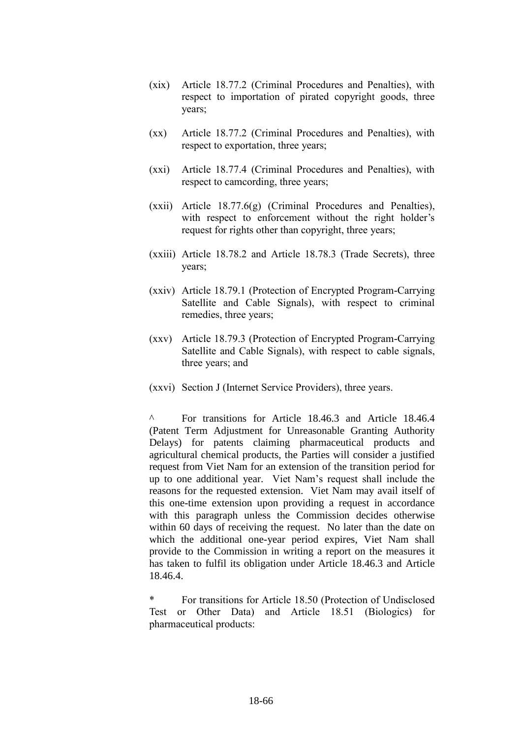- (xix) Article 18.77.2 (Criminal Procedures and Penalties), with respect to importation of pirated copyright goods, three years;
- (xx) Article 18.77.2 (Criminal Procedures and Penalties), with respect to exportation, three years;
- (xxi) Article 18.77.4 (Criminal Procedures and Penalties), with respect to camcording, three years;
- (xxii) Article 18.77.6(g) (Criminal Procedures and Penalties), with respect to enforcement without the right holder's request for rights other than copyright, three years;
- (xxiii) Article 18.78.2 and Article 18.78.3 (Trade Secrets), three years;
- (xxiv) Article 18.79.1 (Protection of Encrypted Program-Carrying Satellite and Cable Signals), with respect to criminal remedies, three years;
- (xxv) Article 18.79.3 (Protection of Encrypted Program-Carrying Satellite and Cable Signals), with respect to cable signals, three years; and
- (xxvi) Section J (Internet Service Providers), three years.

^ For transitions for Article 18.46.3 and Article 18.46.4 (Patent Term Adjustment for Unreasonable Granting Authority Delays) for patents claiming pharmaceutical products and agricultural chemical products, the Parties will consider a justified request from Viet Nam for an extension of the transition period for up to one additional year. Viet Nam's request shall include the reasons for the requested extension. Viet Nam may avail itself of this one-time extension upon providing a request in accordance with this paragraph unless the Commission decides otherwise within 60 days of receiving the request. No later than the date on which the additional one-year period expires, Viet Nam shall provide to the Commission in writing a report on the measures it has taken to fulfil its obligation under Article 18.46.3 and Article 18.46.4.

For transitions for Article 18.50 (Protection of Undisclosed Test or Other Data) and Article 18.51 (Biologics) for pharmaceutical products: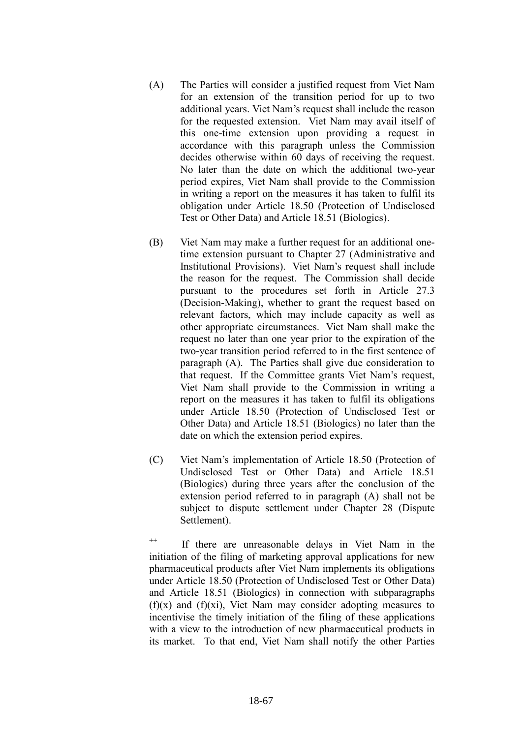- (A) The Parties will consider a justified request from Viet Nam for an extension of the transition period for up to two additional years. Viet Nam's request shall include the reason for the requested extension. Viet Nam may avail itself of this one-time extension upon providing a request in accordance with this paragraph unless the Commission decides otherwise within 60 days of receiving the request. No later than the date on which the additional two-year period expires, Viet Nam shall provide to the Commission in writing a report on the measures it has taken to fulfil its obligation under Article 18.50 (Protection of Undisclosed Test or Other Data) and Article 18.51 (Biologics).
- (B) Viet Nam may make a further request for an additional onetime extension pursuant to Chapter 27 (Administrative and Institutional Provisions). Viet Nam's request shall include the reason for the request. The Commission shall decide pursuant to the procedures set forth in Article 27.3 (Decision-Making), whether to grant the request based on relevant factors, which may include capacity as well as other appropriate circumstances. Viet Nam shall make the request no later than one year prior to the expiration of the two-year transition period referred to in the first sentence of paragraph (A). The Parties shall give due consideration to that request. If the Committee grants Viet Nam's request, Viet Nam shall provide to the Commission in writing a report on the measures it has taken to fulfil its obligations under Article 18.50 (Protection of Undisclosed Test or Other Data) and Article 18.51 (Biologics) no later than the date on which the extension period expires.
- (C) Viet Nam's implementation of Article 18.50 (Protection of Undisclosed Test or Other Data) and Article 18.51 (Biologics) during three years after the conclusion of the extension period referred to in paragraph (A) shall not be subject to dispute settlement under Chapter 28 (Dispute Settlement).

If there are unreasonable delays in Viet Nam in the initiation of the filing of marketing approval applications for new pharmaceutical products after Viet Nam implements its obligations under Article 18.50 (Protection of Undisclosed Test or Other Data) and Article 18.51 (Biologics) in connection with subparagraphs  $(f)(x)$  and  $(f)(xi)$ , Viet Nam may consider adopting measures to incentivise the timely initiation of the filing of these applications with a view to the introduction of new pharmaceutical products in its market. To that end, Viet Nam shall notify the other Parties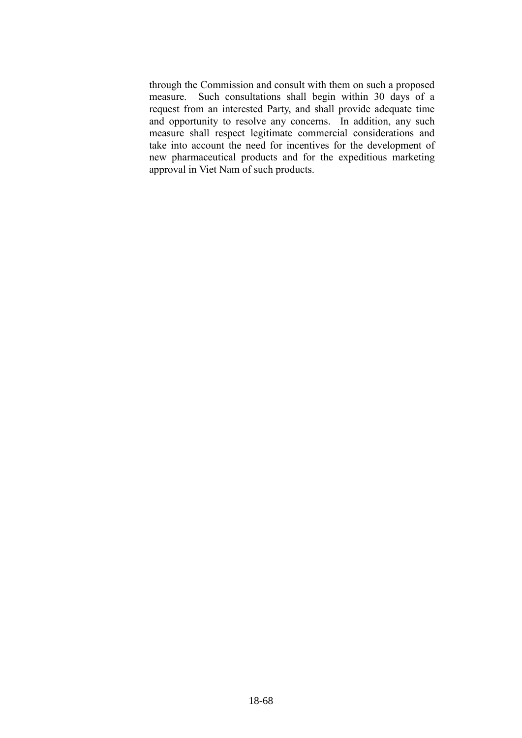through the Commission and consult with them on such a proposed measure. Such consultations shall begin within 30 days of a request from an interested Party, and shall provide adequate time and opportunity to resolve any concerns. In addition, any such measure shall respect legitimate commercial considerations and take into account the need for incentives for the development of new pharmaceutical products and for the expeditious marketing approval in Viet Nam of such products.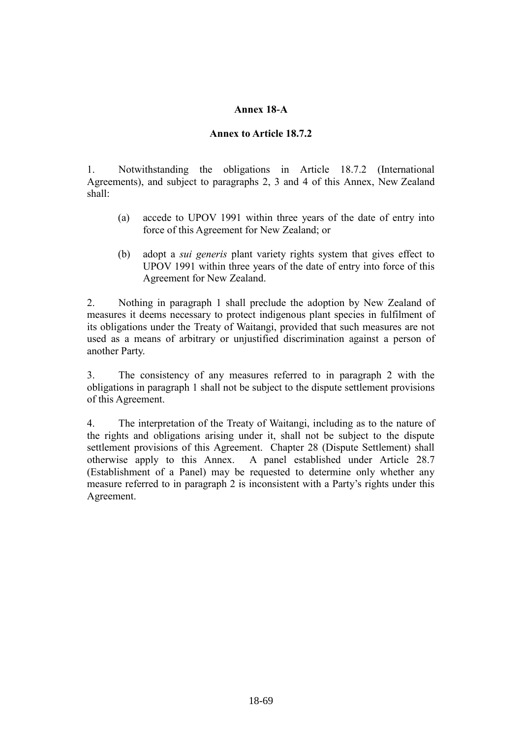## **Annex 18-A**

### **Annex to Article 18.7.2**

1. Notwithstanding the obligations in Article 18.7.2 (International Agreements), and subject to paragraphs 2, 3 and 4 of this Annex, New Zealand shall:

- (a) accede to UPOV 1991 within three years of the date of entry into force of this Agreement for New Zealand; or
- (b) adopt a *sui generis* plant variety rights system that gives effect to UPOV 1991 within three years of the date of entry into force of this Agreement for New Zealand.

2. Nothing in paragraph 1 shall preclude the adoption by New Zealand of measures it deems necessary to protect indigenous plant species in fulfilment of its obligations under the Treaty of Waitangi, provided that such measures are not used as a means of arbitrary or unjustified discrimination against a person of another Party.

3. The consistency of any measures referred to in paragraph 2 with the obligations in paragraph 1 shall not be subject to the dispute settlement provisions of this Agreement.

4. The interpretation of the Treaty of Waitangi, including as to the nature of the rights and obligations arising under it, shall not be subject to the dispute settlement provisions of this Agreement. Chapter 28 (Dispute Settlement) shall otherwise apply to this Annex. A panel established under Article 28.7 (Establishment of a Panel) may be requested to determine only whether any measure referred to in paragraph 2 is inconsistent with a Party's rights under this Agreement.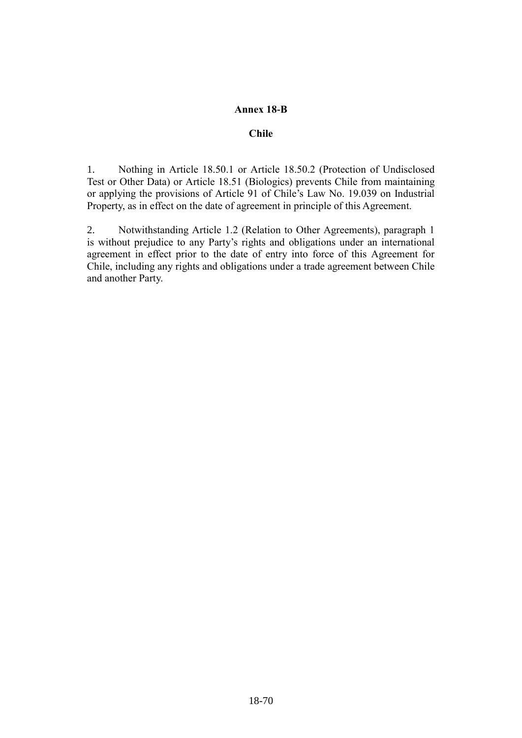### **Annex 18-B**

### **Chile**

1. Nothing in Article 18.50.1 or Article 18.50.2 (Protection of Undisclosed Test or Other Data) or Article 18.51 (Biologics) prevents Chile from maintaining or applying the provisions of Article 91 of Chile's Law No. 19.039 on Industrial Property, as in effect on the date of agreement in principle of this Agreement.

2. Notwithstanding Article 1.2 (Relation to Other Agreements), paragraph 1 is without prejudice to any Party's rights and obligations under an international agreement in effect prior to the date of entry into force of this Agreement for Chile, including any rights and obligations under a trade agreement between Chile and another Party.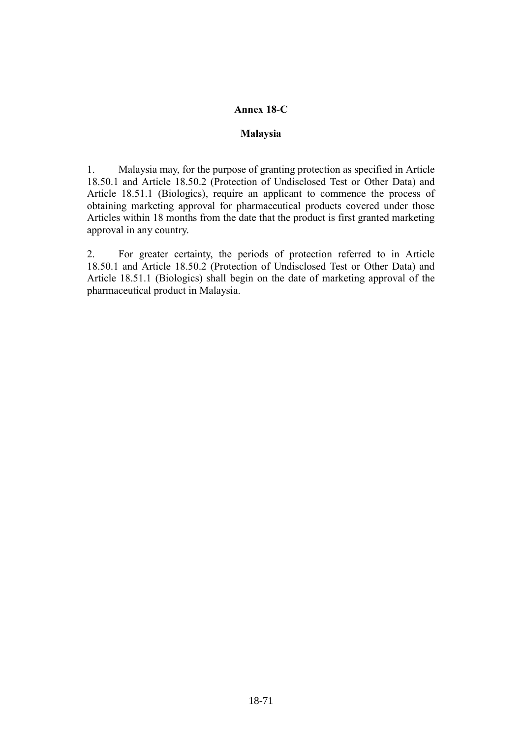## **Annex 18-C**

#### **Malaysia**

1. Malaysia may, for the purpose of granting protection as specified in Article 18.50.1 and Article 18.50.2 (Protection of Undisclosed Test or Other Data) and Article 18.51.1 (Biologics), require an applicant to commence the process of obtaining marketing approval for pharmaceutical products covered under those Articles within 18 months from the date that the product is first granted marketing approval in any country.

2. For greater certainty, the periods of protection referred to in Article 18.50.1 and Article 18.50.2 (Protection of Undisclosed Test or Other Data) and Article 18.51.1 (Biologics) shall begin on the date of marketing approval of the pharmaceutical product in Malaysia.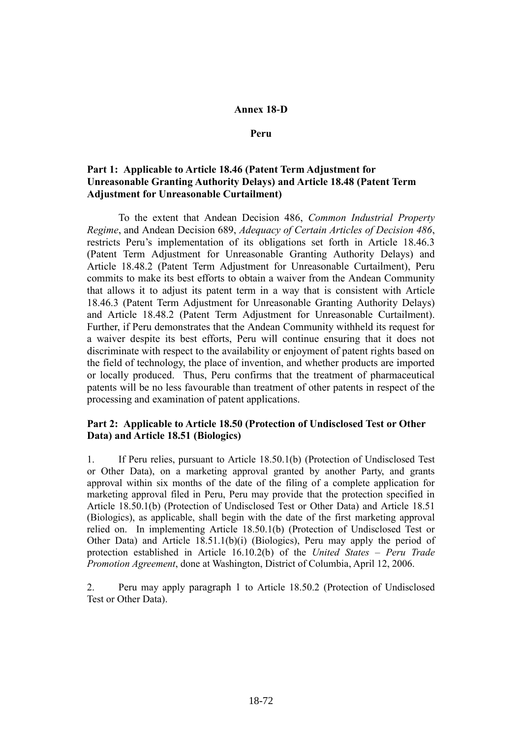#### **Annex 18-D**

#### **Peru**

## **Part 1: Applicable to Article 18.46 (Patent Term Adjustment for Unreasonable Granting Authority Delays) and Article 18.48 (Patent Term Adjustment for Unreasonable Curtailment)**

To the extent that Andean Decision 486, *Common Industrial Property Regime*, and Andean Decision 689, *Adequacy of Certain Articles of Decision 486*, restricts Peru's implementation of its obligations set forth in Article 18.46.3 (Patent Term Adjustment for Unreasonable Granting Authority Delays) and Article 18.48.2 (Patent Term Adjustment for Unreasonable Curtailment), Peru commits to make its best efforts to obtain a waiver from the Andean Community that allows it to adjust its patent term in a way that is consistent with Article 18.46.3 (Patent Term Adjustment for Unreasonable Granting Authority Delays) and Article 18.48.2 (Patent Term Adjustment for Unreasonable Curtailment). Further, if Peru demonstrates that the Andean Community withheld its request for a waiver despite its best efforts, Peru will continue ensuring that it does not discriminate with respect to the availability or enjoyment of patent rights based on the field of technology, the place of invention, and whether products are imported or locally produced. Thus, Peru confirms that the treatment of pharmaceutical patents will be no less favourable than treatment of other patents in respect of the processing and examination of patent applications.

### **Part 2: Applicable to Article 18.50 (Protection of Undisclosed Test or Other Data) and Article 18.51 (Biologics)**

1. If Peru relies, pursuant to Article 18.50.1(b) (Protection of Undisclosed Test or Other Data), on a marketing approval granted by another Party, and grants approval within six months of the date of the filing of a complete application for marketing approval filed in Peru, Peru may provide that the protection specified in Article 18.50.1(b) (Protection of Undisclosed Test or Other Data) and Article 18.51 (Biologics), as applicable, shall begin with the date of the first marketing approval relied on. In implementing Article 18.50.1(b) (Protection of Undisclosed Test or Other Data) and Article 18.51.1(b)(i) (Biologics), Peru may apply the period of protection established in Article 16.10.2(b) of the *United States – Peru Trade Promotion Agreement*, done at Washington, District of Columbia, April 12, 2006.

2. Peru may apply paragraph 1 to Article 18.50.2 (Protection of Undisclosed Test or Other Data).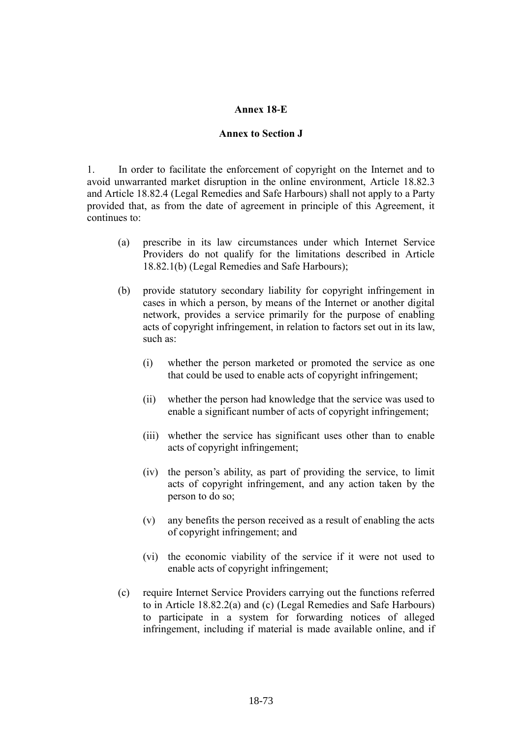## **Annex 18-E**

## **Annex to Section J**

1. In order to facilitate the enforcement of copyright on the Internet and to avoid unwarranted market disruption in the online environment, Article 18.82.3 and Article 18.82.4 (Legal Remedies and Safe Harbours) shall not apply to a Party provided that, as from the date of agreement in principle of this Agreement, it continues to:

- (a) prescribe in its law circumstances under which Internet Service Providers do not qualify for the limitations described in Article 18.82.1(b) (Legal Remedies and Safe Harbours);
- (b) provide statutory secondary liability for copyright infringement in cases in which a person, by means of the Internet or another digital network, provides a service primarily for the purpose of enabling acts of copyright infringement, in relation to factors set out in its law, such as:
	- (i) whether the person marketed or promoted the service as one that could be used to enable acts of copyright infringement;
	- (ii) whether the person had knowledge that the service was used to enable a significant number of acts of copyright infringement;
	- (iii) whether the service has significant uses other than to enable acts of copyright infringement;
	- (iv) the person's ability, as part of providing the service, to limit acts of copyright infringement, and any action taken by the person to do so;
	- (v) any benefits the person received as a result of enabling the acts of copyright infringement; and
	- (vi) the economic viability of the service if it were not used to enable acts of copyright infringement;
- (c) require Internet Service Providers carrying out the functions referred to in Article 18.82.2(a) and (c) (Legal Remedies and Safe Harbours) to participate in a system for forwarding notices of alleged infringement, including if material is made available online, and if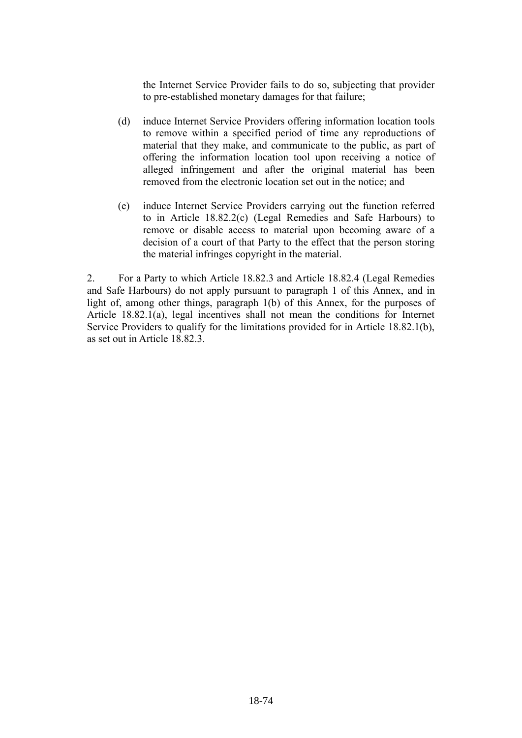the Internet Service Provider fails to do so, subjecting that provider to pre-established monetary damages for that failure;

- (d) induce Internet Service Providers offering information location tools to remove within a specified period of time any reproductions of material that they make, and communicate to the public, as part of offering the information location tool upon receiving a notice of alleged infringement and after the original material has been removed from the electronic location set out in the notice; and
- (e) induce Internet Service Providers carrying out the function referred to in Article 18.82.2(c) (Legal Remedies and Safe Harbours) to remove or disable access to material upon becoming aware of a decision of a court of that Party to the effect that the person storing the material infringes copyright in the material.

2. For a Party to which Article 18.82.3 and Article 18.82.4 (Legal Remedies and Safe Harbours) do not apply pursuant to paragraph 1 of this Annex, and in light of, among other things, paragraph 1(b) of this Annex, for the purposes of Article 18.82.1(a), legal incentives shall not mean the conditions for Internet Service Providers to qualify for the limitations provided for in Article 18.82.1(b), as set out in Article 18.82.3.